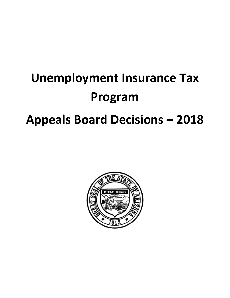# **Unemployment Insurance Tax Program Appeals Board Decisions – 2018**

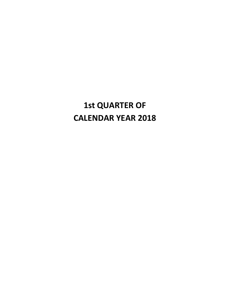# **1st QUARTER OF CALENDAR YEAR 2018**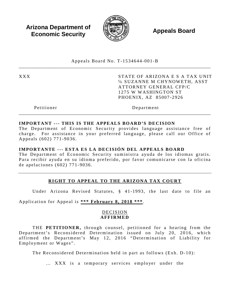**Arizona Department of Economic Security**  $\mathbb{R}$  **Appeals Board Economic Security** 



Appeals Board No. T - 1534644 -001 - B \_\_\_\_\_\_\_\_\_\_\_\_\_\_\_\_\_\_\_\_\_\_\_\_\_\_\_\_\_\_\_\_\_\_\_\_\_\_\_\_\_\_\_\_\_\_\_\_\_\_\_\_\_\_\_\_\_\_\_\_\_\_\_\_\_\_\_\_\_\_\_\_\_\_\_\_\_\_\_\_\_\_\_\_\_

XXX STATE OF ARIZONA E S A TAX UNIT ℅ SUZANNE M CHYNOWETH, ASST ATTORNEY GENERAL CFP/C 1275 W WASHINGTON ST PHOENIX, AZ 85007 -2926

Petitioner Department

#### **IMPORTANT --- THIS IS THE APPEALS BOARD'S DECISION**

The Department of Economic Security provides language assistance free of charge. For assistance in your preferred language, please call our Office of Appeals (602) 771 -9036 .

\_\_\_\_\_\_\_\_\_\_\_\_\_\_\_\_\_\_\_\_\_\_\_\_\_\_\_\_\_\_\_\_\_\_\_\_\_\_\_\_\_\_\_\_\_\_\_\_\_\_\_\_\_\_\_\_\_\_\_\_\_\_\_\_\_\_\_\_\_\_\_\_\_\_\_\_\_\_\_\_\_\_\_\_\_

#### **IMPORTANTE --- ESTA ES LA DECISIÓN DEL APPEALS BOARD**

The Department of Economic Security suministra ayuda de los idiomas gratis. Para recibir ayuda en su idioma preferido, por favor comunicarse con la oficina de apelaciones (602) 771 - 9036 .

# **RIGHT TO APPEAL TO THE ARIZONA TAX COURT**

Under Arizona Revised Statutes, § 41-1993, the last date to file an

Application for Appeal is **\*\*\* February 8, 2018 \*\*\*** .

#### DECISION **AFFIRMED**

THE **PETITIONER**, through counsel, petitioned for a hearing from the Department's Reconsidered Determination issued on July 20, 2016, which affirmed the Department's May 12, 2016 "Determination of Liability for Employment or Wages".

The Reconsidered Determination held in part as follows (Exh. D-10):

… XXX is a temporary services employer under the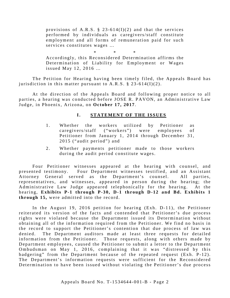provisions of A.R.S.  $\S$  23-614(I)(2) and that the services performed by individuals as caregivers/staff constitute employment and all forms of remuneration paid for such services constitutes wages …

\* \* \*

Accordingly, this Reconsidered Determination affirms the Determination of Liability for Employment or Wages issued May 12, 2016 …

The Petition for Hearing having been timely filed, the Appeals Board has jurisdiction in this matter pursuant to A.R.S.  $\S$  23-614(I)(2).

At the direction of the Appeals Board and following proper notice to all parties, a hearing was conducted before JOSE R. PAVON, an Administrative Law Judge, in Phoenix, Arizona, on **October 17 , 2017** .

# **I.** STATEMENT OF THE ISSUES

- 1. Whether the workers utilized by Petitioner as caregivers/staff ("workers") were employees of Petitioner from January 1, 2014 through December 31, 2015 ("audit period") and
- 2. Whether payments petitioner made to those workers during the audit period constitute wages.

Four Petitioner witnesses appeared at the hearing with counsel, and presented testimony. Four Department witnesses testified, and an Assistant Attorney General served as the Department's counsel. All parties, representatives, and witnesses, appeared in person during the hearing; the Administrative Law Judge appeared telephonically for the hearing. At the hearing, Exhibits P-1 through P-30, D-1 through D-12 and Bd. Exhibits 1 **through 1 5,** were admitted into the record.

In the August 19, 2016 petition for hearing  $(Exh. D-11)$ , the Petitioner reiterated its version of the facts and contended that Petitioner's due process rights were violated because the Department issued its Determination without obtaining all of the information required from the Petitioner. We find no basis in the record to support the Petitioner's contention that due process of law was denied. The Department auditors made at least three requests for detailed information from the Petitioner. Those requests, along with others made by Department employees, caused the Petitioner to submit a letter to the Department Ombudsman on May 1, 2016, complaining that it was "distressed by this badgering" from the Department because of the repeated request (Exh. P-12). The Department's information requests were sufficient for the Reconsidered Determination to have been issued without violating the Petitioner's due process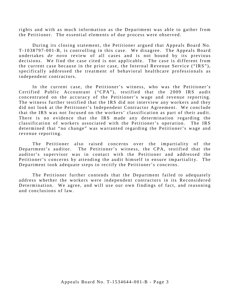rights and with as much information as the Department was able to gather from the Petitioner. The essential elements of due process were observed.

During its closing statement, the Petitioner argued that Appeals Board No. T-1038797-001-B, is controlling in this case. We disagree. The Appeals Board undertakes *de novo* review of all cases and is not bound by its previous decisions. We find the case cited is not applicable. The case is different from the current case because in the prior case, the Internal Revenue Service ("IRS"), specifically addressed the treatment of behavioral healthcare professionals as independent contractors.

In the current case, the Petitioner's witness, who was the Petitioner's Certified Public Accountant ("CPA"), testified that the 2009 IRS audit concentrated on the accuracy of the Petitioner's wage and revenue reporting. The witness further testified that the IRS did not interview any workers and they did not look at the Petitioner's Independent Contractor Agreement. We conclude that the IRS was not focused on the workers' classification as part of their audit. There is no evidence that the IRS made any determination regarding the classification of workers associated with the Petitioner's operation. The IRS determined that "no change" was warranted regarding the Petitioner's wage and revenue reporting.

The Petitioner also raised concerns over the impartiality of the Department's auditor. The Petitioner's witness, the CPA, testified that the auditor's supervisor was in contact with the Petitioner and addressed the Petitioner's concerns by attending the audit himself to ensure impartiality. The Department took adequate steps to rectify the Petitioner's concerns.

The Petitioner further contends that the Department failed to adequately address whether the workers were independent contractors in its Reconsidered Determination. We agree, and will use our own findings of fact, and reasoning and conclusions of law.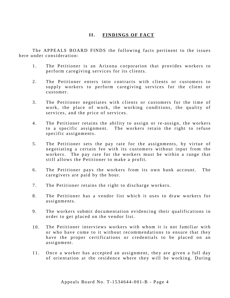#### **II. FINDINGS OF FACT**

The APPEALS BOARD FINDS the following facts pertinent to the issues here under consideration:

- 1. The Petitioner is an Arizona corporation that provides workers to perform caregiving services for its clients.
- 2. The Petitioner enters into contracts with clients or customers to supply workers to perform caregiving services for the client or customer.
- 3 . The Petitioner negotiates with clients or customers for the time of work, the place of work, the working conditions, the quality of services, and the price of services.
- 4. The Petitioner retains the ability to assign or re-assign, the workers to a specific assignment. The workers retain the right to refuse specific assignments.
- 5 . The Petitioner sets the pay rate for the assignments, by virtue of negotiating a certain fee with its customers without input from the workers. The pay rate for the workers must be within a range that still allows the Petitioner to make a profit.
- 6 . The Petitioner pays the workers from its own bank account. The caregivers are paid by the hour.
- 7. The Petitioner retains the right to discharge workers.
- 8 . The Petitioner has a vendor list which it uses to draw workers for assignments.
- 9. The workers submit documentation evidencing their qualifications in order to get placed on the vendor list.
- 10. The Petitioner interviews workers with whom it is not familiar with or who have come to it without recommendations to ensure that they have the proper certifications or credentials to be placed on an assignment.
- 11. Once a worker has accepted an assignment, they are given a full day of orientation at the residence where they will be working. During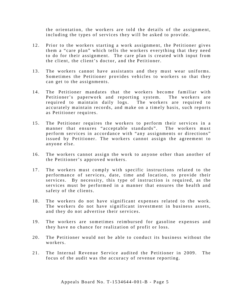the orientation, the workers are told the details of the assignment, including the types of services they will be asked to provide .

- 12. Prior to the workers starting a work assignment, the Petitioner gives them a "care plan" which tells the workers everything that they need to do for their assignment. The care plan is created with input from the client, the client's doctor, and the Petitioner.
- 13. The workers cannot have assistants and they must wear uniforms. Sometimes the Petitioner provides vehicles to workers so that they can get to the assignments.
- 14. The Petitioner mandates that the workers become familiar with Petitioner's paperwork and reporting system. The workers are required to maintain daily logs. The workers are required to accurately maintain records, and make on a timely basis, such reports as Petitioner requires.
- 15. The Petitioner requires the workers to perform their services in a manner that ensures "acceptable standards". The workers must perform services in accordance with "any assignments or directions" issued by Petitioner. The workers cannot assign the agreement to anyone else.
- 16. The workers cannot assign the work to anyone other than another of the Petitioner's approved workers.
- 17. The workers must comply with specific instructions related to the performance of services, date, time and location, to provide their services. By necessity, this type of instruction is required, as the services must be performed in a manner that ensures the health and safety of the clients.
- 18. The workers do not have significant expenses related to the work. The workers do not have significant investment in business assets, and they do not advertise their services.
- 19. The workers are sometimes reimbursed for gasoline expenses and they have no chance for realization of profit or loss.
- 20. The Petitioner would not be able to conduct its business without the workers.
- 21. The Internal Revenue Service audited the Petitioner in 2009. The focus of the audit was the accuracy of revenue reporting.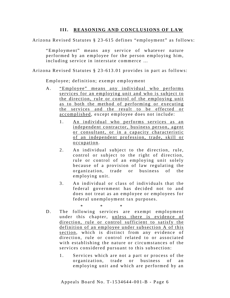#### **III. REASONING AND CONCLUSIONS OF LAW**

Arizona Revised Statutes § 23 -615 defines "employment" as follows:

" Employment" means any service of whatever nature performed by an employee for the person employing him, including service in interstate commerce …

Arizona Revised Statutes § 23 -613.01 provides in part as follows:

Employee; definition; exempt employment

- A. "Employee" means any individual who performs services for an employing unit and who is subject to the direction, rule or control of the employing unit as to both the method of performing or executing the services and the result to be effected or accomplished, except employee does not include:
	- 1. An individual who performs services as an independent contractor, business person, agent or consultant, or in a capacity characteristic of an independent profession, trade, skill or occupation.
	- 2. An individual subject to the direction, rule, control or subject to the right of direction, rule or control of an employing unit solely because of a provision of law regulating the organization, trade or business of the employing unit.
	- 3. An individual or class of individuals that the federal government has decided not to and does not treat as an employee or employees for federal unemployment tax purposes.

*\* \* \**

- D. The following services are exempt employment under this chapter, unless there is evidence of direction, rule or control sufficient to satisfy the definition of an employee under subsection A of this section, which is distinct from any evidence of direction, rule or control related to or associated with establishing the nature or circumstances of the services considered pursuant to this subsection:
	- 1. Services which are not a part or process of the organization, trade or business of an employing unit and which are performed by an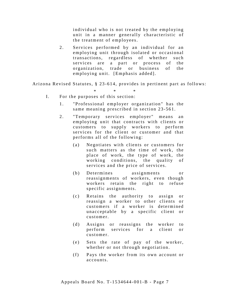individual who is not treated by the employing unit in a manner generally characteristic of the treatment of employees.

2. Services performed by an individual for an employing unit through isolated or occasional transactions, regardless of whether such services are a part or process of the organiz ation, trade or business of the employing unit. [Emphasis added].

Arizona Revised Statutes, § 23-614, provides in pertinent part as follows:

- \* \* \* I. For the purposes of this section:
	- 1 . "Professional employer organization" has the same meaning prescribed in section 23-561.
	- 2. "Temporary services employer" means an employing unit that contracts with clients or customers to supply workers to perform services for the client or customer and that performs all of the following:
		- (a) Negotiates with clients or customers for such matters as the time of work, the place of work, the type of work, the working conditions, the quality of services and the price of services.
		- (b) Determines assignments or reassignments of workers, even though workers retain the right to refuse specific assignments.
		- (c) Retains the authority to assign or reassign a worker to other clients or customers if a worker is determined unacceptable by a specific client or customer.
		- (d) Assigns or reassigns the worker to p erform services for a client or customer.
		- (e) Sets the rate of pay of the worker, whether or not through negotiation.
		- (f) Pays the worker from its own account or accounts.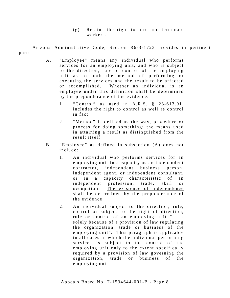(g) Retains the right to hire and terminate workers.

Arizona Administrative Code, Section R6-3-1723 provides in pertinent part:

- A. "Employee" means any individual who performs services for an employing unit, and who is subject to the direction, rule or control of the employing unit as to both the method of performing or executing the services and the result to be affected or accomplished. Whether an individual is an employee under this definition shall be determined by the preponderance of the evidence.
	- 1. "Control" as used in A.R.S. § 23-613.01, includes the right to control as well as control in fact.
	- 2. "Method" is defined as the way, procedure or process for doing something; the means used in attaining a result as distinguished from the result itself.
- B. "Employee" as defined in subsection (A) does not include:
	- 1. An individual who performs services for an employing unit in a capacity as an independent contractor, independent business person, independent agent, or independent consultant, or in a capacity characteristic of an independent profession, trade, skill or o ccupation. The existence of independence shall be determined by the preponderance of the evidence .
	- 2. An individual subject to the direction, rule, control or subject to the right of direction, rule or control of an employing unit ". . . solely because of a provision of law regulating the organization, trade or business of the employing unit". This paragraph is applicable in all cases in which the individual performing services is subject to the control of the employing unit only to the extent specifically required by a provision of law governing the organization, trade or business of the employing unit.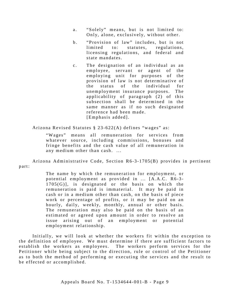- a. "Solely" means, but is not limited to: Only, alone, exclusively, without other.
- b. "Provision of law" includes, but is not limited to: statutes, regulations, licensing regulations, and federal and state mandates.
- c. The designation of an individual as an e mployee, servant or agent of the employing unit for purposes of the provision of law is not determinative of the status of the individual for unemployment insurance purposes. The applicability of paragraph (2) of this subsection shall be determined in the same manner as if no such designated reference had been made. [Emphasis added].

Arizona Revised Statutes § 23 -622(A) defines "wages" as:

"Wages" means all remuneration for services from whatever source, including commissions, bonuses and fringe benefits and the cash value of all remuneration in any medium other than cash. ...

Arizona Administrative Code, Section R6-3-1705(B) provides in pertinent part:

> The name by which the remuneration for employment, or potential employment as provided in ... [A.A.C. R6-3-1705(G)], is designated or the basis on which the remuneration is paid is immaterial. It may be paid in cash or in a medium other than cash, on the basis of piece work or percentage of profits, or it may be paid on an hourly, daily, weekly, monthly, annual or other basis. The remuneration may also be paid on the basis of an estimated or agreed upon amount in order to resolve an issue arising out of an employment or potential employment relationship.

Initially, we will look at whether the workers fit within the exception to the definition of employee. We must determine if there are sufficient factors to establish the workers as employees. The workers perform services for the Petitioner while being subject to the direction, rule or control of the Petitioner as to both the method of performing or executing the services and the result to be effected or accomplished.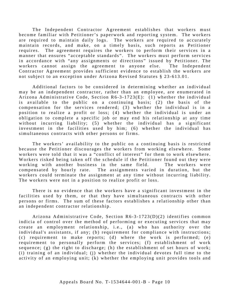The Independent Contractor Agreement establishes that workers must become familiar with Petitioner's paperwork and reporting system. The workers are required to maintain daily logs. The workers are required to accurately maintain records, and make, on a timely basis, such reports as Petitioner requires. The agreement requires the workers to perform their services in a manner that ensures "acceptable standards". The workers must perform services in accordance with "any assignments or directions" issued by Petitioner. The workers cannot assign the agreement to anyone else. The Independent Contractor Agreement provides sufficient evidence to establish the workers are not subject to an exception under Arizona Revised Statutes § 23 -613.01.

Additional factors to be considered in determining whether an individual may be an independent contractor, rather than an employee, are enumerated in Arizona Administrative Code, Section  $R6-3-1723(E)$ : (1) whether the individual is available to the public on a continuing basis; (2) the basis of the compensation for the services rendered; (3) whether the individual is in a position to realize a profit or loss; (4) whether the individual is under an obligation to complete a specific job or may end his relationship at any time without incurring liability; (5) whether the individual has a significant investment in the facilities used by him; (6) whether the individual has simultaneous contracts with other persons or firms.

The workers' availability to the public on a continuing basis is restricted because the Petitioner discourages the workers from working elsewhere. Some workers were told that it was a "conflict of interest" for them to work elsewhere. Workers risked being taken off the schedule if the Petitioner found out they were working with another business in the same field. The workers were c ompensated by hourly rate. The assignments varied in duration, but the workers could terminate the assignment at any time without incurring liability. The workers were not in a position to realize profit or loss.

There is no evidence that the workers have a significant investment in the facilities used by them, or that they have simultaneous contracts with other persons or firms. The sum of these factors establishes a relationship other than an independent contractor relationship.

Arizona Administrative Code, Section R6-3-1723(D)(2) identifies common indicia of control over the method of performing or executing services that may create an employment relationship, i.e., (a) who has authority over the individual's assistants, if any; (b) requirement for compliance with instructions; (c) requirement to make reports; (d) where the work is performed; (e) requirement to personally perform the services; (f) establishment of work sequence; (g) the right to discharge; (h) the establishment of set hours of work; (i) training of an individual; (j) whether the individual devotes full time to the activity of an employing unit; (k) whether the employing unit provides tools and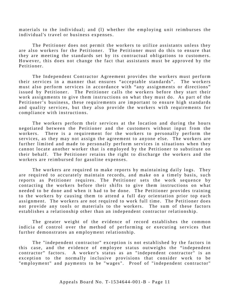materials to the individual; and (l) whether the employing unit reimburses the individual's travel or business expenses.

The Petitioner does not permit the workers to utilize assistants unless they are also workers for the Petitioner. The Petitioner must do this to ensure that they are meeting the standards set by its contractual obligations to customers. However, this does not change the fact that assistants must be approved by the Petitioner.

The Independent Contractor Agreement provides the workers must perform their services in a manner that ensures "acceptable standards". The workers must also perform services in accordance with "any assignments or directions" issued by Petitioner. The Petitioner calls the workers before they start their work assignments to give them instructions on what they must do. As part of the Petitioner's business, these requirements are important to ensure high standards and quality services, but they also provide the workers with requirements for compliance with instructions.

The workers perform their services at the location and during the hours negotiated between the Petitioner and the customers without input from the workers. There is a requirement for the workers to personally perform the services, as they may not assign the agreement to anyone else. The workers are further limited and made to personally perform services in situations when they cannot locate another worker that is employed by the Petitioner to substitute on their behalf. The Petitioner retains the right to discharge the workers and the workers are reimbursed for gasoline expenses.

The workers are required to make reports by maintaining daily logs. They are required to accurately maintain records, and make on a timely basis, such reports as Petitioner requires. The Petitioner sets the work sequence by contacting the workers before their shifts to give them instructions on what needed to be done and when it had to be done. The Petitioner provides training to the workers by causing them to attend a full day orientation prior top each assignment. The workers are not required to work full time. The Petitioner does not provide any tools or materials to the workers. The sum of these factors establishes a relationship other than an independent contractor relationship.

The greater weight of the evidence of record establishes the common indicia of control over the method of performing or executing services that further demonstrates an employment relationship.

The "independent contractor" exception is not established by the factors in this case, and the evidence of employee status outweighs the "independent contractor" factors. A worker's status as an "independent contractor" is an exception to the normally inclusive provisions that consider work to be "employment" and payments to be "wages". Proof of "independent contractor"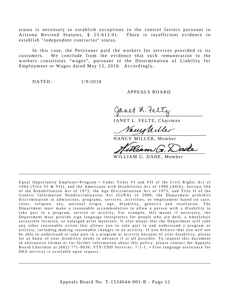status is necessary to establish exceptions to the control factors pursuant to Arizona Revised Statutes, § 23 -613.01. There is insufficient evidence to establish "independent contractor" status.

In this case, the Petitioner paid the workers for services provided to its customers. We conclude from the evidence that such remuneration to the workers constitutes "wages", pursuant to the Determination of Liability for Employment or Wages dated May 12, 2016. Accordingly,

DA TED: 1/9/2018

A PPEALS BOARD

Janet L. Fe

JANET L. FELTZ, Chairman

VanyUilles

NANCY MILLER, Member

'eam

WILLIAM G. DADE, Member

Equal Opportunity Employer/Program • Under Titles VI and VII of the Civil Rights Act of 1964 (Title VI & VII), and the Americans with Disabilities Act of 1990 (ADA), Section 504 of the Rehabilitation Act of 1973, the Age Discrimination Act of 1975, and Title II of the Genetic Information Nondiscrimination Act (GINA) of 2008, the Department prohibits discrimination in admissions, programs, services, activities, or employment based on race, color, religion, sex, national origin, age, disability, genetics and retaliation. The Department must make a reasonable accommodation to allow a person with a disability to take part in a program, service or activity. For example, this means if necessary, the Department must provide sign language interpreters for people who are deaf, a wheelchair accessible location, or enlarged print materials. It also means that the Department will take any other reasonable action that allows you to take part in and understand a program or activity, including making reasonable changes to an activity. If you believe that you will not be able to understand or take part in a program or activity because of your disability, please let us know of your disability needs in advance if at all possible. To request this document in alternative format or for further information about this policy, please contact the Appeals Board Chairman at (602) 771-9036; TTY/TDD Services: 7-1-1. • Free language assistance for DES services is available upon request.

\_\_\_\_\_\_\_\_\_\_\_\_\_\_\_\_\_\_\_\_\_\_\_\_\_\_\_\_\_\_\_\_\_\_\_\_\_\_\_\_\_\_\_\_\_\_\_\_\_\_\_\_\_\_\_\_\_\_\_\_\_\_\_\_\_\_\_\_\_\_\_\_\_\_\_\_\_\_\_\_\_\_\_\_\_

\_\_\_\_\_\_\_\_\_\_\_\_\_\_\_\_\_\_\_\_\_\_\_\_\_\_\_\_\_\_\_\_\_\_\_\_\_\_\_\_\_\_\_\_\_\_\_\_\_\_\_\_\_\_\_\_\_\_\_\_\_\_\_\_\_\_\_\_\_\_\_\_\_\_\_\_\_\_\_\_\_\_\_\_\_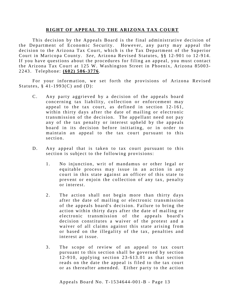#### **RIGHT OF APPEAL TO THE ARIZONA TAX COURT**

This decision by the Appeals Board is the final administrative decision of the Department of Economic Security. However, any party may appeal the decision to the Arizona Tax Court, which is the Tax Department of the Superior Court in Maricopa County. *See*, Arizona Revised Statutes, §§ 12-901 to 12-914. If you have questions about the procedures for filing an appeal, you must contact the Arizona Tax Court at 125 W. Washington Street in Phoenix, Arizona 85003-2243. Telephone: **(602) 506 - 3776** .

For your information, we set forth the provisions of Arizona Revised Statutes,  $§$  41-1993(C) and (D):

- C. Any party aggrieved by a decision of the appeals board concerning tax liability, collection or enforcement may appeal to the tax court, as defined in section 12-161, within thirty days after the date of mailing or electronic transmission of the decision. The appellant need not pay any of the tax penalty or interest upheld by the appeals board in its decision before initiating, or in order to maintain an appeal to the tax court pursuant to this section.
- D. Any appeal that is taken to tax court pursuant to this section is subject to the following provisions:
	- 1 . No injunction, writ of mandamus or other legal or equitable process may issue in an action in any court in this state against an officer of this state to prevent or enjoin the collection of any tax, penalty or interest.
	- 2. The action shall not begin more than thirty days after the date of mailing or electronic transmission of the appeals board's decision. Failure to bring the action within thirty days after the date of mailing or electronic transmission of the appeals board's decision constitutes a waiver of the protest and a waiver of all claims against this state arising from or based on the illegality of the tax, penalties and interest at issue.
	- 3. The scope of review of an appeal to tax court pursuant to this section shall be governed by section  $12-910$ , applying section  $23-613.01$  as that section reads on the date the appeal is filed to the tax court or as thereafter amended. Either party to the action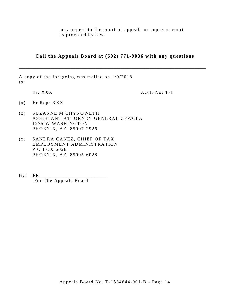may appeal to the court of appeals or supreme court as provided by law.

**Call the Appeals Board at (602) 771-9036 with any questions**

\_\_\_\_\_\_\_\_\_\_\_\_\_\_\_\_\_\_\_\_\_\_\_\_\_\_\_\_\_\_\_\_\_\_\_\_\_\_\_\_\_\_\_\_\_\_\_\_\_\_\_\_\_\_\_\_\_\_\_\_\_\_\_\_\_\_\_\_\_\_\_\_\_\_\_\_\_\_\_\_\_\_\_

A copy of the foregoing was mailed on 1/9/2018 to:

Er: XXX

Acct. No: T-1

- (x) Er Rep: XXX
- (x ) SUZANNE M CHYNOWETH ASSISTANT ATTORNEY GENERAL CFP/CLA 1275 W WASHINGTON PHOENIX, AZ 85007 -2926
- (x ) SANDRA CANEZ, CHIEF OF TAX EMPLOYMENT ADMINISTRATION P O BOX 6028 PHOENIX, AZ 85005 -6028
- $By: **RR**$ For The Appeals Board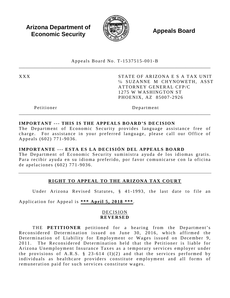**Arizona Department of Economic Security**  $\mathbb{R}$  **Appeals Board Economic Security** 



Appeals Board No. T - 1537515 -001 - B \_\_\_\_\_\_\_\_\_\_\_\_\_\_\_\_\_\_\_\_\_\_\_\_\_\_\_\_\_\_\_\_\_\_\_\_\_\_\_\_\_\_\_\_\_\_\_\_\_\_\_\_\_\_\_\_\_\_\_\_\_\_\_\_\_\_\_\_\_\_\_\_\_\_\_\_\_\_\_\_\_\_\_\_\_

XXX STATE OF ARIZONA E S A TAX UNIT ℅ SUZANNE M CHYNOWETH, ASST ATTORNEY GENERAL CFP/C 1275 W WASHINGTON ST PHOENIX, AZ 85007 -2926

Petitioner Department

#### **IMPORTANT --- THIS IS THE APPEALS BOARD'S DECISION**

The Department of Economic Security provides language assistance free of charge. For assistance in your preferred language, please call our Office of Appeals (602) 771 -9036 .

\_\_\_\_\_\_\_\_\_\_\_\_\_\_\_\_\_\_\_\_\_\_\_\_\_\_\_\_\_\_\_\_\_\_\_\_\_\_\_\_\_\_\_\_\_\_\_\_\_\_\_\_\_\_\_\_\_\_\_\_\_\_\_\_\_\_\_\_\_\_\_\_\_\_\_\_\_\_\_\_\_\_\_\_\_

#### **IMPORTANTE --- ESTA ES LA DECISIÓN DEL APPEALS BOARD**

The Department of Economic Security suministra ayuda de los idiomas gratis. Para recibir ayuda en su idioma preferido, por favor comunicarse con la oficina de apelaciones (602) 771 - 9036 .

# **RIGHT TO APPEAL TO THE ARIZONA TAX COURT**

Under Arizona Revised Statutes, § 41-1993, the last date to file an

Application for Appeal is **\*\*\* April 5, 2018 \*\*\*** .

#### DECISION **REVERSED**

THE **PETITIONER** petitioned for a hearing from the Department's Reconsidered Determination issued on June 30, 2016, which affirmed the Determination of Liability for Employment or Wages issued on December 9, 2011. The Reconsidered Determination held that the Petitioner is liable for Arizona Unemployment Insurance Taxes as a temporary services employer under the provisions of A.R.S.  $\S$  23-614 (I)(2) and that the services performed by individuals as healthcare providers constitute employment and all forms of remuneration paid for such services constitute wages.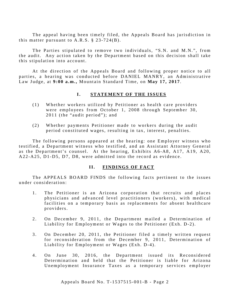The appeal having been timely filed, the Appeals Board has jurisdiction in this matter pursuant to A.R.S.  $\S$  23-724(B).

The Parties stipulated to remove two individuals, "S.N. and M.N.", from the audit. Any action taken by the Department based on this decision shall take this stipulation into account.

At the direction of the Appeals Board and following proper notice to all parties, a hearing was conducted before DANIEL MANRY, an Administrative Law Judge, at **9 :00 a.m.,** Mountain Standard Time, on **May 17, 2017**.

#### **I.** STATEMENT OF THE ISSUES

- (1) Whether workers utilized by Petitioner as health care providers were employees from October 1, 2008 through September 30, 2011 (the "audit period"); and
- (2) Whether payments Petitioner made to workers during the audit period constituted wages, resulting in tax, interest, penalties.

The following persons appeared at the hearing: one Employer witness who testified, a Department witness who testified, and an Assistant Attorney General as the Department's counsel. At the hearing, Exhibits A6-A8, A17, A19, A20, A22-A25, D1-D5, D7, D8, were admitted into the record as evidence.

#### **II. FINDINGS OF FACT**

The APPEALS BOARD FINDS the following facts pertinent to the issues under consideration:

- 1. The Petitioner is an Arizona corporation that recruits and places physicians and advanced level practitioners (workers), with medical facilities on a temporary basis as replacements for absent healthcare providers.
- 2. On December 9, 2011, the Department mailed a Determination of Liability for Employment or Wages to the Petitioner (Exh. D-2 ).
- 3. On December 20, 2011, the Petitioner filed a timely written request for reconsideration from the December 9, 2011, Determination of Liability for Employment or Wages (Exh. D-4).
- 4. On June 30, 2016, the Department issued its Reconsidered Determination and held that the Petitioner is liable for Arizona Unemployment Insurance Taxes as a temporary services employer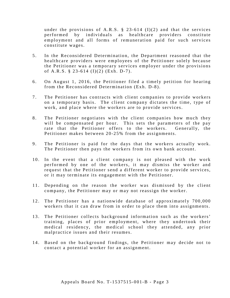under the provisions of A.R.S. § 23-614 (I)(2) and that the services performed by individuals as healthcare providers constitute employment and all forms of remuneration paid for such services constitute wages.

- 5 . In the Reconsidered Determination, the Department reasoned that the healthcare providers were employees of the Petitioner solely because the Petitioner was a temporary services employer under the provisions of A.R.S.  $\S$  23-614 (I)(2) (Exh. D-7).
- 6. On August 1, 2016, the Petitioner filed a timely petition for hearing from the Reconsidered Determination (Exh. D-8).
- 7. The Petitioner has contracts with client companies to provide workers on a temporary basis. The client company dictates the time, type of work, and place where the workers are to provide services.
- 8. The Petitioner negotiates with the client companies how much they will be compensated per hour. This sets the parameters of the pay rate that the Petitioner offers to the workers. Generally, the Petitioner makes between 20-25% from the assignments.
- 9. The Petitioner is paid for the days that the workers actually work. The Petitioner then pays the workers from its own bank account.
- 10. In the event that a client company is not pleased with the work performed by one of the workers, it may dismiss the worker and request that the Petitioner send a different worker to provide services, or it may terminate its engagement with the Petitioner.
- 11. Depending on the reason the worker was dismissed by the client company, the Petitioner may or may not reassign the worker.
- 12. The Petitioner has a nationwide database of approximately 700,000 workers that it can draw from in order to place them into assignments.
- 13. The Petitioner collects background information such as the workers' training, places of prior employment, where they undertook their medical residency, the medical school they attended, any prior malpractice issues and their resumes.
- 14. Based on the background findings, the Petitioner may decide not to contact a potential worker for an assignment.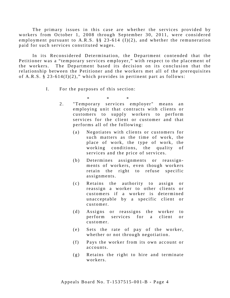The primary issues in this case are whether the services provided by workers from October 1, 2008 through September 30, 2011, were considered employment pursuant to A.R.S.  $\S$   $\S$  23-614 (I)(2), and whether the remuneration paid for such services constituted wages.

In its Reconsidered Determination, the Department contended that the Petitioner was a "temporary services employer," with respect to the placement of the workers. The Department based its decision on its conclusion that the relationship between the Petitioner and the workers met all of the prerequisites of A.R.S.  $\S$  23-614(I)(2)," which provides in pertinent part as follows:

I. For the purposes of this section:

\* \* \*

- 2. "Temporary services employer" means an employing unit that contracts with clients or customers to supply workers to perform services for the client or customer and that performs all of the following:
	- (a) Negotiates with clients or customers for such matters as the time of work, the place of work, the type of work, the working conditions, the quality of services and the price of services.
	- (b) Determines assignments or reassignments of workers, even though workers retain the right to refuse specific assignments.
	- (c) Retains the authority to assign or reassign a worker to other clients or customers if a worker is determined unacceptable by a specific client or customer.
	- (d) Assigns or reassigns the worker to perform services for a client or customer.
	- (e) Sets the rate of pay of the worker, whether or not through negotiation.
	- (f) Pays the worker from its own account or accounts.
	- (g) Retains the right to hire and terminate workers.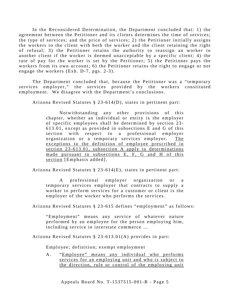In the Reconsidered Determination, the Department concluded that: 1) the agreement between the Petitioner and its clients determines the time of services; the type of services; and the price of services; 2) the Petitioner initially assigns the workers to the client with both the worker and the client retaining the right of refusal; 3) the Petitioner retains the authority to reassign an worker to another client if the worker is deemed unacceptable by a specific client; 4) the rate of pay for the worker is set by the Petitioner; 5) the Petitioner pays the workers from its own account; 6) the Petitioner retains the right to engage or not engage the workers  $(Exh. D-7, pgs. 2-3)$ .

The Department concluded that, because the Petitioner was a "temporary services employer," the services provided by the workers constituted employment. We disagree with the Department's conclusions.

Arizona Revised Statutes § 23 -614(D), states in pertinent part:

Notwithstanding any other provisions of this chapter, whether an individual or entity is the employer of specific employees shall be determined by section 23-613.01, except as provided in subsections E and G of this section with respect to a professional employer organization or a temporary services employer. The exceptions to the definition of employee prescribed in section 23-613.01, subsection A apply to determinations made pursuant to subsections E, F, G and H of this section [Emphasis added].

Arizona Revised Statutes § 23 -614(E), states in pertinent part:

A professional employer organization or a temporary services employer that contracts to supply a worker to perform services for a customer or client is the employer of the worker who performs the services.

Arizona Revised Statutes § 23 -615 defines "employment" as follows:

"Employment" means any service of whatever nature performed by an employee for the person employing him, including service in interstate commerce …

Arizona Revised Statutes § 23 -613.01(A) provides in part:

Employee; definition; exempt employment

A. "Employee" means any individual who performs services for an employing unit and who is subject to the direction, rule or control of the employing unit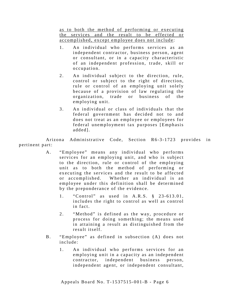as to both the method of performing or executing the services and the result to be effected or accomplished, except employee does not include:

- 1. An individual who performs services as an independent contractor, business person, agent or consultant, or in a capacity characteristic of an independent profession, trade, skill or occupation.
- 2. An individual subject to the direction, rule, control or subject to the right of direction, rule or control of an employing unit solely because of a provision of law regulating the organization, trade or business of the employing unit.
- 3. An individual or class of individuals that the federal government has decided not to and does not treat as an employee or employees for federal unemployment tax purposes [Emphasis added].

Arizona Administrative Code, Section R6-3-1723 provides in pertinent part:

- A. "Employee" means any individual who performs services for an employing unit, and who is subject to the direction, rule or control of the employing unit as to both the method of performing or executing the services and the result to be affected or accomplished. Whether an individual is an employee under this definition shall be determined by the preponderance of the evidence.
	- 1. "Control" as used in A.R.S. § 23-613.01, includes the right to control as well as control in fact.
	- 2. "Method" is defined as the way, procedure or process for doing something; the means used in attaining a result as distinguished from the result itself.
- B. "Employee" as defined in subsection (A) does not include:
	- 1. An individual who performs services for an employing unit in a capacity as an independent contractor, independent business person, independent agent, or independent consultant,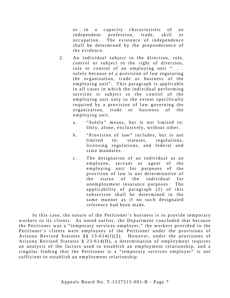or in a capacity characteristic of an independent profession, trade, skill or occupation. The existence of independence shall be determined by the preponderance of the evidence .

- 2. An individual subject to the direction, rule, control or subject to the right of direction, rule or control of an employing unit ". . . solely because of a provision of law regulating the organization, trade or business of the employing unit". This paragraph is applicable in all cases in which the individual performing services is subject to the control of the employing unit only to the extent specifically required by a provision of law governing the organization, trade or business of the employing unit.
	- a. "Solely" means, but is not limited to: Only, alone, exclusively, without other.
	- b. "Provision of law" includes, but is not limited to: statutes, regulations, licensing regulations, and federal and state mandates.
	- c. The designation of an individual as an e mployee, servant or agent of the employing unit for purposes of the provision of law is not determinative of the status of the individual for unemployment insurance purposes. The applica bility of paragraph (2) of this subsection shall be determined in the same manner as if no such designated reference had been made.

In this case, the nature of the Petitioner's business is to provide temporary workers to its clients. As noted earlier, the Department concluded that because the Petitioner was a "temporary services employer," the workers provided to the Petitioner's clients were employees of the Petitioner under the provisions of Arizona Revised Statutes §§ 23-614(I)(2). However, under the provisions of Arizona Revised Statutes § 23 -614(D), a determination of employment requires an analysis of the factors used to establish an employment relationship, and a singular finding that the Petitioner is a "temporary services employer" is not sufficient to establish an employment relationship.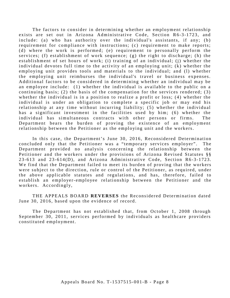The factors to consider in determining whether an employment relationship exists are set out in Arizona Administrative Code, Section R6-3-1723, and include: (a) who has authority over the individual's assistants, if any; (b) requirement for compliance with instructions; (c) requirement to make reports; (d) where the work is performed; (e) requirement to personally perform the services; (f) establishment of work sequence; (g) the right to discharge; (h) the establishment of set hours of work; (i) training of an individual; (j) whether the individual devotes full time to the activity of an employing unit; (k) whether the employing unit provides tools and materials to the individual; and (l) whether the employing unit reimburses the individual's travel or business expenses. Additional factors to be considered in determining whether an individual may be an employee include: (1) whether the individual is available to the public on a continuing basis; (2) the basis of the compensation for the services rendered; (3) whether the individual is in a position to realize a profit or loss; (4) whether the individual is under an obligation to complete a specific job or may end his relationship at any time without incurring liability; (5) whether the individual has a significant investment in the facilities used by him; (6) whether the individual has simultaneous contracts with other persons or firms. The Department bears the burden of proving the existence of an employment relationship between the Petitioner as the employing unit and the workers.

In this case, the Department's June 30, 2016, Reconsidered Determination concluded only that the Petitioner was a "temporary services employer". The Department provided no analysis concerning the relationship between the Petitioner and the workers under the provisions of Arizona Revised Statutes §§ 23-613 and 23-614(D), and Arizona Administrative Code, Section R6-3-1723. We find that the Department failed to meet its burden of proving that the workers were subject to the direction, rule or control of the Petitioner, as required, under the above applicable statutes and regulations, and has, therefore, failed to establish an employer-employee relationship between the Petitioner and the workers. Accordingly,

THE APPEALS BOARD **REVERSES** the Reconsidered Determination dated June 30, 2016, based upon the evidence of record.

The Department has not established that, from October 1, 2008 through September 30, 2011, services performed by individuals as healthcare providers constituted employment.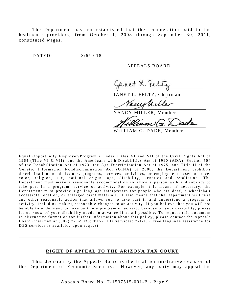The Department has not established that the remuneration paid to the healthcare providers, from October 1, 2008 through September 30, 2011, constituted wages.

DATED: 3/6/2018

#### A PPEALS BOARD

et L. Feli

JANET L. FELTZ, Chairman

Vann M

NANCY MILLER, Member

WILLIAM G. DADE, Member

Equal Opportunity Employer/Program • Under Titles VI and VII of the Civil Rights Act of 1964 (Title VI & VII), and the Americans with Disabilities Act of 1990 (ADA), Section 504 of the Rehabilitation Act of 1973, the Age Discrimination Act of 1975, and Title II of the Genetic Information Nondiscrimination Act (GINA) of 2008, the Department prohibits discrimination in admissions, programs, services, activities, or employment based on race, color, religion, sex, national origin, age, disability, genetics and retaliation . The Department must make a reasonable accommodation to allow a person with a disability to take part in a program, service or activity. For example, this means if necessary, the Department must provide sign language interpreters for people who are deaf, a wheelchair accessible location, or enlarged print materials. It also means that the Department will take any other reasonable action that allows you to take part in and understand a program or activity, including making reasonable changes to an activity. If you believe that you will not be able to understand or take part in a program or activity because of your disability, please let us know of your disability needs in advance if at all possible. To request this document in alternative format or for further information about this policy, please contact the Appeals Board Chairman at (602) 771-9036; TTY/TDD Services: 7-1-1. • Free language assistance for DES services is available upon request.

\_\_\_\_\_\_\_\_\_\_\_\_\_\_\_\_\_\_\_\_\_\_\_\_\_\_\_\_\_\_\_\_\_\_\_\_\_\_\_\_\_\_\_\_\_\_\_\_\_\_\_\_\_\_\_\_\_\_\_\_\_\_\_\_\_\_\_\_\_\_\_\_\_\_\_\_\_\_\_\_\_\_\_\_\_

#### **RIGHT OF APPEAL TO THE ARIZONA TAX COURT**

\_\_\_\_\_\_\_\_\_\_\_\_\_\_\_\_\_\_\_\_\_\_\_\_\_\_\_\_\_\_\_\_\_\_\_\_\_\_\_\_\_\_\_\_\_\_\_\_\_\_\_\_\_\_\_\_\_\_\_\_\_\_\_\_\_\_\_\_\_\_\_\_\_\_\_\_\_\_\_\_\_\_\_\_\_

This decision by the Appeals Board is the final administrative decision of the Department of Economic Security. However, any party may appeal the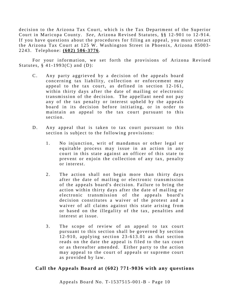decision to the Arizona Tax Court, which is the Tax Department of the Superior Court in Maricopa County. *See*, Arizona Revised Statutes, §§ 12-901 to 12-914. If you have questions about the procedures for filing an appeal, you must contact the Arizona Tax Court at 125 W. Washington Street in Phoenix, Arizona 85003-2243. Telephone: **(602) 506 - 3776** .

For your information, we set forth the provisions of Arizona Revised Statutes,  $§$  41-1993(C) and (D):

- C. Any party aggrieved by a decision of the appeals board concerning tax liability, collection or enforcement may appeal to the tax court, as defined in section 12-161, within thirty days after the date of mailing or electronic transmission of the decision. The appellant need not pay any of the tax penalty or interest upheld by the appeals board in its decision before initiating, or in order to maintain an appeal to the tax court pursuant to this section.
- D. Any appeal that is taken to tax court pursuant to this section is subject to the following provisions:
	- 1. No injunction, writ of mandamus or other legal or equitable process may issue in an action in any court in this state against an officer of this state to prevent or enjoin the collection of any tax, penalty or intere st.
	- 2. The action shall not begin more than thirty days after the date of mailing or electronic transmission of the appeals board's decision. Failure to bring the action within thirty days after the date of mailing or electronic transmission of the appeals board's decision constitutes a waiver of the protest and a waiver of all claims against this state arising from or based on the illegality of the tax, penalties and interest at issue.
	- 3. The scope of review of an appeal to tax court pursuant to this section shall be governed by section  $12 - 910$ , applying section  $23 - 613.01$  as that section reads on the date the appeal is filed to the tax court or as thereafter amended. Either party to the action may appeal to the court of appeals or supreme court as provided by law.

# **Call the Appeals Board at (602) 771-9036 with any questions**

Appeals Board No. T- 1537515 -001 -B - Page 10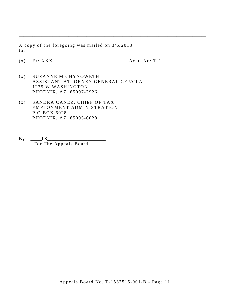A copy of the foregoing was mailed on 3/6/2018 to:

 $(x)$  Er: XXX  $Acct. No: T-1$ 

\_\_\_\_\_\_\_\_\_\_\_\_\_\_\_\_\_\_\_\_\_\_\_\_\_\_\_\_\_\_\_\_\_\_\_\_\_\_\_\_\_\_\_\_\_\_\_\_\_\_\_\_\_\_\_\_\_\_\_\_\_\_\_\_\_\_\_\_\_\_\_\_\_\_\_\_\_\_\_\_\_\_\_

- (x ) SUZANNE M CHYNOWETH ASSISTANT ATTORNEY GENERAL CFP/CLA 1275 W WASHINGTON PHOENIX, AZ 85007 -2926
- (x ) SANDRA CANEZ, CHIEF OF TAX EMPLOYMENT ADMINISTRATION P O BOX 6028 PHOENIX, AZ 85005 -6028
- $By: \underline{\hspace{1cm}} LS \underline{\hspace{1cm}}$ For The Appeals Board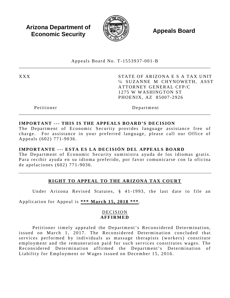**Arizona Department of Economic Security**  $\mathbb{R}$  **Appeals Board Economic Security** 



Appeals Board No. T - 1553937 -001 - B \_\_\_\_\_\_\_\_\_\_\_\_\_\_\_\_\_\_\_\_\_\_\_\_\_\_\_\_\_\_\_\_\_\_\_\_\_\_\_\_\_\_\_\_\_\_\_\_\_\_\_\_\_\_\_\_\_\_\_\_\_\_\_\_\_\_\_\_\_\_\_\_\_\_\_\_\_\_\_\_\_\_\_\_\_

XXX STATE OF ARIZONA E S A TAX UNIT ℅ SUZANNE M CHYNOWETH, ASST ATTORNEY GENERAL CFP/C 1275 W WASHINGTON ST PHOENIX, AZ 85007 -2926

Petitioner Department

#### **IMPORTANT --- THIS IS THE APPEALS BOARD'S DECISION**

The Department of Economic Security provides language assistance free of charge. For assistance in your preferred language, please call our Office of Appeals (602) 771 -9036 .

\_\_\_\_\_\_\_\_\_\_\_\_\_\_\_\_\_\_\_\_\_\_\_\_\_\_\_\_\_\_\_\_\_\_\_\_\_\_\_\_\_\_\_\_\_\_\_\_\_\_\_\_\_\_\_\_\_\_\_\_\_\_\_\_\_\_\_\_\_\_\_\_\_\_\_\_\_\_\_\_\_\_\_\_\_

#### **IMPORTANTE --- ESTA ES LA DECISIÓN DEL APPEALS BOARD**

The Department of Economic Security suministra ayuda de los idiomas gratis. Para recibir ayuda en su idioma preferido, por favor comunicarse con la oficina de apelaciones (602) 771 - 9036 .

# **RIGHT TO APPEAL TO THE ARIZONA TAX COURT**

Under Arizona Revised Statutes, § 41-1993, the last date to file an

Application for Appeal is **\*\*\* March 15, 2018 \*\*\*** .

#### DECISION **AFFIRMED**

Petitioner timely appealed the Department's Reconsidered Determination, issued on March 1, 2017. The Reconsidered Determination concluded that services performed by individuals as massage therapists (workers) constitute employment and the remuneration paid for such services constitutes wages. The Reconsidered Determination affirmed the Department's Determination of Liability for Employment or Wages issued on December 15, 2016.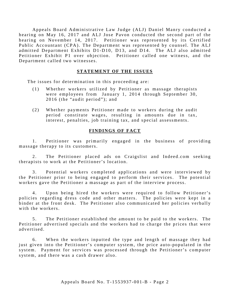Appeals Board Administrative Law Judge (ALJ) Daniel Manry conducted a hearing on May 16, 2017 and ALJ Jose Pavon conducted the second part of the hearing on November 14, 2017. Petitioner was represented by its Certified Public Accountant (CPA). The Department was represented by counsel. The ALJ admitted Department Exhibits D1 -D10, D13, and D14. The ALJ also admitted Petitioner Exhibit P1 over objection. Petitioner called one witness, and the Department called two witnesses.

#### **STATEMENT OF THE ISSUES**

The issues for determination in this proceeding are:

- (1) Whether workers utilized by Petitioner as massage therapists were employees from January 1, 2014 through September 30, 2016 (the "audit period"); and
- (2) Whether payments Petitioner made to workers during the audit period constitute wages, resulting in amounts due in tax, interest, penalties, job training tax, and special assessments.

#### **FINDINGS OF FACT**

1. Petitioner was primarily engaged in the business of providing massage therapy to its customers.

2. The Petitioner placed ads on Craigslist and Indeed.com seeking therapists to work at the Petitioner's location.

3. Potential workers completed applications and were interviewed by the Petitioner prior to being engaged to perform their services. The potential workers gave the Petitioner a massage as part of the interview process.

4. Upon being hired the workers were required to follow Petitioner's policies regarding dress code and other matters. The policies were kept in a binder at the front desk. The Petitioner also communicated her policies verbally with the workers.

5. The Petitioner established the amount to be paid to the workers. The Petitioner advertised specials and the workers had to charge the prices that were advertised.

6. When the workers inputted the type and length of massage they had just given into the Petitioner's computer system, the price auto-populated in the system. Payment for services was processed through the Petitioner's computer system, and there was a cash drawer also.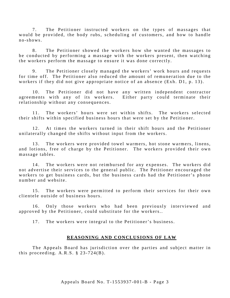7. The Petitioner instructed workers on the types of massages that would be provided, the body rubs, scheduling of customers, and how to handle  $no - shows.$ 

8. The Petitioner showed the workers how she wanted the massages to be conducted by performing a massage with the workers present, then watching the workers perform the massage to ensure it was done correctly.

9. The Petitioner closely managed the workers' work hours and requests for time off. The Petitioner also reduced the amount of remuneration due to the workers if they did not give appropriate notice of an absence (Exh. D1, p. 13).

10. The Petitioner did not have any written independent contractor agreements with any of its workers. Either party could terminate their relationship without any consequences.

11. The workers' hours were set within shifts. The workers selected their shifts within specified business hours that were set by the Petitioner.

12. At times the workers turned in their shift hours and the Petitioner unilaterally changed the shifts without input from the workers.

13. The workers were provided towel warmers, hot stone warmers, linens, and lotions, free of charge by the Petitioner. The workers provided their own massage tables.

14. The workers were not reimbursed for any expenses. The workers did not advertise their services to the general public. The Petitioner encouraged the workers to get business cards, but the business cards had the Petitioner's phone number and website.

15. The workers were permitted to perform their services for their own clientele outside of business hours.

16. Only those workers who had been previously interviewed and approved by the Petitioner, could substitute for the workers..

17. The workers were integral to the Petitioner's business.

#### **REASONING AND CONCLUSIONS OF LAW**

The Appeals Board has jurisdiction over the parties and subject matter in this proceeding.  $A.R.S. \S 23-724(B)$ .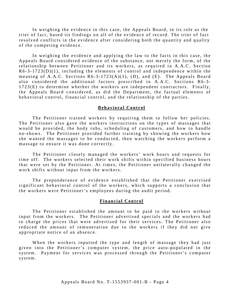In weighing the evidence in this case, the Appeals Board, in its role as the trier of fact, based its findings on all of the evidence of record. The trier of fact resolved conflicts in the evidence after considering both the quantity and quality of the competing evidence.

In weighing the evidence and applying the law to the facts in this case, the Appeals Board considered evidence of the substance, not merely the form, of the relationship between Petitioner and its workers, as required in A.A.C. Section  $R6-3-1723(D)(1)$ , including the elements of control and independence within the meaning of A.A.C. Sections  $R6-3-1723(A)(1)$ , (D), and (E). The Appeals Board also considered the additional factors prescribed in A.A.C. Sections R6-3-1723(E) to determine whether the workers are independent contractors. Finally, the Appeals Board considered, as did the Department, the factual elements of behavioral control, financial control, and the relationship of the parties.

#### **Behavioral Control**

The Petitioner trained workers by requiring them to follow her policies. The Petitioner also gave the workers instructions on the types of massages that would be provided, the body rubs, scheduling of customers, and how to handle no-shows. The Petitioner provided further training by showing the workers how she wanted the massages to be conducted, then watching the workers perform a massage to ensure it was done correctly.

The Petitioner closely managed the workers' work hours and requests for time off. The workers selected their work shifts within specified business hours that were set by the Petitioner. At times, the Petitioner unilaterally changed the work shifts without input from the workers.

The preponderance of evidence established that the Petitioner exercised significant behavioral control of the workers, which supports a conclusion that the workers were Petitioner's employees during the audit period.

#### **Financial Control**

The Petitioner established the amount to be paid to the workers without input from the workers. The Petitioner advertised specials and the workers had to charge the prices that were advertised for their services. The Petitioner also reduced the amount of remuneration due to the workers if they did not give appropriate notice of an absence .

When the workers inputted the type and length of massage they had just given into the Petitioner's computer system, the price auto-populated in the system. Payment for services was processed through the Petitioner's computer system.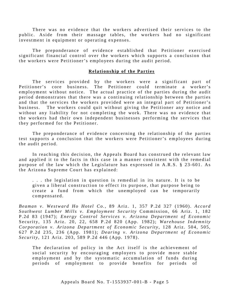There was no evidence that the workers advertised their services to the public. Aside from their massage tables, the workers had no significant investment in equipment or operating expenses.

The preponderance of evidence established that Petitioner exercised significant financial control over the workers which supports a conclusion that the workers were Petitioner's employees during the audit period.

#### **Relationship of the Parties**

The services provided by the workers were a significant part of Petitioner's core business. The Petitioner could terminate a worker's employment without notice. The actual practice of the parties during the audit period demonstrates that there was a continuing relationship between the parties and that the services the workers provided were an integral part of Petitioner's business. The workers could quit without giving the Petitioner any notice and without any liability for not completing the work . There was no evidence that the workers had their own independent businesses performing the services that they performed for the Petitioner.

The preponderance of evidence concerning the relationship of the parties test supports a conclusion that the workers were Petitioner's employees during the audit period.

In reaching this decision, the Appeals Board has construed the relevant law and applied it to the facts in this case in a manner consistent with the remedial purpose of the law which the Legislature has expressed in A.R.S. § 23-601. As the Arizona Supreme Court has explained:

. . . the legislation in question is remedial in its nature. It is to be given a liberal construction to effect its purpose, that purpose being to create a fund from which the unemployed can be temporarily compensated.

*Beaman v. Westward Ho Hotel Co.,* 89 Ariz. 1, 357 P.2d 327 (1960). *Accord Southwest Lumber Mills v. Employment Security* Commission, 66 Ariz. 1, 182 P.2 d 83 (1947); *Energy Control Services v. Arizona Department of Economic* Security, 135 Ariz. 20, 22, 658 P.2d 820 (App. 1982); *Warehouse Indemnity Corporation v. Arizona Department of Economic Security* , 128 Ariz. 504, 505, 627 P.2d 235, 236 (App. 1981); *Dearing v. Arizona Department of Economic Security* , 121 Ariz. 203, 589 P.2d 446 (App. 1978).

The declaration of policy in the Act itself is the achievement of social security by encouraging employers to provide more stable employment and by the systematic accumulation of funds during periods of employment to provide benefits for periods of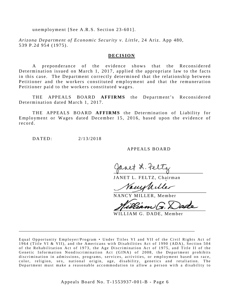unemployment [See A.R.S. Section 23-601].

*Arizona Department of Economic Security v. Little* , 24 Ariz. App 480, 539 P.2d 954 (1975).

#### **DECISION**

A preponderance of the evidence shows that the Reconsidered Determination issued on March 1, 2017, applied the appropriate law to the facts in this case. The Department correctly determined that the relationship between Petitioner and the workers constituted employment and that the remuneration Petitioner paid to the workers constituted wages.

THE APPEALS BOARD **AFFIRMS** the Department's Reconsidered Determination dated March 1, 2017.

THE APPEALS BOARD **AFFIRMS** the Determination of Liability for Employment or Wages dated December 15, 2016, based upon the evidence of record.

DATED: 2/13/2018

A PPEALS BOARD

Haret 2. te

JANET L. FELTZ, Chairman

Vacustiller

NANCY MILLER, Member

WILLIAM G. DADE, Member

Equal Opportunity Employer/Program • Under Titles VI and VII of the Civil Rights Act of 1964 (Title VI & VII), and the Americans with Disabilities Act of 1990 (ADA), Section 504 of the Rehabilitation Act of 1973, the Age Discrimination Act of 1975, and Title II of the Genetic Information Nondiscrimination Act (GINA) of 2008, the Department prohibits discrimination in admissions, programs, services, activities, or employment based on race, color, religion, sex, national origin, age, disability, genetics and retaliation. The Department must make a reasonable accommodation to allow a person with a disability to

\_\_\_\_\_\_\_\_\_\_\_\_\_\_\_\_\_\_\_\_\_\_\_\_\_\_\_\_\_\_\_\_\_\_\_\_\_\_\_\_\_\_\_\_\_\_\_\_\_\_\_\_\_\_\_\_\_\_\_\_\_\_\_\_\_\_\_\_\_\_\_\_\_\_\_\_\_\_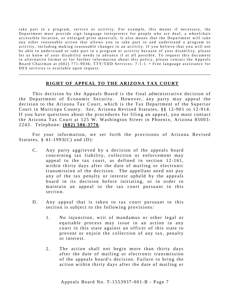take part in a program, service or activity. For example, this means if necessary, the Department must provide sign language interpreters for people who are deaf, a wheelchair accessible location, or enlarged print materials. It also means that the Department will take any other reasonable action that allows you to take part in and understand a program or activity, including making reasonable changes to an activity. If you believe that you will not be able to understand or take part in a program or activity because of your disability, please let us know of your disability needs in advance if at all possible. To request this document in alternative format or for further information about this policy, please contact the Appeals Board Chairman at (602) 771-9036; TTY/TDD Services: 7-1-1. • Free language assistance for DES services is available upon request.

#### **RIGHT OF APPEAL TO THE ARIZONA TAX COURT**

\_\_\_\_\_\_\_\_\_\_\_\_\_\_\_\_\_\_\_\_\_\_\_\_\_\_\_\_\_\_\_\_\_\_\_\_\_\_\_\_\_\_\_\_\_\_\_\_\_\_\_\_\_\_\_\_\_\_\_\_\_\_\_\_\_\_\_\_\_\_\_\_\_\_\_\_\_\_\_\_\_\_\_\_\_

This decision by the Appeals Board is the final administrative decision of the Department of Economic Security. However, any party may appeal the decision to the Arizona Tax Court, which is the Tax Department of the Superior Court in Maricopa County. *See*, Arizona Revised Statutes, §§ 12-901 to 12-914. If you have questions about the procedures for filing an appeal, you must contact the Arizona Tax Court at 125 W. Washington Street in Phoenix, Arizona 85003-2243. Telephone: **(602) 506 - 3776** .

For your information, we set forth the provisions of Arizona Revised Statutes,  $§$  41-1993(C) and (D):

- C. Any party aggrieved by a decision of the appeals board concerning tax liability, collection or enforcement may appeal to the tax court, as defined in section 12-161, within thirty days after the date of mailing or electronic transmission of the decision. The appellant need not pay any of the tax penalty or interest upheld by the appeals board in its decision before initiating, or in order to maintain an appeal to the tax court pursuant to this section.
- D. Any appeal that is taken to tax court pursuant to this section is subject to the following provisions:
	- 1. No injunction, writ of mandamus or other legal or equitable process may issue in an action in any court in this state against an officer of this state to prevent or enjoin the collection of any tax, penalty or interest.
	- 2. The action shall not begin more than thirty days after the date of mailing or electronic transmission of the appeals board's decision. Failure to bring the action within thirty days after the date of mailing or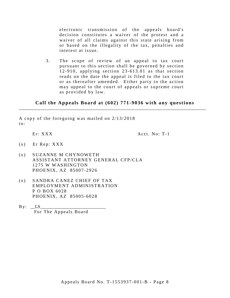electronic transmission of the appeals board's decision constitutes a waiver of the protest and a waiver of all claims against this state arising from or based on the illegality of the tax, penalties and interest at issue.

3. The scope of review of an appeal to tax court pursuant to this section shall be governed by section 1 2 -910, applying section 23- 613.01 as that section reads on the date the appeal is filed to the tax court or as thereafter amended. Either party to the action may appeal to the court of appeals or supreme court as provided by law.

#### **Call the Appeals Board at (602) 771-9036 with any questions** \_\_\_\_\_\_\_\_\_\_\_\_\_\_\_\_\_\_\_\_\_\_\_\_\_\_\_\_\_\_\_\_\_\_\_\_\_\_\_\_\_\_\_\_\_\_\_\_\_\_\_\_\_\_\_\_\_\_\_\_\_\_\_\_\_\_\_\_\_\_\_\_\_\_\_\_\_\_\_\_\_\_\_

A copy of the foregoing was mailed on 2/13/2018 to:

Er: XXX Acct. No: T-1

- $(x)$  Er Rep: XXX
- (x ) SUZANNE M CHYNOWETH ASSISTANT ATTORNEY GENERAL CFP/CLA 1275 W WASHINGTON PHOENIX, AZ 85007 -2926
- (x ) SANDRA CANEZ CHIEF OF TAX EMPLOYMENT ADMINISTRATION P O BOX 6028 PHOENIX, AZ 85005 -6028
- $By: \quad \_LS$ For The Appeals Board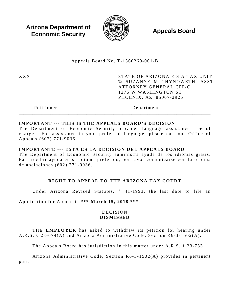**Arizona Department of Economic Security**  $\mathbb{R}$  **Appeals Board Economic Security** 



Appeals Board No. T - 1560260 -001 - B \_\_\_\_\_\_\_\_\_\_\_\_\_\_\_\_\_\_\_\_\_\_\_\_\_\_\_\_\_\_\_\_\_\_\_\_\_\_\_\_\_\_\_\_\_\_\_\_\_\_\_\_\_\_\_\_\_\_\_\_\_\_\_\_\_\_\_\_\_\_\_\_\_\_\_\_\_\_\_\_\_\_\_\_\_

XXX STATE OF ARIZONA E S A TAX UNIT ℅ SUZANNE M CHYNOWETH, ASST ATTORNEY GENERAL CFP/C 1275 W WASHINGTON ST PHOENIX, AZ 85007 -2926

Petitioner Department

# **IMPORTANT --- THIS IS THE APPEALS BOARD'S DECISION**

The Department of Economic Security provides language assistance free of charge. For assistance in your preferred language, please call our Office of Appeals (602) 771 -9036 .

\_\_\_\_\_\_\_\_\_\_\_\_\_\_\_\_\_\_\_\_\_\_\_\_\_\_\_\_\_\_\_\_\_\_\_\_\_\_\_\_\_\_\_\_\_\_\_\_\_\_\_\_\_\_\_\_\_\_\_\_\_\_\_\_\_\_\_\_\_\_\_\_\_\_\_\_\_\_\_\_\_\_\_\_\_

#### **IMPORTANTE --- ESTA ES LA DECISIÓN DEL APPEALS BOARD**

The Department of Economic Security suministra ayuda de los idiomas gratis. Para recibir ayuda en su idioma preferido, por favor comunicarse con la oficina de apelaciones (602) 771 - 9036 .

# **RIGHT TO APPEAL TO THE ARIZONA TAX COURT**

Under Arizona Revised Statutes, § 41-1993, the last date to file an

Application for Appeal is **\*\*\* March 15, 2018 \*\*\*** .

#### DECISION **DISMISSED**

THE **EMPLOYER** has asked to withdraw its petition for hearing under A.R.S. § 23-674(A) and Arizona Administrative Code, Section R6-3-1502(A).

The Appeals Board has jurisdiction in this matter under A.R.S. § 23-733.

Arizona Administrative Code, Section R6-3-1502(A) provides in pertinent part: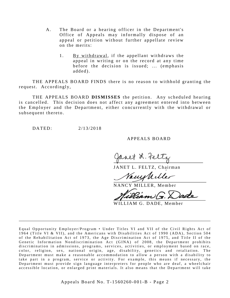- A. The Board or a hearing officer in the Department's Office of Appeals may informally dispose of an appeal or petition without further appellate review on the merits:
	- 1. By withdrawal, if the appellant withdraws the appeal in writing or on the record at any time before the decision is issued; ... (emphasis added).

THE APPEALS BOARD FINDS there is no reason to withhold granting the request. Accordingly,

THE APPEALS BOARD **DISMISSES** the petition. Any scheduled hearing is cancelled. This decision does not affect any agreement entered into between the Employer and the Department, either concurrently with the withdrawal or subsequent thereto.

DATED: 2/13/2018

A PPEALS BOARD

anet & Feltz

JANET L. FELTZ, Chairman

Vacughilles

NANCY MILLER, Member

Diam G. Dade

WILLIAM G. DADE, Member

Equal Opportunity Employer/Program • Under Titles VI and VII of the Civil Rights Act of 1964 (Title VI & VII), and the Americans with Disabilities Act of 1990 (ADA), Section 504 of the Rehabilitation Act of 1973, the Age Discrimination Act of 1975, and Title II of the Genetic Information Nondiscrimination Act (GINA) of 2008, the Department prohibits discrimination in admissions, programs, services, activities, or employment based on race, color, religion, sex, national origin, age, disability, genetics and retaliation. The Department must make a reasonable accommodation to allow a person with a disability to take part in a program, service or activity. For example, this me ans if necessary, the Department must provide sign language interpreters for people who are deaf, a wheelchair accessible location, or enlarged print materials. It also means that the Department will take

\_\_\_\_\_\_\_\_\_\_\_\_\_\_\_\_\_\_\_\_\_\_\_\_\_\_\_\_\_\_\_\_\_\_\_\_\_\_\_\_\_\_\_\_\_\_\_\_\_\_\_\_\_\_\_\_\_\_\_\_\_\_\_\_\_\_\_\_\_\_\_\_\_\_\_\_\_\_\_\_\_\_\_\_\_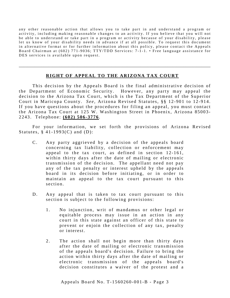any other reasonable action that allows you to take part in and understand a program or activity, including making reasonable changes to an activity. If you believe that you will not be able to understand or take part in a program or activity because of your disability, please let us know of your disability needs in advance if at all possible. To request this document in alternative format or for further information about this policy, please contact the Appeals Board Chairman at (602) 771-9036; TTY/TDD Services: 7-1-1. • Free language assistance for DES services is available upon request.

# **RIGHT OF APPEAL TO THE ARIZONA TAX COURT**

\_\_\_\_\_\_\_\_\_\_\_\_\_\_\_\_\_\_\_\_\_\_\_\_\_\_\_\_\_\_\_\_\_\_\_\_\_\_\_\_\_\_\_\_\_\_\_\_\_\_\_\_\_\_\_\_\_\_\_\_\_\_\_\_\_\_\_\_\_\_\_\_\_\_\_\_\_\_\_\_\_\_\_\_\_

This decision by the Appeals Board is the final administrative decision of the Department of Economic Security. However, any party may appeal the decision to the Arizona Tax Court, which is the Tax Department of the Superior Court in Maricopa County. *See*, Arizona Revised Statutes, §§ 12-901 to 12-914. If you have questions about the procedures for filing an appeal, you must contact the Arizona Tax Court at 125 W. Washington Street in Phoenix, Arizona 85003-2243. Telephone: **(602) 506 - 3776** .

For your information, we set forth the provisions of Arizona Revised Statutes,  $§$  41-1993(C) and (D):

- C. Any party aggrieved by a decision of the appeals board concerning tax liability, collection or enforcement may appeal to the tax court, as defined in section 12-161, within thirty days after the date of mailing or electronic transmission of the decision. The appellant need not pay any of the tax penalty or interest upheld by the appeals board in its decision before initiating, or in order to maintain an appeal to the tax court pursuant to this section.
- D. Any appeal that is taken to tax court pursuant to this section is subject to the following provisions:
	- 1. No injunction, writ of mandamus or other legal or equitable process may issue in an action in any court in this state against an officer of this state to prevent or enjoin the collection of any tax, penalty or interest.
	- 2. The action shall not begin more than thirty days after the date of mailing or electronic transmission of the appeals board's decision. Failure to bring the action within thirty days after the date of mailing or electronic transmission of the appeals board's decision constitutes a waiver of the protest and a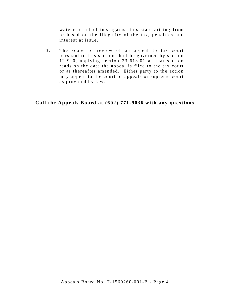waiver of all claims against this state arising from or based on the illegality of the tax, penalties and interest at issue.

3. The scope of review of an appeal to tax court pursuant to this section shall be governed by section 12-910, applying section  $23-613.01$  as that section reads on the date the appeal is filed to the tax court or as thereafter amended. Either party to the action may appeal to the court of appeals or supreme court as provided by law.

## **Call the Appeals Board at (602) 771-9036 with any questions**

\_\_\_\_\_\_\_\_\_\_\_\_\_\_\_\_\_\_\_\_\_\_\_\_\_\_\_\_\_\_\_\_\_\_\_\_\_\_\_\_\_\_\_\_\_\_\_\_\_\_\_\_\_\_\_\_\_\_\_\_\_\_\_\_\_\_\_\_\_\_\_\_\_\_\_\_\_\_\_\_\_\_\_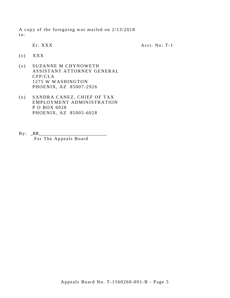A copy of the foregoing was mailed on 2/13/2018 to:

Er: XXX

Acct. No: T-1

- $(x)$   $XXX$
- (x ) SUZANNE M CHYNOWETH ASSISTANT ATTORNEY GENERAL CFP/CLA 1275 W WASHINGTON PHOENIX, AZ 85007 -2926
- (x ) SANDRA CANEZ, CHIEF OF TAX EMPLOYMENT ADMINISTRATION P O BOX 6028 PHOENIX, AZ 85005 -6028
- By: \_RR\_\_\_\_\_\_\_\_\_\_\_\_\_\_\_\_\_\_\_\_\_\_\_\_\_\_\_\_\_\_ For The Appeals Board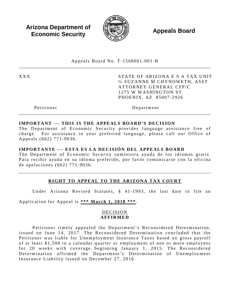**Arizona Department of Economic Security**  $\mathbb{R}$  **Appeals Board Economic Security** 



Appeals Board No. T - 1568061 -001 - B \_\_\_\_\_\_\_\_\_\_\_\_\_\_\_\_\_\_\_\_\_\_\_\_\_\_\_\_\_\_\_\_\_\_\_\_\_\_\_\_\_\_\_\_\_\_\_\_\_\_\_\_\_\_\_\_\_\_\_\_\_\_\_\_\_\_\_\_\_\_\_\_\_\_\_\_\_\_\_\_\_\_\_\_\_

XXX STATE OF ARIZONA E S A TAX UNIT ℅ SUZANNE M CHYNOWETH, ASST ATTORNEY GENERAL CFP/C 1275 W WASHINGTON ST PHOENIX, AZ 85007 -2926

Petitioner Department

## **IMPORTANT --- THIS IS THE APPEALS BOARD'S DECISION**

The Department of Economic Security provides language assistance free of charge. For assistance in your preferred language, please call our Office of Appeals (602) 771 -9036 .

\_\_\_\_\_\_\_\_\_\_\_\_\_\_\_\_\_\_\_\_\_\_\_\_\_\_\_\_\_\_\_\_\_\_\_\_\_\_\_\_\_\_\_\_\_\_\_\_\_\_\_\_\_\_\_\_\_\_\_\_\_\_\_\_\_\_\_\_\_\_\_\_\_\_\_\_\_\_\_\_\_\_\_\_\_

# **IMPORTANTE --- ESTA ES LA DECISIÓN DEL APPEALS BOARD**

The Department of Economic Security suministra ayuda de los idiomas gratis. Para recibir ayuda en su idioma preferido, por favor comunicarse con la oficina de apelaciones (602) 771 - 9036 .

# **RIGHT TO APPEAL TO THE ARIZONA TAX COURT**

Under Arizona Revised Statutes, § 41-1993, the last date to file an

Application for Appeal is **\*\*\* March 1, 2018 \*\*\***.

# DECISION **AFFIRMED**

Petitioner timely appealed the Department's Reconsidered Determination, issued on June 14, 2017. The Reconsidered Determination concluded that the Petitioner was liable for Unemployment Insurance Taxes based on gross payroll of at least \$1, 500 in a calendar quarter or employment of one or more employees for 20 weeks with coverage beginning January 1, 2015. The Reconsidered Determination affirmed the Department's Determination of Unemployment Insurance Liability issued on December 27, 2016.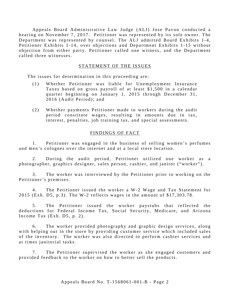Appeals Board Administrative Law Judge (ALJ) Jose Pavon conducted a hearing on November 7, 2017. Petitioner was represented by its sole owner. The Department was represented by counsel. The ALJ admitted Board Exhibits 1-4, Petitioner Exhibits 1-14, over objections and Department Exhibits 1-15 without objection from either party. Petitioner called one witness, and the Department called three witnesses.

## STATEMENT OF THE ISSUES

The issues for determination in this proceeding are:

- (1) Whether Petitioner was liable for Unemployment Insurance Taxes based on gross payroll of at least \$1 ,500 in a calendar quarter beginning on January 1, 2015 through December 31, 2016 (Audit Period); and
- (2) Whether payments Petitioner made to workers during the audit period constitute wages, resulting in amounts due in tax, interest, penalties, job training tax, and special assessments.

## FINDINGS OF FACT

1. Petitioner was engaged in the business of selling women's perfumes and men's colognes over the internet and at a local store location.

2. During the audit period, Petitioner utilized one worker as a photographer, graphics designer, sales person, cashier, and janitor ("worker").

3 . The worker was interviewed by the Petitioner prior to working on the Petitioner's premises.

4. The Petitioner issued the worker a W-2 Wage and Tax Statement for 2015 (Exh. D5, p.3). The W-2 reflects wages in the amount of \$17,303.78.

5 . The Petitioner issued the worker paystubs that reflected the deductions for Federal Income Tax, Social Security, Medicare, and Arizona Income Tax (Exh. D5, p. 2).

6 . The worker provided photography and graphic design services, along with helping out in the store by providing customer service which included sales of the inventory. The worker was also directed to perform cashier services and at times janitorial tasks.

7. The Petitioner supervised the worker as she engaged customers and provided feedback to the worker on how to better sell the products.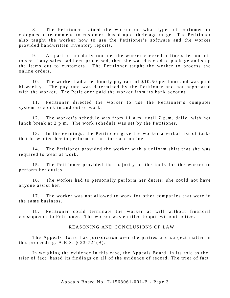8. The Petitioner trained the worker on what types of perfumes or colognes to recommend to customers based upon their age range. The Petitioner also taught the worker how to use the Petitioner's software and the worker provided handwritten inventory reports.

9. As part of her daily routine, the worker checked online sales outlets to see if any sales had been processed, then she was directed to package and ship the items out to customers. The Petitioner taught the worker to process the online orders.

10. The worker had a set hourly pay rate of \$10.50 per hour and was paid bi-weekly. The pay rate was determined by the Petitioner and not negotiated with the worker. The Petitioner paid the worker from its bank account.

11. Petitioner directed the worker to use the Petitioner's computer system to clock in and out of work.

12. The worker's schedule was from 11 a.m. until 7 p.m. daily, with her lunch break at 2 p.m. The work schedule was set by the Petitioner.

13. In the evenings, the Petitioner gave the worker a verbal list of tasks that he wanted her to perform in the store and online.

14. The Petitioner provided the worker with a uniform shirt that she was required to wear at work.

15. The Petitioner provided the majority of the tools for the worker to perform her duties.

16. The worker had to personally perform her duties; she could not have anyone assist her.

17. The worker was not allowed to work for other companies that were in the same business.

18. Petitioner could terminate the worker at will without financial consequence to Petitioner. The worker was entitled to quit without notice.

#### REASONING AND CONCLUSIONS OF LAW

The Appeals Board has jurisdiction over the parties and subject matter in this proceeding.  $A.R.S. \S 23-724(B)$ .

In weighing the evidence in this case, the Appeals Board, in its role as the trier of fact, based its findings on all of the evidence of record. The trier of fact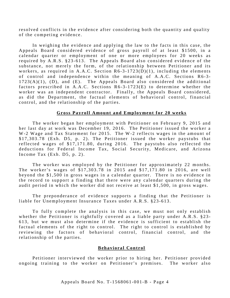resolved conflicts in the evidence after considering both the quantity and quality of the competing evidence.

In weighing the evidence and applying the law to the facts in this case, the Appeals Board considered evidence of gross payroll of at least \$1500, in a calendar quarter or employment of one or more employees for 20 weeks as required by A.R.S. §23-613. The Appeals Board also considered evidence of the substance, not merely the form, of the relationship between Petitioner and its workers, as required in A.A.C. Section  $R6-3-1723(D)(1)$ , including the elements of control and independence within the meaning of A.A.C. Sections R6-3- $1723(A)(1)$ , (D), and (E). The Appeals Board also considered the additional factors prescribed in A.A.C. Sections  $R6-3-1723(E)$  to determine whether the worker was an independent contractor. Finally, the Appeals Board considered, as did the Department, the factual elements of behavioral control, financial control, and the relationship of the parties.

#### **Gross Payroll Amount and Employment for 20 weeks**

The worker began her employment with Petitioner on February 9, 2015 and her last day at work was December 19, 2016. The Petitioner issued the worker a W-2 Wage and Tax Statement for 2015. The W-2 reflects wages in the amount of \$17,303.78 (Exh. D5, p. 2). The Petitioner issued the worker paystubs that reflected wages of \$17,171.80, during 2016. The paystubs also reflected the deductions for Federal Income Tax, Social Security, Medicare, and Arizona Income Tax (Exh. D5, p. 2).

The worker was employed by the Petitioner for approximately 22 months. The worker's wages of \$17,303.78 in 2015 and \$17,171.80 in 2016, are well beyond the \$1 ,500 in gross wages in a calendar quarter. There is no evidence in the record to support a finding that there were any calendar quarters during the audit period in which the worker did not receive at least \$1 ,500, in gross wages.

The preponderance of evidence supports a finding that the Petitioner is liable for Unemployment Insurance Taxes under A.R.S. §23-613.

To fully complete the analysis in this case, we must not only establish whether the Petitioner is rightfully covered as a liable party under A.R.S. §23-613, but we must also determine if the evidence is sufficient to establish the factual elements of the right to control. The right to control is established by reviewing the factors of behavioral control, financial control, and the relationship of the parties.

#### **Behavioral Control**

Petitioner interviewed the worker prior to hiring her. Petitioner provided ongoing training to the worker on Petitioner's premises. The worker also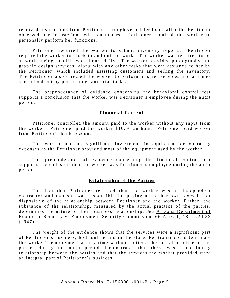received instructions from Petitioner through verbal feedback after the Petitioner observed her interactions with customers. Petitioner required the worker to personally perform her functions.

Petitioner required the worker to submit inventory reports. Petitioner required the worker to clock in and out for work. The worker was required to be at work during specific work hours daily. The worker provided photography and graphic design services, along with any other tasks that were assigned to her by the Petitioner, which included assisting customers and selling the inventory. The Petitioner also directed the worker to perform cashier services and at times she helped out by performing janitorial tasks.

The preponderance of evidence concerning the behavioral control test supports a conclusion that the worker was Petitioner's employee during the audit period.

## **Financial Control**

Petitioner controlled the amount paid to the worker without any input from the worker. Petitioner paid the worker \$10.50 an hour. Petitioner paid worker from Petitioner's bank account.

The worker had no significant investment in equipment or operating expenses as the Petitioner provided most of the equipment used by the worker.

The preponderance of evidence concerning the financial control test supports a conclusion that the worker was Petitioner's employee during the audit peri od.

## **Relationship of the Parties**

The fact that Petitioner testified that the worker was an independent contractor and that she was responsible for paying all of her own taxes is not dispositive of the relationship between Petitioner and the worker. Rather, the substance of the relationship, measured by the actual practice of the parties, determines the nature of their business relationship. *See* Arizona Department of Economic Security v. Employment Security Commission, 66 Ariz. 1, 182 P.2d 83 (1947).

The weight of the evidence shows that the services were a significant part of Petitioner's business, both online and in the store . Petitioner could terminate the worker's employment at any time without notice. The actual practice of the parties during the audit period demonstrates that there was a continuing relationship between the parties and that the services the worker provided were an integral part of Petitioner's business.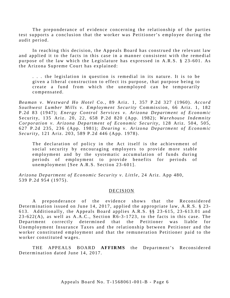The preponderance of evidence concerning the relationship of the parties test supports a conclusion that the worker was Petitioner's employee during the audit period.

In reaching this decision, the Appeals Board has construed the relevant law and applied it to the facts in this case in a manner consistent with the remedial purpose of the law which the Legislature has expressed in A.R.S. § 23-601. As the Arizona Supreme Court has explained:

. . . the legislation in question is remedial in its nature. It is to be given a liberal construction to effect its purpose, that purpose being to create a fund from which the unemployed can be temporarily compensated.

*Beaman v. Westward Ho Hotel Co.,* 89 Ariz. 1, 357 P.2d 327 (1960). *Accord Southwest Lumber Mills v. Employment Security* Commission, 66 Ariz. 1, 182 P.2d 83 (1947); *Energy Control Services v. Arizona Department of Economic* Security, 135 Ariz. 20, 22, 658 P.2d 820 (App. 1982); *Warehouse Indemnity Corporation v. Arizona Department of Economic Security* , 128 Ariz. 504, 505, 627 P.2d 235, 236 (App. 1981); *Dearing v. Arizona Department of Economic Security* , 121 Ariz. 203, 589 P.2d 446 (App. 1978).

The declaration of policy in the Act itself is the achievement of social security by encouraging employers to provide more stable employment and by the systematic accumulation of funds during periods of employment to provide benefits for periods of unemployment [See A.R.S. Section 23-601].

*Arizona Department of Economic Security v. Little* , 24 Ariz. App 480, 539 P.2d 954 (1975).

#### DECISION

A preponderance of the evidence shows that the Reconsidered Determination issued on June 14, 2017, applied the appropriate law, A.R.S. § 23-613. Additionally, the Appeals Board applies A.R.S. §§ 23 -615, 23 -613.01 and  $23-622(A)$ , as well as  $A.A.C.,$  Section  $R6-3-1723$ , to the facts in this case. The Department correctly determined that the Petitioner was liable for Unemployment Insurance Taxes and the relationship between Petitioner and the worker constituted employment and that the remuneration Petitioner paid to the worker constituted wages.

THE APPEALS BOARD **AFFIRMS** the Department's Reconsidered Determination dated June 14, 2017.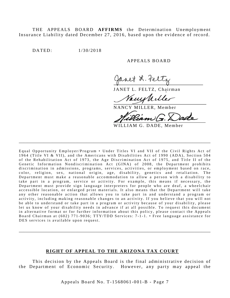THE APPEALS BOARD **AFFIRMS** the Determination Unemployment Insurance Liability dated December 27, 2016, based upon the evidence of record.

DATED: 1/30/2018

#### A PPEALS BOARD

JANET L. FELTZ, Chairman

ams Mille

NANCY MILLER, Member

WILLIAM G. DADE, Member

Equal Opportunity Employer/Program • Under Titles VI and VII of the Civil Rights Act of 1964 (Title VI & VII), and the Americans with Disabilities Act of 1990 (ADA), Section 504 of the Rehabilitation Act of 1973, the Age Discrimination Act of 1975, and Title II of the Genetic Information Nondiscrimination Act (GINA) of 2008, the Department prohibits discrimination in admissions, programs, services, activities, or employment based on race, color, religion, sex, national origin, age, disability, genetics and retaliation. The Department must make a reasonable accommodation to allow a person with a disability to take part in a program, service or activity. For example, this means if necessary, the Department must provide sign language interpreters for people who are deaf, a wheelchair accessible location, or enlarged print materials. It also means that the Department will take any other reasonable action that allows you to take part in and understand a program or activity, including making reasonable changes to an activity. If you believe that you will not be able to understand or take part in a program or activity because of your disability, please let us know of your disability needs in advance if at all possible. To request this document in alternative format or for further information about this policy, please contact the Appeals Board Chairman at (602) 771-9036; TTY/TDD Services: 7-1-1. • Free language assistance for DES services is available upon request.

\_\_\_\_\_\_\_\_\_\_\_\_\_\_\_\_\_\_\_\_\_\_\_\_\_\_\_\_\_\_\_\_\_\_\_\_\_\_\_\_\_\_\_\_\_\_\_\_\_\_\_\_\_\_\_\_\_\_\_\_\_\_\_\_\_\_\_\_\_\_\_\_\_\_\_\_\_\_\_\_\_\_\_\_\_

#### **RIGHT OF APPEAL TO THE ARIZONA TAX COURT**

\_\_\_\_\_\_\_\_\_\_\_\_\_\_\_\_\_\_\_\_\_\_\_\_\_\_\_\_\_\_\_\_\_\_\_\_\_\_\_\_\_\_\_\_\_\_\_\_\_\_\_\_\_\_\_\_\_\_\_\_\_\_\_\_\_\_\_\_\_\_\_\_\_\_\_\_\_\_\_\_\_\_\_\_\_

This decision by the Appeals Board is the final administrative decision of the Department of Economic Security. However, any party may appeal the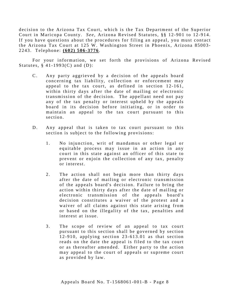decision to the Arizona Tax Court, which is the Tax Department of the Superior Court in Maricopa County. *See*, Arizona Revised Statutes, §§ 12-901 to 12-914. If you have questions about the procedures for filing an appeal, you must contact the Arizona Tax Court at 125 W. Washington Street in Phoenix, Arizona 85003-2243. Telephone: **(602) 506 - 3776** .

For your information, we set forth the provisions of Arizona Revised Statutes,  $§$  41-1993(C) and (D):

- C. Any party aggrieved by a decision of the appeals board concerning tax liability, collection or enforcement may appeal to the tax court, as defined in section 12-161, within thirty days after the date of mailing or electronic transmission of the decision. The appellant need not pay any of the tax penalty or interest upheld by the appeals board in its decision before initiating, or in order to maintain an appeal to the tax court pursuant to this section.
- D. Any appeal that is taken to tax court pursuant to this section is subject to the following provisions:
	- 1. No injunction, writ of mandamus or other legal or equitable process may issue in an action in any court in this state against an officer of this state to prevent or enjoin the collection of any tax, penalty or interest.
	- 2. The action shall not begin more than thirty days after the date of mailing or electronic transmission of the appeals board's decision. Failure to bring the action within thirty days after the date of mailing or electronic transmission of the appeals board's decision constitutes a waiver of the protest and a waiver of all claims against this state arising from or based on the illegality of the tax, penalties and interest at issue.
	- 3. The scope of review of an appeal to tax court pursuant to this section shall be governed by section 1 2 -910, applying section 23- 613.01 as that section reads on the date the appeal is filed to the tax court or as thereafter amended. Either party to the action may appeal to the court of appeals or supreme court as provided by law.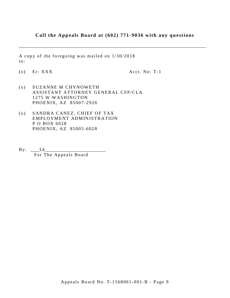# **Call the Appeals Board at (602) 771-9036 with any questions**

\_\_\_\_\_\_\_\_\_\_\_\_\_\_\_\_\_\_\_\_\_\_\_\_\_\_\_\_\_\_\_\_\_\_\_\_\_\_\_\_\_\_\_\_\_\_\_\_\_\_\_\_\_\_\_\_\_\_\_\_\_\_\_\_\_\_\_\_\_\_\_\_\_\_\_\_\_\_\_\_\_\_\_

A copy of the foregoing was mailed on 1/30/2018 to:

 $(x)$  Er: XXX  $Acct. No: T-1$ 

- (x ) SUZANNE M CHYNOWETH ASSISTANT ATTORNEY GENERAL CFP/CLA 1275 W WASHINGTON PHOENIX, AZ 85007 -2926
- (x ) SANDRA CANEZ, CHIEF OF TAX EMPLOYMENT ADMINISTRATION P O BOX 6028 PHOENIX, AZ 85005 -6028
- $By: \_\_LS\_$ For The Appeals Board

Appeals Board No. T- 1568061 -001 -B - Page 9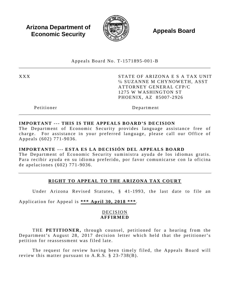**Arizona Department of Economic Security**  $\mathbb{R}$  **Appeals Board Economic Security** 



Appeals Board No. T - 1571895 -001 - B \_\_\_\_\_\_\_\_\_\_\_\_\_\_\_\_\_\_\_\_\_\_\_\_\_\_\_\_\_\_\_\_\_\_\_\_\_\_\_\_\_\_\_\_\_\_\_\_\_\_\_\_\_\_\_\_\_\_\_\_\_\_\_\_\_\_\_\_\_\_\_\_\_\_\_\_\_\_\_\_\_\_\_\_\_

XXX STATE OF ARIZONA E S A TAX UNIT ℅ SUZANNE M CHYNOWETH, ASST ATTORNEY GENERAL CFP/C 1275 W WASHINGTON ST PHOENIX, AZ 85007 -2926

Petitioner Department

# **IMPORTANT --- THIS IS THE APPEALS BOARD'S DECISION**

The Department of Economic Security provides language assistance free of charge. For assistance in your preferred language, please call our Office of Appeals (602) 771 -9036 .

\_\_\_\_\_\_\_\_\_\_\_\_\_\_\_\_\_\_\_\_\_\_\_\_\_\_\_\_\_\_\_\_\_\_\_\_\_\_\_\_\_\_\_\_\_\_\_\_\_\_\_\_\_\_\_\_\_\_\_\_\_\_\_\_\_\_\_\_\_\_\_\_\_\_\_\_\_\_\_\_\_\_\_\_\_

# **IMPORTANTE --- ESTA ES LA DECISIÓN DEL APPEALS BOARD**

The Department of Economic Security suministra ayuda de los idiomas gratis. Para recibir ayuda en su idioma preferido, por favor comunicarse con la oficina de apelaciones (602) 771 - 9036 .

# **RIGHT TO APPEAL TO THE ARIZONA TAX COURT**

Under Arizona Revised Statutes, § 41-1993, the last date to file an

Application for Appeal is **\*\*\* April 30, 2018 \*\*\***.

# DECISION **AFFIRMED**

THE **PETITIONER**, through counsel, petitioned for a hearing from the Department's August 28, 2017 decision letter which held that the petitioner's petition for reassessment was filed late.

The request for review having been timely filed, the Appeals Board will review this matter pursuant to  $A.R.S. \S 23-738(B)$ .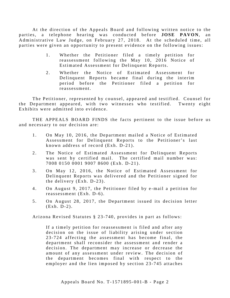At the direction of the Appeals Board and following written notice to the parties, a telephone hearing was conducted before **JOSE PAVON**, an Administrative Law Judge, on February 27, 2018. At the scheduled time, all parties were given an opportunity to present evidence on the following issues:

- 1 . Whether the Petitioner filed a timely petition for reassessment following the May 10, 2016 Notice of Estimated Assessment for Delinquent Reports.
- 2. Whether the Notice of Estimated Assessment for Delinquent Reports became final during the interim period before the Petitioner filed a petition for reassessment.

The Petitioner, represented by counsel, appeared and testified. Counsel for the Department appeared, with two witnesses who testified. Twenty eight Exhibits were admitted into evidence.

THE APPEALS BOARD FINDS the facts pertinent to the issue before us and necessary to our decision are:

- 1. On May 10, 2016, the Department mailed a Notice of Estimated Assessment for Delinquent Reports to the Petitioner's last known address of record (Exh. D-21).
- 2. The Notice of Estimated Assessment for Delinquent Reports was sent by certified mail. The certified mail number was: 7008 0150 0001 9007 8600 (Exh. D-21).
- 3. On May 12, 2016, the Notice of Estimated Assessment for Delinquent Reports was delivered and the Petitioner signed for the delivery  $(Exh. D-23)$ .
- 4. On August 9, 2017, the Petitioner filed by e-mail a petition for reassessment  $(Exh. D-6)$ .
- 5 . On August 28, 2017, the Department issued its decision letter (Exh. D-2).

Arizona Revised Statutes § 23 -7 40 , provides in part as follows:

If a timely petition for reassessment is filed and after any decision on the issue of liability arising under section 2 3 -724 affecting the assessment has become final, the department shall reconsider the assessment and render a decision. The department may increase or decrease the amount of any assessment under review. The decision of the department becomes final with respect to the employer and the lien imposed by section 23-745 attaches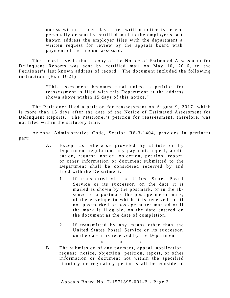unless within fifteen days after written notice is served personally or sent by certified mail to the employer's last known address the employer files with the department a written request for review by the appeals board with payment of the amount assessed.

The record reveals that a copy of the Notice of Estimated Assessment for Delinquent Reports was sent by certified mail on May 10, 2016, to the Petitioner's last known address of record. The document included the following instructions  $(Exh. D-21)$ :

> "This assessment becomes final unless a petition for reassessment is filed with this Department at the address shown above within 15 days of this notice."

The Petitioner filed a petition for reassessment on August 9, 2017, which is more than 15 days after the date of the Notice of Estimated Assessment for Delinquent Reports. The Petitioner's petition for reassessment, therefore, was not filed within the statutory time.

Arizona Administrative Code, Section R6-3-1404, provides in pertinent part:

- A. Except as otherwise provided by statute or by Department regulation, any payment, appeal, application, request, notice, objection, petition, report, or other information or document submitted to the Department shall be considered received by and filed with the Department:
	- 1. If transmitted via the United States Postal Service or its successor, on the date it is mailed as shown by the postmark, or in the absence of a postmark the postage meter mark, of the envelope in which it is received; or if not postmarked or postage meter marked or if the mark is illegible, on the date entered on the document as the date of completion.
	- 2. If transmitted by any means other than the United States Postal Service or its successor, on the date it is received by the Department.

\* \* \* B. The submission of any payment, appeal, application, request, notice, objection, petition, report, or other information or document not within the specified statutory or regulatory period shall be considered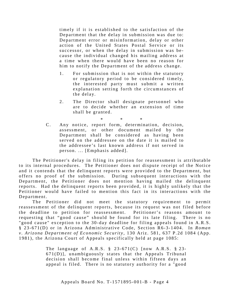timely if it is established to the satisfaction of the Department that the delay in submission was due to: Department error or misinformation, delay or other action of the United States Postal Service or its successor, or when the delay in submission was be cause the individual changed his mailing address at a time when there would have been no reason for him to notify the Department of the address change.

- 1. For submission that is not within the statutory or regulatory period to be considered timely, the interested party must submit a written explanation setting forth the circumstances of the delay.
- 2. The Director shall designate personnel who are to decide whether an extension of time shall be granted.

\* \* \*

C. Any notice, report form, determination, decision, assessment, or other document mailed by the Department shall be considered as having been served on the addressee on the date it is mailed to the addressee's last known address if not served in person. ... [Emphasis added].

The Petitioner's delay in filing its petition for reassessment is attributable to its internal procedures. The Petitioner does not dispute receipt of the Notice and it contends that the delinquent reports were provided to the Department, but offers no proof of the submission. During subsequent interactions with the Department, the Petitioner does not mention having mailed the delinquent reports. Had the delinquent reports been provided, it is highly unlikely that the Petitioner would have failed to mention this fact in its interactions with the Department.

The Petitioner did not meet the statutory requirement to permit reassessment of the delinquent reports, because its request was not filed before the deadline to petition for reassessment. Petitioner's reasons amount to requesting that "good cause" should be found for its late filing. There is no "good cause" exception to the 30-day deadline for filing appeals found in A.R.S. § 23 -671(D) or in Arizona Administrative Code, Section R6- 3 -1404. In *Roman v. Arizona Department of Economic Security,* 130 Ariz. 581, 637 P.2d 1084 (App. 1981), the Arizona Court of Appeals specifically held at page 1085:

> The language of A.R.S.  $\S$  23-671(C) [now A.R.S.  $\S$  23-671(D)], unambiguously states that the Appeals Tribunal decision shall become final unless within fifteen days an appeal is filed. There is no statutory authority for a "good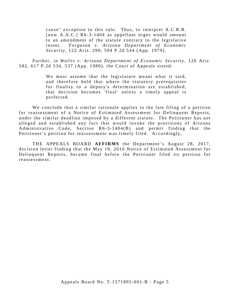cause" exception to this rule. Thus, to interpret A.C.R.R. [now A.A.C.] R6-3-1404 as appellant urges would amount to an amendment of the statute contrary to the legislative intent. *Ferguson v. Arizona Department of Economic Security,* 122 Ariz. 290, 594 P.2d 544 (App. 1979).

Further, in *Wallis v. Arizona Department of Economic Security,* 126 Ariz. 582, 617 P.2d 534, 537 (App. 1980), the Court of Appeals stated:

> We must assume that the legislature meant what it said, and therefore hold that where the statutory prerequisites for finality to a deputy's determination are established, that decision becomes 'final' unless a timely appeal is perfected.

We conclude that a similar rationale applies to the late filing of a petition for reassessment of a Notice of Estimated Assessment for Delinquent Reports, under the similar deadline imposed by a different statute. The Petitioner has not alleged and established any fact that would invoke the provisions of Arizona Administrative Code, Section R6-3-1404(B) and permit finding that the Petitioner's petition for reassessment was timely filed. Accordingly,

THE APPEALS BOARD **AFFIRMS** the Department's August 28, 2017, decision letter finding that the May 10, 2016 Notice of Estimated Assessment for Delinquent Reports, became final before the Petitioner filed its petition for r e assessment.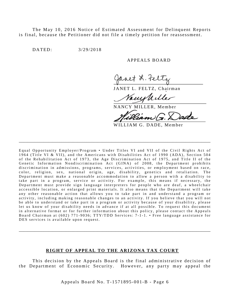The May 10, 2016 Notice of Estimated Assessment for Delinquent Reports is final, because the Petitioner did not file a timely petition for reassessment.

DATED: 3/29/2018

#### A PPEALS BOARD

aaet 2. te

JANET L. FELTZ, Chairman

Uille

NANCY MILLER, Member

WILLIAM G. DADE, Member

Equal Opportunity Employer/Program • Under Titles VI and VII of the Civil Rights Act of 1964 (Title VI & VII), and the Americans with Disabilities Act of 1990 (ADA), Section 504 of the Rehabilitation Act of 1973, the Age Discrimination Act of 1975, and Title II of the Genetic Information Nondiscrimination Act (GINA) of 2008, the Department prohibits discrimination in admissions, programs, services, activities, or employment based on race, color, religion, sex, national origin, age, disability, genetics and retaliation . The Department must make a reasonable accommodation to allow a person with a disability to take part in a program, service or activity. For example, this means if necessary, the Department must provide sign language interpreters for people who are deaf, a wheelchair accessible location, or enlarged print materials. It also means that the Department will take any other reasonable action that allows you to take part in and understand a program or activity, including making reasonable changes to an activity. If you believe that you will not be able to understand or take part in a program or activity because of your disability, please let us know of your disability needs in advance if at all possible. To request this document in alternative format or for further information about this policy, please contact the Appeals Board Chairman at (602) 771-9036; TTY/TDD Services: 7-1-1. • Free language assistance for DES services is available upon request.

\_\_\_\_\_\_\_\_\_\_\_\_\_\_\_\_\_\_\_\_\_\_\_\_\_\_\_\_\_\_\_\_\_\_\_\_\_\_\_\_\_\_\_\_\_\_\_\_\_\_\_\_\_\_\_\_\_\_\_\_\_\_\_\_\_\_\_\_\_\_\_\_\_\_\_\_\_\_\_\_\_\_\_\_\_

#### **RIGHT OF APPEAL TO THE ARIZONA TAX COURT**

\_\_\_\_\_\_\_\_\_\_\_\_\_\_\_\_\_\_\_\_\_\_\_\_\_\_\_\_\_\_\_\_\_\_\_\_\_\_\_\_\_\_\_\_\_\_\_\_\_\_\_\_\_\_\_\_\_\_\_\_\_\_\_\_\_\_\_\_\_\_\_\_\_\_\_\_\_\_\_\_\_\_\_\_\_

This decision by the Appeals Board is the final administrative decision of the Department of Economic Security. However, any party may appeal the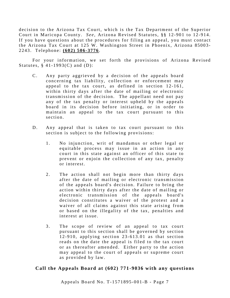decision to the Arizona Tax Court, which is the Tax Department of the Superior Court in Maricopa County. *See*, Arizona Revised Statutes, §§ 12-901 to 12-914. If you have questions about the procedures for filing an appeal, you must contact the Arizona Tax Court at 125 W. Washington Street in Phoenix, Arizona 85003-2243. Telephone: **(602) 506 - 3776** .

For your information, we set forth the provisions of Arizona Revised Statutes,  $§$  41-1993(C) and (D):

- C. Any party aggrieved by a decision of the appeals board concerning tax liability, collection or enforcement may appeal to the tax court, as defined in section 12-161, within thirty days after the date of mailing or electronic transmission of the decision. The appellant need not pay any of the tax penalty or interest upheld by the appeals board in its decision before initiating, or in order to maintain an appeal to the tax court pursuant to this section.
- D. Any appeal that is taken to tax court pursuant to this section is subject to the following provisions:
	- 1. No injunction, writ of mandamus or other legal or equitable process may issue in an action in any court in this state against an officer of this state to prevent or enjoin the collection of any tax, penalty or interest.
	- 2. The action shall not begin more than thirty days after the date of mailing or electronic transmission of the appeals board's decision. Failure to bring the action within thirty days after the date of mailing or electronic transmission of the appeals board's decision constitutes a waiver of the protest and a waiver of all claims against this state arising from or based on the illegality of the tax, penalties and interest at issue.
	- 3. The scope of review of an appeal to tax court pursuant to this section shall be governed by section  $12 - 910$ , applying section  $23 - 613.01$  as that section reads on the date the appeal is filed to the tax court or as thereafter amended. Either party to the action may appeal to the court of appeals or supreme court as provided by law.

# **Call the Appeals Board at (602) 771-9036 with any questions**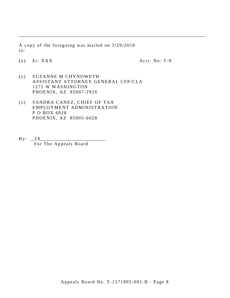A copy of the foregoing was mailed on 3/29/2018 to:

\_\_\_\_\_\_\_\_\_\_\_\_\_\_\_\_\_\_\_\_\_\_\_\_\_\_\_\_\_\_\_\_\_\_\_\_\_\_\_\_\_\_\_\_\_\_\_\_\_\_\_\_\_\_\_\_\_\_\_\_\_\_\_\_\_\_\_\_\_\_\_\_\_\_\_\_\_\_\_\_\_\_\_

 $(x)$  Er: XXX  $Acct. No: T-9$ 

- (x ) SUZANNE M CHYNOWETH ASSISTANT ATTORNEY GENERAL CFP/CLA 1275 W WASHINGTON PHOENIX, AZ 85007 -2926
- (x ) SANDRA CANEZ, CHIEF OF TAX EMPLOYMENT ADMINISTRATION P O BOX 6028 PHOENIX, AZ 85005 -6028
- $By: \underline{\hspace{2cm}LS}$ For The Appeals Board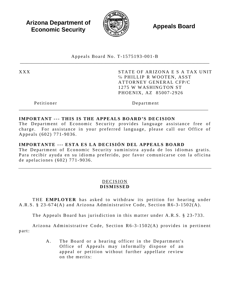**Arizona Department of Economic Security**  $\mathbb{R}$  **Appeals Board Economic Security** 



Appeals Board No. T - 1575193 -001 - B \_\_\_\_\_\_\_\_\_\_\_\_\_\_\_\_\_\_\_\_\_\_\_\_\_\_\_\_\_\_\_\_\_\_\_\_\_\_\_\_\_\_\_\_\_\_\_\_\_\_\_\_\_\_\_\_\_\_\_\_\_\_\_\_\_\_\_\_\_\_\_\_\_\_\_\_\_\_\_\_\_\_\_\_

XXX STATE OF ARIZONA E S A TAX UNIT ℅ PHILLIP R WOOTEN, ASST ATTORNEY GENERAL CFP/C 1275 W WASHINGTON ST PHOENIX, AZ 85007 -2926

Petitioner Department

## **IMPORTANT --- THIS IS THE APPEALS BOARD'S DECISION**

The Department of Economic Security provides language assistance free of charge. For assistance in your preferred language, please call our Office of Appeals (602) 771 -9036 .

\_\_\_\_\_\_\_\_\_\_\_\_\_\_\_\_\_\_\_\_\_\_\_\_\_\_\_\_\_\_\_\_\_\_\_\_\_\_\_\_\_\_\_\_\_\_\_\_\_\_\_\_\_\_\_\_\_\_\_\_\_\_\_\_\_\_\_\_\_\_\_\_\_\_\_\_\_\_\_\_\_\_\_\_

# **IMPORTANTE --- ESTA ES LA DECISIÓN DEL APPEALS BOARD**

The Department of Economic Security suministra ayuda de los idiomas gratis. Para recibir ayuda en su idioma preferido, por favor comunicarse con la oficina de apelaciones (602) 771 - 9036 .

# DECISION **DISMISSED**

THE **EMPLOYER** has asked to withdraw its petition for hearing under A.R.S. § 23-674(A) and Arizona Administrative Code, Section R6-3-1502(A).

The Appeals Board has jurisdiction in this matter under A.R.S. § 23-733.

Arizona Administrative Code, Section R6-3-1502(A) provides in pertinent part:

> A. The Board or a hearing officer in the Department's Office of Appeals may informally dispose of an appeal or petition without further appellate review on the merits: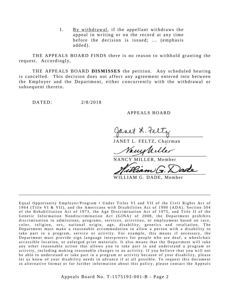1. By withdrawal, if the appellant withdraws the appeal in writing or on the record at any time before the decision is issued; ... (emphasis added).

THE APPEALS BOARD FINDS there is no reason to withhold granting the request. Accordingly,

THE APPEALS BOARD **DISMISSES** the petition. Any scheduled hearing is cancelled. This decision does not affect any agreement entered into between the Employer and the Department, either concurrently with the withdrawal or subsequent thereto.

DATED: 2/8/2018

#### A PPEALS BOARD

anet L. Feltz

JANET L. FELTZ, Chairman

VanyWille

NANCY MILLER, Member

'an

WILLIAM G. DADE, Member

Equal Opportunity Employer/Program • Under Titles VI and VII of the Civil Rights Act of 1964 (Title VI & VII), and the Americans with Disabilities Act of 1990 (ADA), Sec tion 504 of the Rehabilitation Act of 1973, the Age Discrimination Act of 1975, and Title II of the Genetic Information Nondiscrimination Act (GINA) of 2008, the Department prohibits discrimination in admissions, programs, services, activities, or employment based on race, color, religion, sex, national origin, age, disability, genetics and retaliation. The Department must make a reasonable accommodation to allow a person with a disability to take part in a program, service or activity. For example, this me ans if necessary, the Department must provide sign language interpreters for people who are deaf, a wheelchair accessible location, or enlarged print materials. It also means that the Department will take any other reasonable action that allows you to take part in and understand a program or activity, including making reasonable changes to an activity. If you believe that you will not be able to understand or take part in a program or activity because of your disability, please let us know of your disability needs in advance if at all possible. To request this document in alternative format or for further information about this policy, please contact the Appeals

\_\_\_\_\_\_\_\_\_\_\_\_\_\_\_\_\_\_\_\_\_\_\_\_\_\_\_\_\_\_\_\_\_\_\_\_\_\_\_\_\_\_\_\_\_\_\_\_\_\_\_\_\_\_\_\_\_\_\_\_\_\_\_\_\_\_\_\_\_\_\_\_\_\_\_\_\_\_\_\_\_\_\_\_\_

Appeals Board No. T- 1575193 -001 -B - Page 2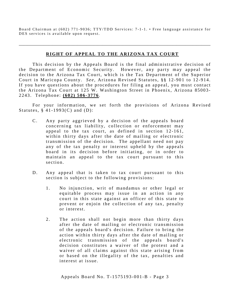Board Chairman at (602) 771-9036; TTY/TDD Services: 7-1-1. • Free language assistance for DES services is available upon request.

\_\_\_\_\_\_\_\_\_\_\_\_\_\_\_\_\_\_\_\_\_\_\_\_\_\_\_\_\_\_\_\_\_\_\_\_\_\_\_\_\_\_\_\_\_\_\_\_\_\_\_\_\_\_\_\_\_\_\_\_\_\_\_\_\_\_\_\_\_\_\_\_\_\_\_\_\_\_\_\_\_\_\_\_\_

## **RIGHT OF APPEAL TO THE ARIZONA TAX COURT**

This decision by the Appeals Board is the final administrative decision of the Department of Economic Security. However, any party may appeal the decision to the Arizona Tax Court, which is the Tax Department of the Superior Court in Maricopa County. *See*, Arizona Revised Statutes, §§ 12-901 to 12-914. If you have questions about the procedures for filing an appeal, you must contact the Arizona Tax Court at 125 W. Washington Street in Phoenix, Arizona 85003-2243. Telephone: **(602) 506 - 3776** .

For your information, we set forth the provisions of Arizona Revised Statutes,  $§$  41-1993(C) and (D):

- C. Any party aggrieved by a decision of the appeals board concerning tax liability, collection or enforcement may appeal to the tax court, as defined in section 12-161, within thirty days after the date of mailing or electronic transmission of the decision. The appellant need not pay any of the tax penalty or interest upheld by the appeals board in its decision before initiating, or in order to maintain an appeal to the tax court pursuant to this section.
- D. Any appeal that is taken to tax court pursuant to this section is subject to the following provisions:
	- 1. No injunction, writ of mandamus or other legal or equitable process may issue in an action in any court in this state against an officer of this state to prevent or enjoin the collection of any tax, penalty or interest.
	- 2. The action shall not begin more than thirty days after the date of mailing or electronic transmission of the appeals board's decision. Failure to bring the action within thirty days after the date of mailing or electronic transmission of the appeals board's decision constitutes a waiver of the protest and a waiver of all claims against this state arising from or based on the illegality of the tax, penalties and interest at issue.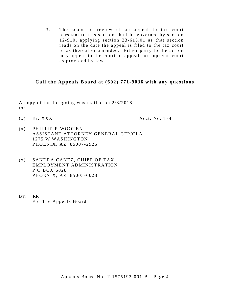3. The scope of review of an appeal to tax court pursuant to this section shall be governed by section 1 2 -910, applying section 23- 613.01 as that section reads on the date the appeal is filed to the tax court or as thereafter amended. Either party to the action may appeal to the court of appeals or supreme court as provided by law.

# **Call the Appeals Board at (602) 771-9036 with any questions**

\_\_\_\_\_\_\_\_\_\_\_\_\_\_\_\_\_\_\_\_\_\_\_\_\_\_\_\_\_\_\_\_\_\_\_\_\_\_\_\_\_\_\_\_\_\_\_\_\_\_\_\_\_\_\_\_\_\_\_\_\_\_\_\_\_\_\_\_\_\_\_\_\_\_\_\_\_\_\_\_\_\_\_

A copy of the foregoing was mailed on 2/8/2018 to:

 $(x)$  Er: XXX  $Acct. No: T-4$ 

- (x ) PHILLIP R WOOTEN ASSISTANT ATTORNEY GENERAL CFP/CLA 1275 W WASHINGTON PHOENIX, AZ 85007 -2926
- (x ) SANDRA CANEZ, CHIEF OF TAX EMPLOYMENT ADMINISTRATION P O BOX 6028 PHOENIX, AZ 85005 -6028
- $By: RR$ For The Appeals Board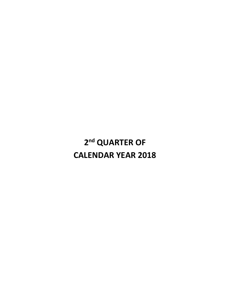# **2nd QUARTER OF CALENDAR YEAR 2018**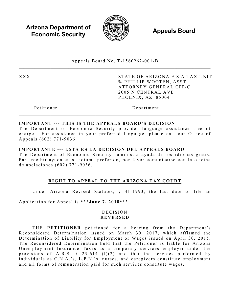**Arizona Department of Economic Security Appeals Board** *Appeals Board* 



Appeals Board No. T - 1560262 -001 - B  $\_$ 

XXX STATE OF ARIZONA E S A TAX UNIT ℅ PHILLIP WOOTEN, ASST ATTORNEY GENERAL CFP/C 2005 N CENTRAL AVE PHOENIX, AZ 85004

Petitioner Department

## **IMPORTANT --- THIS IS THE APPEALS BOARD'S DECISION**

The Department of Economic Security provides language assistance free of charge. For assistance in your preferred language, please call our Office of Appeals (602) 771 -9036 .

## **IMPORTANTE --- ESTA ES LA DECISIÓN DEL APPEALS BOARD**

The Department of Economic Security suministra ayuda de los idiomas gratis. Para recibir ayuda en su idioma preferido, por favor comunicarse con la oficina de apelaciones (602) 771 - 9036 .

# **RIGHT TO APPEAL TO THE ARIZONA TAX COURT**

Under Arizona Revised Statutes, § 41-1993, the last date to file an

Application for Appeal is **\*\*\*June 7, 2018\*\*\***.

## DECISION **REVERSED**

THE **PETITIONER** petitioned for a hearing from the Department's Reconsidered Determination issued on March 30, 2017, which affirmed the Determination of Liability for Employment or Wages issued on April 30, 2015. The Reconsidered Determination held that the Petitioner is liable for Arizona Unemployment Insurance Taxes as a temporary services employer under the provisions of A.R.S.  $\S$  23-614 (I)(2) and that the services performed by individuals as C.N.A.'s, L.P.N.'s, nurses, and caregivers constitute employment and all forms of remuneration paid for such services constitute wages.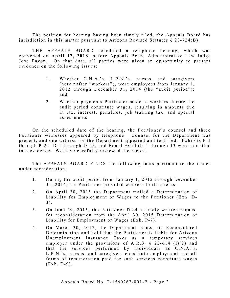The petition for hearing having been timely filed, the Appeals Board has jurisdiction in this matter pursuant to Arizona Revised Statutes  $\S 23-724(B)$ .

THE APPEALS BOARD scheduled a telephone hearing, which was convened on **April 17, 2018,** before Appeals Board Administrative Law Judge Jose Pavon. On that date, all parties were given an opportunity to present evidence on the following issues:

- 1. Whether C.N.A.'s, L.P.N.'s, nurses, and caregivers (hereinafter "workers"), were employees from January 1, 2012 through December 31, 2014 (the "audit period"); and
- 2. Whether payments Petitioner made to workers during the audit period constitute wages, resulting in amounts due in tax, interest, penalties, job training tax, and special assessments.

On the scheduled date of the hearing, the Petitioner's counsel and three Petitioner witnesses appeared by telephone. Counsel for the Department was present, and one witness for the Department appeared and testified. Exhibits P-1 through P-24, D-1 through D-25, and Board Exhibits 1 through 13 were admitted into evidence. We have carefully reviewed the record.

The APPEALS BOARD FINDS the following facts pertinent to the issues under consideration:

- 1. During the audit period from January 1, 2012 through December 31, 2014, the Petitioner provided workers to its clients.
- 2. On April 30, 2015 the Department mailed a Determination of Liability for Employment or Wages to the Petitioner (Exh. D-3).
- 3 . On June 29, 2015, the Petitioner filed a timely written request for reconsideration from the April 30, 2015 Determination of Liability for Employment or Wages (Exh. P-7).
- 4. On March 30, 2017, the Department issued its Reconsidered Determination and held that the Petitioner is liable for Arizona Unemployment Insurance Taxes as a temporary services employer under the provisions of A.R.S.  $\S$  23-614 (I)(2) and that the services performed by individuals as C.N.A.'s, L.P.N.'s, nurses, and caregivers constitute employment and all forms of remuneration paid for such services constitute wages (Exh. D-9).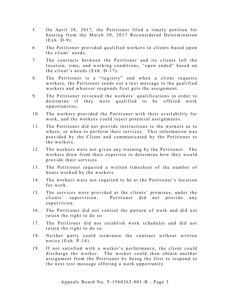- 5 . On April 28, 2017, the Petitioner filed a timely petition for hearing from the March 30, 2017 Reconsidered Determination  $(Exh. D-9)$ .
- 6 . The Petitioner provided qualified workers to clients based upon the client' needs.
- 7. The contracts between the Petitioner and its clients left the location, time, and working conditions, "open ended" based on the client's needs (Exh. D-17).
- 8. The Petitioner is a "registry" and when a client requests workers, the Petitioner sends out a text message to the qualified workers and whoever responds first gets the assignment.
- 9. The Petitioner reviewed the workers' qualifications in order to determine if they were qualified to be offered work opportunities.
- 10. The workers provided the Petitioner with their availability for work, and the workers could reject potential assignments.
- 11. The Petitioner did not provide instructions to the workers as to where, or when to perform their services. This information was p rovided by the Client and communicated by the Petitioner to the workers.
- 12. The workers were not given any training by the Petitioner. The workers drew from their expertise to determine how they would provide their services.
- 13. The Petitioner required a written timesheet of the number of hours worked by the workers.
- 14. The workers were not required to be at the Petitioner's location for work.
- 15. The services were provided at the clients' premises, under the clients' supervision. Petitioner did not provide any supervision.
- 16. The Petitioner did not control the pattern of work and did not retain the right to do so.
- 17. The Petitioner did not establish work schedules and did not retain the right to do so.
- 18. Neither party could terminate the contract without written notice  $(Exh. P-14)$ .
- 19. If not satisfied with a worker's performance, the client could discharge the worker. The worker could then obtain another assignment from the Petitioner by being the first to respond to the next text message offering a work opportunity.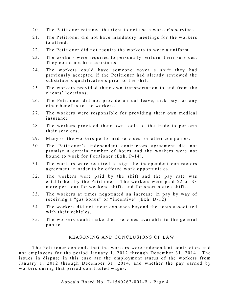- 20. The Petitioner retained the right to not use a worker's services.
- 21. The Petitioner did not have mandatory meetings for the workers to attend.
- 22. The Petitioner did not require the workers to wear a uniform.
- 23. The workers were required to personally perform their services. They could not hire assistants.
- 24. The workers could have someone cover a shift they had previously accepted if the Petitioner had already reviewed the substitute's qualifications prior to the shift.
- 25. The workers provided their own transportation to and from the clients' locations .
- 26. The Petitioner did not provide annual leave, sick pay, or any other benefits to the workers.
- 27. The workers were responsible for providing their own medical insurance .
- 28. The workers provided their own tools of the trade to perform their services.
- 29. Many of the workers performed services for other companies.
- 30. The Petitioner's independent contractors agreement did not promise a certain number of hours and the workers were not bound to work for Petitioner (Exh. P-14).
- 31. The workers were required to sign the independent contractors agreement in order to be offered work opportunities.
- 32. The workers were paid by the shift and the pay rate was established by the Petitioner. The workers were paid \$2 or \$3 more per hour for weekend shifts and for short notice shifts.
- 33. The workers at times negotiated an increase in pay by way of receiving a "gas bonus" or "incentive" (Exh. D-12).
- 34. The workers did not incur expenses beyond the costs associated with their vehicles.
- 35. The workers could make their services available to the general public.

## REASONING AND CONCLUSIONS OF LAW

The Petitioner contends that the workers were independent contractors and not employees for the period January 1, 2012 through December 31, 2014. The issues in dispute in this case are the employment status of the workers from January 1, 2012 through December 31, 2014, and whether the pay earned by workers during that period constituted wages.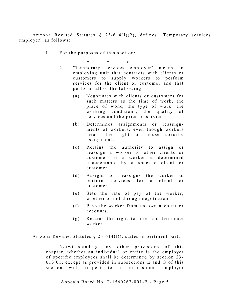Arizona Revised Statutes § 23 -614(I)(2), defines "Temporary services employer" as follows:

I. For the purposes of this section:

\* \* \*

- 2. "Temporary services employer" means an employing unit that contracts with clients or customers to supply workers to perform services for the client or customer and that performs all of the following:
	- (a) Negotiates with clients or customers for such matters as the time of work, the place of work, the type of work, the working conditions, the quality of services and the price of services.
	- (b) Determines assignments or reassignments of workers, even though workers retain the right to refuse specific assignments.
	- (c) Retains the authority to assign or reassign a worker to other clients or customers if a worker is determined unacceptable by a specific client or customer.
	- (d) Assigns or reassigns the worker to perform services for a client or customer.
	- (e) Sets the rate of pay of the worker, whether or not through negotiation.
	- (f) Pays the worker from its own account or accounts.
	- (g) Retains the right to hire and terminate workers.

Arizona Revised Statutes  $\S$  23-614(D), states in pertinent part:

Notwithstanding any other provisions of this chapter, whether an individual or entity is the employer of specific employees shall be determined by section 23-613.01, except as provided in subsections E and G of this section with respect to a professional employer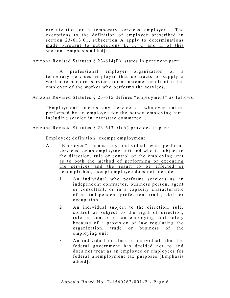organization or a temporary services employer. The exceptions to the definition of employee prescribed in section 23-613.01, subsection A apply to determinations made pursuant to subsections E, F, G and H of this section [Emphasis added].

Arizona Revised Statutes § 23 -614(E), states in pertinent part:

A professional employer organization or a temporary services employer that contracts to supply a worker to perform services for a customer or client is the employer of the worker who performs the services.

Arizona Revised Statutes § 23 -615 defines "employment" as follows:

"Employment" means any service of whatever nature performed by an employee for the person employing him, including service in interstate commerce …

Arizona Revised Statutes § 23 -613.01(A) provides in part:

Employee; definition; exempt employment

- A. "Employee" means any individual who performs services for an employing unit and who is subject to the direction, rule or control of the employing unit as to both the method of performing or executing the services and the result to be effected or accomplished, except employee does not include:
	- 1. An individual who performs services as an independent contractor, business person, agent or consultant, or in a capacity characteristic of an independent profession, trade, skill or occupation.
	- 2. An individual subject to the direction, rule, control or subject to the right of direction, rule or control of an employing unit solely because of a provision of law regulating the organization, trade or business of the employing unit.
	- 3. An individual or class of individuals that the federal government has decided not to and does not treat as an employee or employees for federal unemployment tax purposes [Emphasis] added].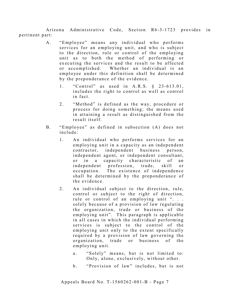Arizona Administrative Code, Section R6-3-1723 provides in pertinent part:

- A. "Employee" means any individual who performs services for an employing unit, and who is subject to the direction, rule or control of the employing unit as to both the method of performing or executing the services and the result to be affected or accomplished. Whether an individual is an employee under this definition shall be determined by the preponderance of the evidence.
	- 1. "Control" as used in A.R.S. § 23-613.01, includes the right to control as well as control in fact.
	- 2. "Method" is defined as the way, procedure or process for doing something; the means used in attaining a result as distinguished from the result itself.
- B. "Employee" as defined in subsection (A) does not include:
	- 1. An individual who performs services for an employing unit in a capacity as an independent contractor, independent business person, independent agent, or independent consultant, or in a capacity characteristic of an independent profession, trade, skill or occupation. The existence of independence shall be determined by the preponderance of the evidence .
	- 2. An individual subject to the direction, rule, control or subject to the right of direction, rule or control of an employing unit "... solely because of a provision of law regulating the organization, trade or business of the employing unit". This paragraph is applicable in all cases in which the individual performing services is subject to the control of the employing unit only to the extent specifically required by a provision of law governing the organization, trade or business of the employing unit.
		- a. "Solely" means, but is not limited to: Only, alone, exclusively, without other.
		- b. "Provision of law" includes, but is not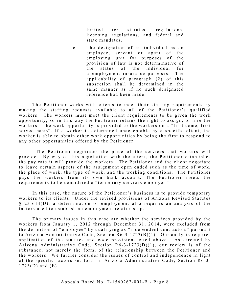limited to: statutes, regulations, licensing regulations, and federal and state mandates.

c. The designation of an individual as an e mployee, servant or agent of the employing unit for purposes of the provision of law is not determinative of the status of the individual for unemployment insurance purposes. The applica bility of paragraph (2) of this subsection shall be determined in the same manner as if no such designated reference had been made.

The Petitioner works with clients to meet their staffing requirements by making the staffing requests available to all of the Petitioner's qualified workers. The workers must meet the client requirements to be given the work opportunity, so in this way the Petitioner retains the right to assign, or hire the workers. The work opportunity is provided to the workers on a "first come, first served basis". If a worker is determined unacceptable by a specific client, the worker is able to obtain other work opportunities by being the first to respond to any other opportunities offered by the Petitioner.

 The Petitioner negotiates the price of the services that workers will provide. By way of this negotiation with the client, the Petitioner establishes the pay rate it will provide the workers. The Petitioner and the client negotiate to leave certain aspects of the assignment open ended such as the time of work, the place of work, the type of work, and the working conditions. The Petitioner pays the workers from its own bank account. The Petitioner meets the requirements to be considered a "temporary services employer."

In this case, the nature of the Petitioner's business is to provide temporary workers to its clients. Under the revised provisions of Arizona Revised Statutes § 23 -614(D), a determination of employment also requires an analysis of the factors used to establish an employment relationship.

The primary issues in this case are whether the services provided by the workers from January 1, 2012 through December 31, 2014, were excluded from the definition of "employee" by qualifying as "independent contractors" pursuant to Arizona Administrative Code, Section  $R6-3-1723(B)(1)$ . Our analysis requires application of the statutes and code provisions cited above. As directed by Arizona Administrative Code, Section  $R6 - 3 - 1723(D)(1)$ , our review is of the substance, not merely the form, of the relationship between the Petitioner and the workers. We further consider the issues of control and independence in light of the specific factors set forth in Arizona Administrative Code, Section R6-3-1723(D) and (E).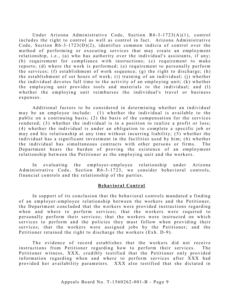Under Arizona Administrative Code, Section R6-3-1723(A)(1), control includes the right to control as well as control in fact. Arizona Administrative Code, Section  $R6-3-1723(D)(2)$ , identifies common indicia of control over the method of performing or executing services that may create an employment relationship, i.e., (a) who has authority over the individual's assistants, if any; (b) requirement for compliance with instructions; (c) requirement to make reports; (d) where the work is performed; (e) requirement to personally perform the services; (f) establishment of work sequence; (g) the right to discharge; (h) the establishment of set hours of work; (i) training of an individual; (j) whether the individual devotes full time to the activity of an employing unit;  $(k)$  whether the employing unit provides tools and materials to the individual; and (l) whether the employing unit reimburses the individual's travel or business expenses.

Additional factors to be considered in determining whether an individual may be an employee include:  $(1)$  whether the individual is available to the public on a continuing basis; (2) the basis of the compensation for the services rendered; (3) whether the individual is in a position to realize a profit or loss; (4) whether the individual is under an obligation to complete a specific job or may end his relationship at any time without incurring liability; (5) whether the individual has a significant investment in the facilities used by him; (6) whether the individual has simultaneous contracts with other persons or firms. The Department bears the burden of proving the existence of an employment relationship between the Petitioner as the employing unit and the workers.

In evaluating the employer-employee relationship under Arizona Administrative Code, Section R6-3-1723, we consider behavioral controls, financial controls and the relationship of the parties.

#### **Behavioral Control**

In support of its conclusion that the behavioral controls mandated a finding of an employer-employee relationship between the workers and the Petitioner, the Department concluded that the workers were provided instructions regarding when and where to perform services; that the workers were required to personally perform their services; that the workers were instructed on which services to perform and the policies they must follow when providing their services; that the workers were assigned jobs by the Petitioner; and the Petitioner retained the right to discharge the workers (Exh. D-9).

The evidence of record establishes that the workers did not receive instructions from Petitioner regarding how to perform their services. The Petitioner witness, XXX, credibly testified that the Petitioner only provided information regarding when and where to perform services after XXX had provided her availability parameters. XXX also testified that she dictated in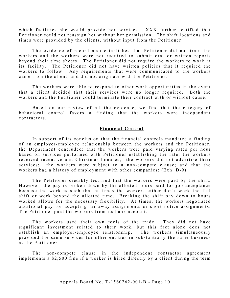which facilities she would provide her services. XXX further testified that Petitioner could not reassign her without her permission. The shift locations and times were provided by the clients, without input from the Petitioner.

The evidence of record also establishes that Petitioner did not train the workers and the workers were not required to submit oral or written reports beyond their time sheets. The Petitioner did not require the workers to work at its facility. The Petitioner did not have written policies that it required the workers to follow. Any requirements that were communicated to the workers came from the client, and did not originate with the Petitioner.

The workers were able to respond to other work opportunities in the event that a client decided that their services were no longer required. Both the workers and the Petitioner could terminate their contract with or without cause.

Based on our review of all the evidence, we find that the category of behavioral control favors a finding that the workers were independent contractors.

#### **Financial Control**

In support of its conclusion that the financial controls mandated a finding of an employer- employee relationship between the workers and the Petitioner, the Department concluded: that the workers were paid varying rates per hour based on services performed with Petitioner establishing the rate; the workers received incentive and Christmas bonuses; the workers did not advertise their services; the workers were subject to a non-compete clause; and that the workers had a history of employment with other companies; (Exh. D-9).

The Petitioner credibly testified that the workers were paid by the shift. However, the pay is broken down by the allotted hours paid for job acceptance because the work is such that at times the workers either don't work the full shift or work beyond the allotted time. Breaking the shift pay down to hours worked allows for the necessary flexibility. At times, the workers negotiated additional pay for accepting far away assignments or short notice assignments. The Petitioner paid the workers from its bank account.

The workers used their own tools of the trade. They did not have significant investment related to their work, but this fact alone does not establish an employer-employee relationship. The workers simultaneously provided the same services for other entities in substantially the same business as the Petitioner.

The non-compete clause in the independent contractor agreement implements a \$2 ,500 fine if a worker is hired directly by a client during the term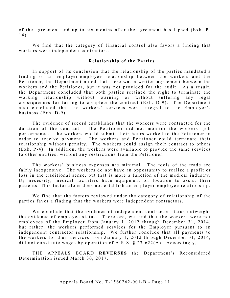of the agreement and up to six months after the agreement has lapsed (Exh. P-14).

We find that the category of financial control also favors a finding that workers were independent contractors.

#### **Relationship of the Parties**

In support of its conclusion that the relationship of the parties mandated a finding of an employer-employee relationship between the workers and the Petitioner, the Department noted that there was a written agreement between the workers and the Petitioner, but it was not provided for the audit. As a result, the Department concluded that both parties retained the right to terminate the working relationship without warning or without suffering any legal consequences for failing to complete the contract (Exh. D-9). The Department also concluded that the workers' services were integral to the Employer's business  $(Exh. D-9)$ .

The evidence of record establishes that the workers were contracted for the duration of the contract. The Petitioner did not monitor the workers' job performance. The workers would submit their hours worked to the Petitioner in order to receive payment. The workers and Petitioner could terminate their relationship without penalty. The workers could assign their contract to others  $(Exh. P-4)$ . In addition, the workers were available to provide the same services to other entities, without any restrictions from the Petitioner.

The workers' business expenses are minimal. The tools of the trade are fairly inexpensive. The workers do not have an opportunity to realize a profit or loss in the traditional sense, but that is more a function of the medical industry. By necessity, medical facilities have equipment on location to assist their patients. This factor alone does not establish an employer-employee relationship.

We find that the factors reviewed under the category of relationship of the parties favor a finding that the workers were independent contractors.

We conclude that the evidence of independent contractor status outweighs the evidence of employee status. Therefore, we find that the workers were not employees of the Employer from January 1, 2012 through December 31, 2014, but rather, the workers performed services for the Employer pursuant to an independent contractor relationship. We further conclude that all payments to the workers for their services from January 1, 2012 through December 31, 2014 , did not constitute wages by operation of A.R.S.  $\S$  23-622(A). Accordingly,

THE APPEALS BOARD **REVERSES** the Department's Reconsidered Determination issued March 30, 2017.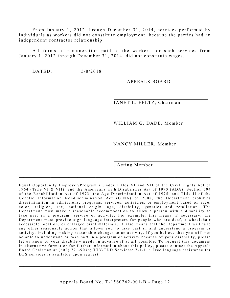From January 1, 2012 through December 31, 2014, services performed by individuals as workers did not constitute employment, because the parties had an independent contractor relationship.

All forms of remuneration paid to the workers for such services from January 1, 2012 through December 31, 2014, did not constitute wages.

DATED:  $5/8/2018$ 

A PPEALS BOARD

JANET L. FELTZ, Chairman

WILLIAM G. DADE, Member

NANCY MILLER, Member

, Acting Member

Equal Opportunity Employer/Program • Under Titles VI and VII of the Civil Rights Act of 1964 (Title VI & VII), and the Americans with Disabilities Act of 1990 (ADA), Section 504 of the Rehabilitation Act of 1973, the Age Discrimination Act of 1975, and Title II of the Genetic Information Nondiscrimination Act (GINA) of 2008, the Department prohibits discrimination in admissions, programs, services, activities, or employment based on race, color, religion, sex, national origin, age, disability, genetics and retaliation. The Department must make a reasonable accommodation to allow a person with a disability to take part in a program, service or activity. For example, this means if necessary, the Department must provide sign language interpreters for people who are deaf, a wheelchair accessible location, or enlarged print materials. It also means that the Department will take any other reasonable action that allows you to take part in and understand a program or activity, including making reasonable changes to an activity. If you believe that you will not be able to understand or take part in a program or activity because of your disability, please let us know of your disability needs in advance if at all possible. To request this document in alternative format or for further information about this policy, please contact the Appeals Board Chairman at (602) 771-9036; TTY/TDD Services: 7-1-1. • Free language assistance for DES services is available upon request.

 $\mathcal{L}_\mathcal{L}$  , and the contribution of the contribution of the contribution of the contribution of the contribution of the contribution of the contribution of the contribution of the contribution of the contribution of

 $\_$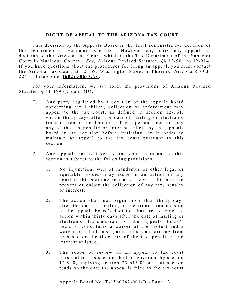## **RIGHT OF APPEAL TO THE ARIZONA TAX COURT**

This decision by the Appeals Board is the final administrative decision of the Department of Economic Security. However, any party may appeal the decision to the Arizona Tax Court, which is the Tax Department of the Superior Court in Maricopa County. *See*, Arizona Revised Statutes, §§ 12-901 to 12-914. If you have questions about the procedures for filing an appeal, you must contact the Arizona Tax Court at 125 W. Washington Street in Phoenix, Arizona 85003-2243. Telephone: **(602) 506 - 3776** .

For your information, we set forth the provisions of Arizona Revised Statutes,  $§$  41-1993(C) and (D):

- C. Any party aggrieved by a decision of the appeals board concerning tax liability, collection or enforcement may appeal to the tax court, as defined in section 12-161, within thirty days after the date of mailing or electronic transmission of the decision. The appellant need not pay any of the tax penalty or interest upheld by the appeals board in its decision before initiating, or in order to maintain an appeal to the tax court pursuant to this section.
- D. Any appeal that is taken to tax court pursuant to this section is subject to the following provisions:
	- 1. No injunction, writ of mandamus or other legal or equitable process may issue in an action in any court in this state against an officer of this state to prevent or enjoin the collection of any tax, penalty or interest.
	- 2. The action shall not begin more than thirty days after the date of mailing or electronic transmission of the appeals board's decision. Failure to bring the action within thirty days after the date of mailing or electronic transmission of the appeals board's decision constitutes a waiver of the protest and a waiver of all claims against this state arising from or based on the illegality of the tax, penalties and interest at issue.
	- 3. The scope of review of an appeal to tax court pursuant to this section shall be governed by section  $12 - 910$ , applying section  $23 - 613.01$  as that section reads on the date the appeal is filed to the tax court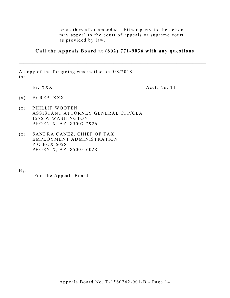or as thereafter amended. Either party to the action may appeal to the court of appeals or supreme court as provided by law.

## **Call the Appeals Board at (602) 771-9036 with any questions**

\_\_\_\_\_\_\_\_\_\_\_\_\_\_\_\_\_\_\_\_\_\_\_\_\_\_\_\_\_\_\_\_\_\_\_\_\_\_\_\_\_\_\_\_\_\_\_\_\_\_\_\_\_\_\_\_\_\_\_\_\_\_\_\_\_\_\_\_\_\_\_\_\_\_\_\_\_\_\_\_\_\_\_

A copy of the foregoing was mailed on 5/8/2018 to:

Er: XXX Acct. No: T1

- (x) Er REP: XXX
- (x ) PHILLIP WOOTEN ASSISTANT ATTORNEY GENERAL CFP/CLA 1275 W WASHINGTON PHOENIX, AZ 85007-2926
- (x ) SANDRA CANEZ, CHIEF OF TAX EMPLOYMENT ADMINISTRATION P O BOX 6028 PHOENIX, AZ 85005 -6028

 $By:$ 

For The Appeals Board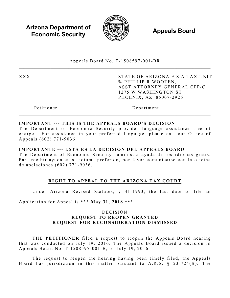**Arizona Department of Economic Security**  $\qquad \qquad \qquad \qquad$  **<b>Appeals Board** 



Appeals Board No. T - 1508597 -001 -BR  $\_$ 

XXX STATE OF ARIZONA E S A TAX UNIT ℅ PHILLIP R WOOTEN, ASST ATTORNEY GENERAL CFP/C 1275 W WASHINGTON ST PHOENIX, AZ 85007 -2926

Petitioner Department

## **IMPORTANT --- THIS IS THE APPEALS BOARD'S DECISION**

The Department of Economic Security provides language assistance free of charge. For assistance in your preferred language, please call our Office of Appeals (602) 771 -9036 .

## **IMPORTANTE --- ESTA ES LA DECISIÓN DEL APPEALS BOARD**

The Department of Economic Security suministra ayuda de los idiomas gratis. Para recibir ayuda en su idioma preferido, por favor comunicarse con la oficina de apelaciones (602) 771 - 9036 .

## **RIGHT TO APPEAL TO THE ARIZONA TAX COURT**

Under Arizona Revised Statutes, § 41-1993, the last date to file an

Application for Appeal is **\*\*\* May 31, 2018 \*\*\*** .

## DECISION **REQUEST TO REOPEN GRANTED REQUEST FOR RECONSIDERATION DISMISSED**

THE **PETITIONER** filed a request to reopen the Appeals Board hearing that was conducted on July 19 , 2016. The Appeals Board issued a decision in Appeals Board No. T- 1508597 -001 -B, on July 19 , 2016.

The request to reopen the hearing having been timely filed, the Appeals Board has jurisdiction in this matter pursuant to A.R.S. § 23 -724(B). The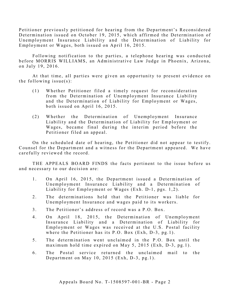Petitioner previously petitioned for hearing from the Department's Reconsidered Determination issued on October 19, 2015, which affirmed the Determination of Unemployment Insurance Liability and the Determination of Liability for Employment or Wages, both issued on April 16, 2015.

Following notification to the parties, a telephone hearing was conducted before MORRIS WILLIAMS, an Administrative Law Judge in Phoenix, Arizona, on July 19, 2016.

At that time, all parties were given an opportunity to present evidence on the following issue $(s)$ :

- (1) Whether Petitioner filed a timely request for reconsideration from the Determination of Unemployment Insurance Liability and the Determination of Liability for Employment or Wages, both issued on April 16, 2015.
- (2) Whether the Determination of Unemployment Insurance Liability and the Determination of Liability for Employment or Wages, became final during the interim period before the Petitioner filed an appeal.

On the scheduled date of hearing, the Petitioner did not appear to testify. Counsel for the Department and a witness for the Department appeared. We have carefully reviewed the record.

THE APPEALS BOARD FINDS the facts pertinent to the issue before us and necessary to our decision are:

- 1. On April 16, 2015, the Department issued a Determination of Unemployment Insurance Liability and a Determination of Liability for Employment or Wages (Exh. D-1, pgs. 1,2).
- 2. The determinations held that the Petitioner was liable for Unemployment Insurance and wages paid to its workers.
- 3 . The Petitioner's address of record was a P.O. Box.
- 4. On April 18, 2015, the Determination of Unemployment Insurance Liability and a Determination of Liability for Employment or Wages was received at the U.S. Postal facility where the Petitioner has its  $P.O. Box (Exh, D-3, pg.1)$ .
- 5 . The determination went unclaimed in the P.O. Box until the maximum hold time expired on May 5, 2015 (Exh, D-3, pg.1).
- 6 . The Postal service returned the unclaimed mail to the Department on May 10, 2015 (Exh, D-3, pg.1).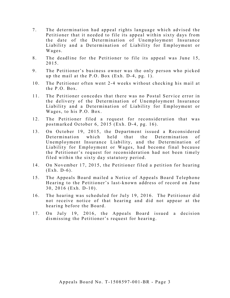- 7. The determination had appeal rights language which advised the Petitioner that it needed to file its appeal within sixty days from the date of the Determination of Unemployment Insurance Liability and a Determination of Liability for Employment or Wages.
- 8. The deadline for the Petitioner to file its appeal was June 15, 2015.
- 9. The Petitioner's business owner was the only person who picked up the mail at the P.O. Box  $(Exh. D-4, pg. 1)$ .
- 10. The Petitioner often went 2-4 weeks without checking his mail at the P.O. Box.
- 11. The Petitioner concedes that there was no Postal Service error in the delivery of the Determination of Unemployment Insurance Liability and a Determination of Liability for Employment or Wages, to his P.O. Box.
- 12. The Petitioner filed a request for reconsideration that was postmarked October 6, 2015 (Exh. D-4, pg. 16).
- 13. On October 19, 2015, the Department issued a Reconsidered Determination which held that the Determination of Unemployment Insurance Liability, and the Determination of Liability for Employment or Wages, had become final because the Petitioner's request for reconsideration had not been timely filed within the sixty day statutory period.
- 14. On November 17, 2015, the Petitioner filed a petition for hearing (Exh. D-6).
- 15. The Appeals Board mailed a Notice of Appeals Board Telephone Hearing to the Petitioner's last-known address of record on June  $30, 2016$  (Exh. D-10).
- 16. The hearing was scheduled for July 19, 2016. The Petitioner did not receive notice of that hearing and did not appear at the hearing before the Board.
- 17. On July 19, 2016, the Appeals Board issued a decision dismissing the Petitioner's request for hearing.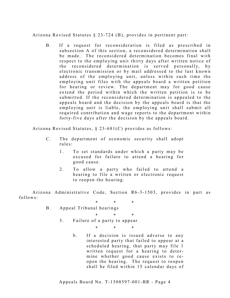Arizona Revised Statutes § 23 -7 24 (B), provides in pertinent part:

B. If a request for reconsideration is filed as prescribed in subsection A of this section, a reconsidered determination shall be made. The reconsidered determination becomes final with respect to the employing unit thirty days after written notice of the reconsidered determination is served personally, by electronic transmission or by mail addressed to the last known address of the employing unit, unless within such time the employing unit files with the appeals board a written petition for hearing or review. The department may for good cause extend the period within which the written petition is to be submitted. If the reconsidered determination is appealed to the appeals board and the decision by the appeals board is that the employing unit is liable, the employing unit shall submit all required contribution and wage reports to the department within forty-five days after the decision by the appeals board.

Arizona Revised Statutes, § 23-681(C) provides as follows:

- C. The department of economic security shall adopt rules:
	- 1. To set standards under which a party may be excused for failure to attend a hearing for good cause.
	- 2. To allow a party who failed to attend a hearing to file a written or electronic request to reopen the hearing.

Arizona Administrative Code, Section R6-3-1503, provides in part as follows:

- \* \* \* B. Appeal Tribunal hearings
	- \* \* \* 3. Failure of a party to appear

\* \* \*

b. If a decision is issued adverse to any interested party that failed to appear at a scheduled hearing, that party may file 1 written request for a hearing to determine whether good cause exists to reopen the hearing. The request to reopen shall be filed within 15 calendar days of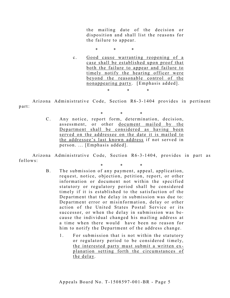the mailing date of the decision or disposition and shall list the reasons for the failure to appear.

\* \* \*

c. Good cause warranting reopening of a case shall be established upon proof that both the failure to appear and failure to timely notify the hearing officer were beyond the reasonable control of the nonappearing party. [Emphasis added]. \* \* \*

Arizona Administrative Code, Section R6-3-1404 provides in pertinent part:

> \* \* \* C. Any notice, report form, determination, decision, assessment, or other document mailed by the Department shall be considered as having been served on the addressee on the date it is mailed to the addressee's last known address if not served in person. ... [Emphasis added].

Arizona Administrative Code, Section R6-3-1404, provides in part as follows:

- \* \* \*
- B. The submission of any payment, appeal, application, request, notice, objection, petition, report, or other information or document not within the specified statutory or regulatory period shall be considered timely if it is established to the satisfaction of the Department that the delay in submission was due to: Department error or misinformation, delay or other action of the United States Postal Service or its successor, or when the delay in submission was be cause the individual changed his mailing address at a time when there would have been no reason for him to notify the Department of the address change.
	- 1. For submission that is not within the statutory or regulatory period to be considered timely, the interested party must submit a written explanation setting forth the circumstances of the delay.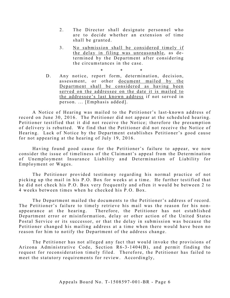- 2. The Director shall designate personnel who are to decide whether an extension of time shall be granted.
- 3. No submission shall be considered timely if the delay in filing was unreasonable, as determined by the Department after considering the circumstances in the case.

\* \* \*

D. Any notice, report form, determination, decision, assessment, or other document mailed by the Department shall be considered as having been served on the addressee on the date it is mailed to the addressee's last known address if not served in person. ... [Emphasis added].

A Notice of Hearing was mailed to the Petitioner's last- known address of record on June 30, 2016. The Petitioner did not appear at the scheduled hearing. Petitioner testified that it did not receive the Notice; therefore the presumption of delivery is rebutted. We find that the Petitioner did not receive the Notice of Hearing. Lack of Notice by the Department establishes Petitioner's good cause for not appearing at the hearing of July 19, 2016.

Having found good cause for the Petitioner's failure to appear, we now consider the issue of timeliness of the Claimant's appeal from the Determination of Unemployment Insurance Liability and Determination of Liability for Employment or Wages.

The Petitioner provided testimony regarding his normal practice of not picking up the mail in his P.O. Box for weeks at a time. He further testified that he did not check his P.O. Box very frequently and often it would be between 2 to 4 weeks between times when he checked his P.O. Box.

The Department mailed the documents to the Petitioner's address of record. The Petitioner's failure to timely retrieve his mail was the reason for his nonappearance at the hearing. Therefore, the Petitioner has not established Department error or misinformation, delay or other action of the United States Postal Service or its successor, or that the delay in submission was because the Petitioner changed his mailing address at a time when there would have been no reason for him to notify the Department of the address change.

The Petitioner has not alleged any fact that would invoke the provisions of Arizona Administrative Code, Section R6-3-1404(B), and permit finding the request for reconsideration timely filed. Therefore, the Petitioner has failed to meet the statutory requirements for review. Accordingly,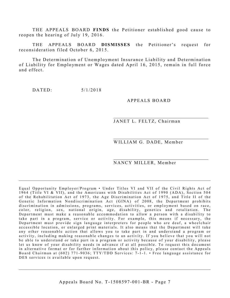THE APPEALS BOARD **FINDS** the Petitioner established good cause to reopen the hearing of July 19, 2016.

THE APPEALS BOARD **DISMISSES** the Petitioner's request for reconsideration filed October 6, 2015.

The Determination of Unemployment Insurance Liability and Determination of Liability for Employment or Wages dated April 16, 2015, remain in full force and effect.

DATED: 5/1/2018

## A PPEALS BOARD

JANET L. FELTZ, Chairman

WILLIAM G. DADE, Member

## NANCY MILLER, Member

Equal Opportunity Employer/Program • Under Titles VI and VII of the Civil Rights Act of 1964 (Title VI & VII), and the Americans with Disabilities Act of 1990 (ADA), Section 504 of the Rehabilitation Act of 1973, the Age Discrimination Act of 1975, and Title II of the Genetic Information Nondiscrimination Act (GINA) of 2008, the Department prohibits discrimination in admissions, programs, services, activities, or employment based on race, color, religion, sex, national origin, age, disability, genetics and retaliation. The Department must make a reasonable accommodation to allow a person with a disability to take part in a program, service or activity. For example, this means if necessary, the Department must provide sign language interpreters for people who are deaf, a wheelchair accessible location, or enlarged print materials. It also means that the Department will take any other reasonable action that allows you to take part in and understand a program or activity, including making reasonable changes to an activity. If you believe that you will not be able to understand or take part in a program or activity because of your disability, please let us know of your disability needs in advance if at all possible. To request this document in alternative format or for further information about this policy, please contact the Appeals Board Chairman at (602) 771-9036; TTY/TDD Services: 7-1-1. • Free language assistance for DES services is available upon request.

 $\_$  , and the set of the set of the set of the set of the set of the set of the set of the set of the set of the set of the set of the set of the set of the set of the set of the set of the set of the set of the set of th

 $\mathcal{L}_\mathcal{L}$  , and the contribution of the contribution of the contribution of the contribution of the contribution of the contribution of the contribution of the contribution of the contribution of the contribution of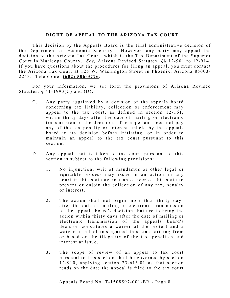## **RIGHT OF APPEAL TO THE ARIZONA TAX COURT**

This decision by the Appeals Board is the final administrative decision of the Department of Economic Security. However, any party may appeal the decision to the Arizona Tax Court, which is the Tax Department of the Superior Court in Maricopa County. *See*, Arizona Revised Statutes, §§ 12-901 to 12-914. If you have questions about the procedures for filing an appeal, you must contact the Arizona Tax Court at 125 W. Washington Street in Phoenix, Arizona 85003-2243. Telephone: **(602) 506 - 3776** .

For your information, we set forth the provisions of Arizona Revised Statutes,  $§$  41-1993(C) and (D):

- C. Any party aggrieved by a decision of the appeals board concerning tax liability, collection or enforcement may appeal to the tax court, as defined in section 12-161, within thirty days after the date of mailing or electronic transmission of the decision. The appellant need not pay any of the tax penalty or interest upheld by the appeals board in its decision before initiating, or in order to maintain an appeal to the tax court pursuant to this section.
- D. Any appeal that is taken to tax court pursuant to this section is subject to the following provisions:
	- 1. No injunction, writ of mandamus or other legal or equita ble process may issue in an action in any court in this state against an officer of this state to prevent or enjoin the collection of any tax, penalty or interest.
	- 2. The action shall not begin more than thirty days after the date of mailing or electronic transmission of the appeals board's decision. Failure to bring the action within thirty days after the date of mailing or electronic transmission of the appeals board's decision constitutes a waiver of the protest and a waiver of all claims against this state arising from or based on the illegality of the tax, penalties and interest at issue.
	- 3. The scope of review of an appeal to tax court pursuant to this section shall be governed by section  $12 - 910$ , applying section  $23 - 613.01$  as that section reads on the date the appeal is filed to the tax court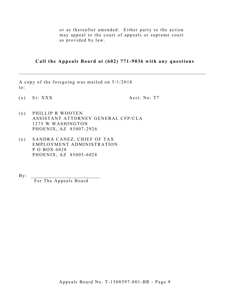or as thereafter amended. Either party to the action may appeal to the court of appeals or supreme court as provided by law.

**Call the Appeals Board at (602) 771-9036 with any questions**

A copy of the foregoing was mailed on 5/1/2018 to:

 $(x)$  Er: XXX  $Acct. No: T7$ 

- $(x)$  PHILLIP R WOOTEN ASSISTANT ATTORNEY GENERAL CFP/CLA 1275 W WASHINGTON PHOENIX, AZ 85007 -2926
- (x ) SANDRA CANEZ, CHIEF OF TAX EMPLOYMENT ADMINISTRATION P O BOX 6028 PHOENIX, AZ 85005 -6028

 $\mathbf{By:}$ 

For The Appeals Board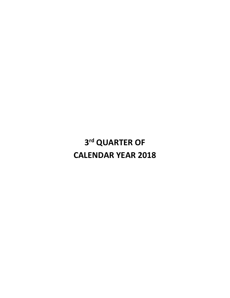# **3rd QUARTER OF CALENDAR YEAR 2018**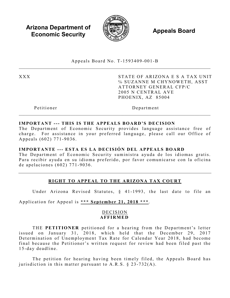**Arizona Department of Economic Security**  $\qquad \qquad \qquad \qquad$  **<b>Appeals Board** 



Appeals Board No. T - 1593409 -001 - B  $\_$ 

XXX STATE OF ARIZONA E S A TAX UNIT ℅ SUZANNE M CHYNOWETH, ASST ATTORNEY GENERAL CFP/C 2005 N CENTRAL AVE PHOENIX, AZ 85004

Petitioner Department

## **IMPORTANT --- THIS IS THE APPEALS BOARD'S DECISION**

The Department of Economic Security provides language assistance free of charge. For assistance in your preferred language, please call our Office of Appeals (602) 771 -9036 .

## **IMPORTANTE --- ESTA ES LA DECISIÓN DEL APPEALS BOARD**

The Department of Economic Security suministra ayuda de los idiomas gratis. Para recibir ayuda en su idioma preferido, por favor comunicarse con la oficina de apelaciones (602) 771 - 9036 .

## **RIGHT TO APPEAL TO THE ARIZONA TAX COURT**

Under Arizona Revised Statutes, § 41-1993, the last date to file an

Application for Appeal is **\*\*\* September 21, 2018 \*\*\*** .

## DECISION **AFFIRMED**

THE **PETITIONER** petitioned for a hearing from the Department's letter issued on January 31, 2018, which held that the December 29, 2017 Determination of Unemployment Tax Rate for Calendar Year 2018 , had become final because the Petitioner's written request for review had been filed past the 1 5 -day deadline.

The petition for hearing having been timely filed, the Appeals Board has jurisdiction in this matter pursuant to A.R.S.  $\S$  23-732(A).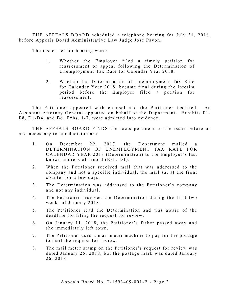THE APPEALS BOARD scheduled a telephone hearing for July 31, 2018, before Appeals Board Administrative Law Judge Jose Pavon.

The issues set for hearing were:

- 1. Whether the Employer filed a timely petition for reassessment or appeal following the Determination of Unemployment Tax Rate for Calendar Year 2018.
- 2. Whether the Determination of Unemployment Tax Rate for Calendar Year 2018, became final during the interim period before the Employer filed a petition for reassessment.

The Petitioner appeared with counsel and the Petitioner testified. An Assistant Attorney General appeared on behalf of the Department. Exhibits P1 - P8, D1-D4, and Bd. Exhs. 1-7, were admitted into evidence.

THE APPEALS BOARD FINDS the facts pertinent to the issue before us and necessary to our decision are:

- 1. On December 29, 2017, the Department mailed a DETERMINATION OF UNEMPLOYMENT TAX RATE FOR CALENDAR YEAR 2018 (Determination ) to the Employer's last known address of record  $(Exh. D1)$ .
- 2 . When the Petitioner received mail that was addressed to the company and not a specific individual, the mail sat at the front counter for a few days.
- 3. The Determination was addressed to the Petitioner's company and not any individual.
- 4. The Petitioner received the Determination during the first two weeks of January 2018.
- 5 . The Petitioner read the Determination and was aware of the deadline for filing the request for review.
- 6 . On January 11, 2018, the Petitioner's father passed away and she immediately left town.
- 7. The Petitioner used a mail meter machine to pay for the postage to mail the request for review.
- 8. The mail meter stamp on the Petitioner's request for review was dated January 25, 2018, but the postage mark was dated January 26, 2018.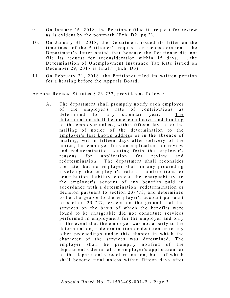- 9. On January 26, 2018, the Petitioner filed its request for review as is evident by the postmark (Exh. D2, pg.2).
- 10. On January 31, 2018, the Department issued its letter on the timeliness of the Petitioner's request for reconsideration. The Department's letter stated that because the Petitioner did not file its request for reconsideration within 15 days, "…the Determination of Unemployment Insurance Tax Rate issued on December 29, 2017 is final." (Exh. D3).
- 11. On February 21, 2018, the Petitioner filed its written petition for a hearing before the Appeals Board.

Arizona Revised Statutes § 23 -732, provides as follows:

A. The department shall promptly notify each employer of the employer's rate of contributions as determined for any calendar year. The determination shall become conclusive and binding on the employer unless, within fifteen days after the mailing of notice of the determination to the employer's last known address or in the absence of mailing, within fifteen days after delivery of the notice, the employer files an application for review and redetermination, setting forth the employer's reasons for application for review and<br>redetermination. The department shall reconsider The department shall reconsider the rate, but no employer shall in any proceeding involving the employer's rate of contributions or contribution liability contest the chargeability to the employer's account of any benefits paid in accordance with a determination, redetermination or decision pursuant to section 23 -773, and determined to be chargeable to the employer's account pursuant to section 23-727, except on the ground that the services on the basis of which the benefits were found to be chargeable did not constitute services performed in employment for the employer and only in the event that the employer was not a party to the determination, redetermination or decision or to any other proceedings under this chapter in which the character of the services was determined. The employer shall be promptly notified of the department's denial of the employer's application, or of the department's redetermination, both of which shall become final unless within fifteen days after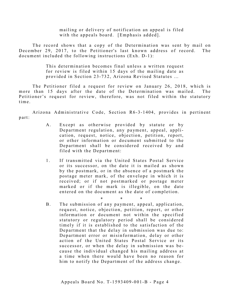mailing or delivery of notification an appeal is filed with the appeals board. [Emphasis added].

The record shows that a copy of the Determination was sent by mail on December 29, 2017, to the Petitioner's last known address of record. The document included the following instructions (Exh. D-1):

> This determination becomes final unless a written request for review is filed within 15 days of the mailing date as provided in Section 23-732, Arizona Revised Statutes ...

The Petitioner filed a request for review on January 26, 2018, which is more than 15 days after the date of the Determination was mailed. The Petitioner's request for review, therefore, was not filed within the statutory time.

Arizona Administrative Code, Section R6-3-1404, provides in pertinent part:

- A. Except as otherwise provided by statute or by Department regulation, any payment, appeal, application, request, notice, objection, petition, report, or other information or document submitted to the Department shall be considered received by and filed with the Department:
- 1. If transmitted via the United States Postal Service or its successor, on the date it is mailed as shown by the postmark, or in the absence of a postmark the postage meter mark, of the envelope in which it is received; or if not postmarked or postage meter marked or if the mark is illegible, on the date entered on the document as the date of completion.
- \* \* \* B. The submission of any payment, appeal, application, request, notice, objection, petition, report, or other information or document not within the specified statutory or regulatory period shall be considered timely if it is established to the satisfaction of the Department that the delay in submission was due to: Department error or misinformation, delay or other action of the United States Postal Service or its successor, or when the delay in submission was be cause the individual changed his mailing address at a time when there would have been no reason for him to notify the Department of the address change.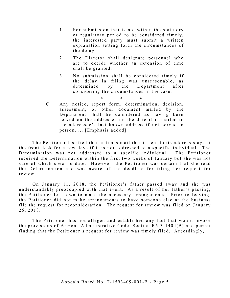- 1. For submission that is not within the statutory or regulatory period to be considered timely, the interested party must submit a written explanation setting forth the circumstances of the delay.
- 2. The Director shall designate personnel who are to decide whether an extension of time shall be granted.
- 3 . No submission shall be considered timely if the delay in filing was unreasonable, as determined by the Department after considering the circumstances in the case.

\* \* \*

C. Any notice, report form, determination, decision, assessment, or other document mailed by the Department shall be considered as having been served on the addressee on the date it is mailed to the addressee's last known address if not served in person. ... [Emphasis added].

The Petitioner testified that at times mail that is sent to its address stays at the front desk for a few days if it is not addressed to a specific individual. The Determination was not addressed to a specific individual. The Petitioner received the Determination within the first two weeks of January but she was not sure of which specific date. However, the Petitioner was certain that she read the Determination and was aware of the deadline for filing her request for review.

On January 11, 2018, the Petitioner's father passed away and she was understandably preoccupied with that event. As a result of her father's passing, the Petitioner left town to make the necessary arrangements. Prior to leaving, the Petitioner did not make arrangements to have someone else at the business file the request for reconsideration. The request for review was filed on January 26, 2018.

The Petitioner has not alleged and established any fact that would invoke the provisions of Arizona Administrative Code, Section  $R6-3-1404(B)$  and permit finding that the Petitioner's request for review was timely filed. Accordingly,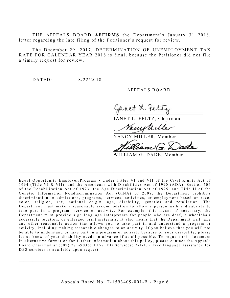THE APPEALS BOARD **AFFIRMS** the Department's January 31 2018, letter regarding the late filing of the Petitioner's request for review.

The December 29, 2017, DETERMINATION OF UNEMPLOYMENT TAX RATE FOR CALENDAR YEAR 2018 is final, because the Petitioner did not file a timely request for review.

DATED: 8/22/2018

A PPEALS BOARD

net 2. tel

JANET L. FELTZ, Chairman

<u>ruw</u>

NANCY MILLER, Member

'am)

WILLIAM G. DADE, Member

Equal Opportunity Employer/Program • Under Titles VI and VII of the Civil Rights Act of 1964 (Title VI & VII), and the Americans with Disabilities Act of 1990 (ADA), Sec tion 504 of the Rehabilitation Act of 1973, the Age Discrimination Act of 1975, and Title II of the Genetic Information Nondiscrimination Act (GINA) of 2008, the Department prohibits discrimination in admissions, programs, services, activities, or employment based on race, color, religion, sex, national origin, age, disability, genetics and retaliation. The Department must make a reasonable accommodation to allow a person with a disability to take part in a program, service or activity. For example, this me ans if necessary, the Department must provide sign language interpreters for people who are deaf, a wheelchair accessible location, or enlarged print materials. It also means that the Department will take any other reasonable action that allows you to take part in and understand a program or activity, including making reasonable changes to an activity. If you believe that you will not be able to understand or take part in a program or activity because of your disability, please let us know of your disability needs in advance if at all possible. To request this document in alternative format or for further information about this policy, please contact the Appeals Board Chairman at (602) 771-9036; TTY/TDD Services: 7-1-1. • Free language assistance for DES services is available upon request.

 $\_$ 

 $\mathcal{L}_\mathcal{L}$  , and the contribution of the contribution of the contribution of the contribution of the contribution of the contribution of the contribution of the contribution of the contribution of the contribution of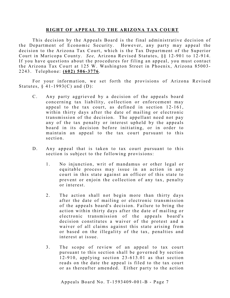#### **RIGHT OF APPEAL TO THE ARIZONA TAX COURT**

This decision by the Appeals Board is the final administrative decision of the Department of Economic Security. However, any party may appeal the decision to the Arizona Tax Court, which is the Tax Department of the Superior Court in Maricopa County. *See*, Arizona Revised Statutes, §§ 12-901 to 12-914. If you have questions about the procedures for filing an appeal, you must contact the Arizona Tax Court at 125 W. Washington Street in Phoenix, Arizona 85003 - 2243. Telephone: **(602) 506 - 3776** .

For your information, we set forth the provisions of Arizona Revised Statutes,  $§$  41-1993(C) and (D):

- C. Any party aggrieved by a decision of the appeals board concerning tax liability, collection or enforcement may appeal to the tax court, as defined in section 12-161, within thirty days after the date of mailing or electronic transmission of the decision. The appellant need not pay any of the tax penalty or interest upheld by the appeals board in its decision before initiating, or in order to maintain an appeal to the tax court pursuant to this section.
- D. Any appeal that is taken to tax court pursuant to this section is subject to the following provisions:
	- 1. No injunction, writ of mandamus or other legal or equitable process may issue in an action in any court in this state against an officer of this state to prevent or enjoin the collection of any tax, penalty or interest.
	- 2. The action shall not begin more than thirty days after the date of mailing or electronic transmission of the appeals board's decision. Failure to bring the action within thirty days after the date of mailing or electronic transmission of the appeals board's decision constitutes a waiver of the protest and a waiver of all claims against this state arising from or based on the illegality of the tax, penalties and interest at issue.
	- 3. The scope of review of an appeal to tax court pursuant to this section shall be governed by section  $12 - 910$ , applying section  $23 - 613.01$  as that section reads on the date the appeal is filed to the tax court or as thereafter amended. Either party to the action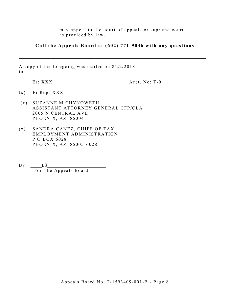may appeal to the court of appeals or supreme court as provided by law.

**Call the Appeals Board at (602) 771-9036 with any questions**

\_\_\_\_\_\_\_\_\_\_\_\_\_\_\_\_\_\_\_\_\_\_\_\_\_\_\_\_\_\_\_\_\_\_\_\_\_\_\_\_\_\_\_\_\_\_\_\_\_\_\_\_\_\_\_\_\_\_\_\_\_\_\_\_\_\_\_\_\_\_\_\_\_\_\_\_\_\_\_\_\_\_\_

A copy of the foregoing was mailed on 8/22/2018 to:

Er: XXX

Acct. No: T-9

- (x) Er Rep: XXX
- (x ) SUZANNE M CHYNOWETH ASSISTANT ATTORNEY GENERAL CFP/CLA 2005 N CENTRAL AVE PHOENIX, AZ 85004
- (x ) SANDRA CANEZ, CHIEF OF TAX EMPLOYMENT ADMINISTRATION P O BOX 6028 PHOENIX, AZ 85005 -6028

 $By: \_\_\_LS$ For The Appeals Board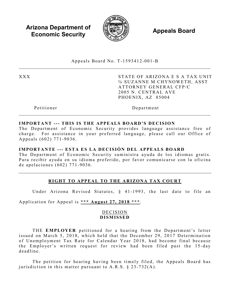**Arizona Department of Economic Security**  $\qquad \qquad \qquad \qquad$  **<b>Appeals Board** 



Appeals Board No. T - 1593412 -001 - B  $\_$ 

XXX STATE OF ARIZONA E S A TAX UNIT ℅ SUZANNE M CHYNOWETH, ASST ATTORNEY GENERAL CFP/C 2005 N. CENTRAL AVE PHOENIX, AZ 85004

Petitioner Department

## **IMPORTANT --- THIS IS THE APPEALS BOARD'S DECISION**

The Department of Economic Security provides language assistance free of charge. For assistance in your preferred language, please call our Office of Appeals (602) 771 -9036 .

## **IMPORTANTE --- ESTA ES LA DECISIÓN DEL APPEALS BOARD**

The Department of Economic Security suministra ayuda de los idiomas gratis. Para recibir ayuda en su idioma preferido, por favor comunicarse con la oficina de apelaciones (602) 771 - 9036 .

## **RIGHT TO APPEAL TO THE ARIZONA TAX COURT**

Under Arizona Revised Statutes, § 41-1993, the last date to file an

Application for Appeal is **\*\*\* August 27, 2018 \*\*\***.

## DECISION **DISMISSE D**

THE **EMPLOYER** petitioned for a hearing from the Department's letter issued on March 5, 2018, which held that the December 29, 2017 Determination of Unemployment Tax Rate for Calendar Year 2018 , had become final because the Employer's written request for review had been filed past the 15-day deadline .

The petition for hearing having been timely filed, the Appeals Board has jurisdiction in this matter pursuant to A.R.S.  $\S$  23-732(A).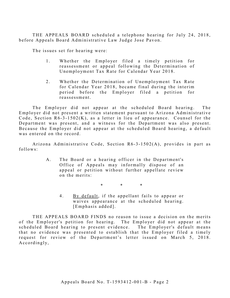THE APPEALS BOARD scheduled a telephone hearing for July 24, 2018, before Appeals Board Administrative Law Judge Jose Pavon.

The issues set for hearing were:

- 1. Whether the Employer filed a timely petition for reassessment or appeal following the Determination of Unemployment Tax Rate for Calendar Year 2018.
- 2. Whether the Determination of Unemployment Tax Rate for Calendar Year 2018, became final during the interim period before the Employer filed a petition for reassessment.

The Employer did not appear at the scheduled Board hearing. The Employer did not present a written statement pursuant to Arizona Administrative Code, Section  $R6-3-1502(K)$ , as a letter in lieu of appearance. Counsel for the Department was present, and a witness for the Department was also present. Because the Employer did not appear at the scheduled Board hearing, a default was entered on the record.

Arizona Administrative Code, Section R6 -3 -1502(A), provides in part as follows:

> A. The Board or a hearing officer in the Department's Office of Appeals may informally dispose of an appeal or petition without further appellate review on the merits:

> > \* \* \*

4. By default, if the appellant fails to appear or waives appearance at the scheduled hearing. [Emphasis added].

THE APPEALS BOARD FINDS no reason to issue a decision on the merits of the Employer's petition for hearing. The Employer did not appear at the scheduled Board hearing to present evidence. The Employer's default means that no evidence was presented to establish that the Employer filed a timely request for review of the Department's letter issued on March 5, 2018. A c cordingly,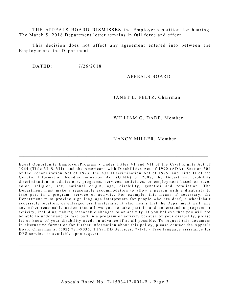THE APPEALS BOARD DISMISSES the Employer's petition for hearing. The March 5, 2018 Department letter remains in full force and effect.

This decision does not affect any agreement entered into between the Employer and the Department.

DATED:  $7/26/2018$ 

#### APPEALS BOARD

JANET L. FELTZ, Chairman

WILLIAM G. DADE, Member

NANCY MILLER, Member

Equal Opportunity Employer/Program • Under Titles VI and VII of the Civil Rights Act of 1964 (Title VI & VII), and the Americans with Disabilities Act of 1990 (ADA), Section 504 of the Rehabilitation Act of 1973, the Age Discrimination Act of 1975, and Title II of the Genetic Information Nondiscrimination Act (GINA) of 2008, the Department prohibits discrimination in admissions, programs, services, activities, or employment based on race, color, religion, sex, national origin, age, disability, genetics and retaliation. The Department must make a reasonable accommodation to allow a person with a disability to take part in a program, service or activity. For example, this means if necessary, the Department must provide sign language interpreters for people who are deaf, a wheelchair accessible location, or enlarged print materials. It also means that the Department will take any other reasonable action that allows you to take part in and understand a program or activity, including making reasonable changes to an activity. If you believe that you will not be able to understand or take part in a program or activity because of your disability, please let us know of your disability needs in advance if at all possible. To request this document in alternative format or for further information about this policy, please contact the Appeals Board Chairman at (602) 771-9036; TTY/TDD Services: 7-1-1. • Free language assistance for DES services is available upon request.

\_\_\_\_\_\_\_\_\_\_\_\_\_\_\_\_\_\_\_\_\_\_\_\_\_\_\_\_\_\_\_\_\_\_\_\_\_\_\_\_\_\_\_\_\_\_\_\_\_\_\_\_\_\_\_\_\_\_\_\_\_\_\_\_\_\_\_\_\_\_\_\_\_\_\_\_\_\_\_\_\_\_\_\_

 $\_$  , and the set of the set of the set of the set of the set of the set of the set of the set of the set of the set of the set of the set of the set of the set of the set of the set of the set of the set of the set of th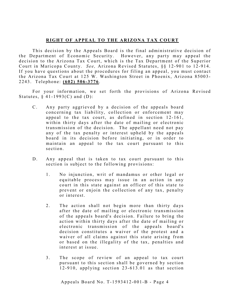## **RIGHT OF APPEAL TO THE ARIZONA TAX COURT**

This decision by the Appeals Board is the final administrative decision of the Department of Economic Security. However, any party may appeal the decision to the Arizona Tax Court, which is the Tax Department of the Superior Court in Maricopa County. *See*, Arizona Revised Statutes, §§ 12-901 to 12-914. If you have questions about the procedures for filing an appeal, you must contact the Arizona Tax Court at 125 W. Washington Street in Phoenix, Arizona 85003-2243. Telephone: **(602) 506 - 3776** .

For your information, we set forth the provisions of Arizona Revised Statutes,  $\S$  41-1993(C) and (D):

- C. Any party aggrieved by a decision of the appeals board concerning tax liability, collection or enforcement may appeal to the tax court, as defined in section  $12-161$ , within thirty days after the date of mailing or electronic transmission of the decision. The appellant need not pay any of the tax penalty or interest upheld by the appeals board in its decision before initiating, or in order to maintain an appeal to the tax court pursuant to this section.
- D. Any appeal that is taken to tax court pursuant to this section is subject to the following provisions:
	- 1. No injunction, writ of mandamus or other legal or equitable process may issue in an action in any court in this state against an officer of this state to prevent or enjoin the collection of any tax, penalty or interest.
	- 2. The action shall not begin more than thirty days after the date of mailing or electronic transmission of the appeals board's decision. Failure to bring the action within thirty days after the date of mailing or electronic transmission of the appeals board's decision constitutes a waiver of the protest and a waiver of all claims against this state arising from or based on the illegality of the tax, penalties and interest at issue.
	- 3. The scope of review of an appeal to tax court pursuant to this section shall be governed by section  $12 - 910$ , applying section  $23 - 613.01$  as that section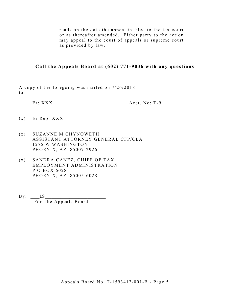reads on the date the appeal is filed to the tax court or as thereafter amended. Either party to the action may appeal to the court of appeals or supreme court as provided by law.

## **Call the Appeals Board at (602) 771-9036 with any questions**

\_\_\_\_\_\_\_\_\_\_\_\_\_\_\_\_\_\_\_\_\_\_\_\_\_\_\_\_\_\_\_\_\_\_\_\_\_\_\_\_\_\_\_\_\_\_\_\_\_\_\_\_\_\_\_\_\_\_\_\_\_\_\_\_\_\_\_\_\_\_\_\_\_\_\_\_\_\_\_\_\_\_\_

A copy of the foregoing was mailed on 7/26/2018 to:

Er: XXX Acct. No: T-9

- $(x)$  Er Rep: XXX
- (x ) SUZANNE M CHYNOWETH ASSISTANT ATTORNEY GENERAL CFP/CLA 1275 W WASHINGTON PHOENIX, AZ 85007 -2926
- (x ) SANDRA CANEZ, CHIEF OF TAX EMPLOYMENT ADMINISTRATION P O BOX 6028 PHOENIX, AZ 85005 -6028
- $By:$   $LS$ For The Appeals Board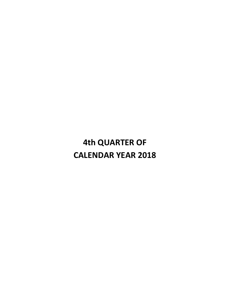## **4th QUARTER OF CALENDAR YEAR 2018**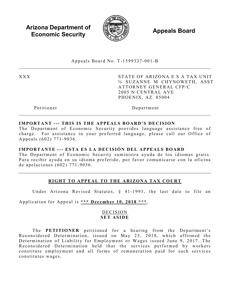**Arizona Department of Economic Security**  $\qquad \qquad \qquad \qquad$  **<b>Appeals Board** 



Appeals Board No. T - 1599337 -001 - B  $\_$ 

XXX STATE OF ARIZONA E S A TAX UNIT ℅ SUZANNE M CHYNOWETH, ASST ATTORNEY GENERAL CFP/C 2005 N CENTRAL AVE PHOENIX, AZ 85004

Petitioner Department

## **IMPORTANT --- THIS IS THE APPEALS BOARD'S DECISION**

The Department of Economic Security provides language assistance free of charge. For assistance in your preferred language, please call our Office of Appeals (602) 771 -9036 .

## **IMPORTANTE --- ESTA ES LA DECISIÓN DEL APPEALS BOARD**

The Department of Economic Security suministra ayuda de los idiomas gratis. Para recibir ayuda en su idioma preferido, por favor comunicarse con la oficina de apelaciones (602) 771 - 9036 .

## **RIGHT TO APPEAL TO THE ARIZONA TAX COURT**

Under Arizona Revised Statutes, § 41-1993, the last date to file an

Application for Appeal is **\*\*\* December 10, 2018 \*\*\*** .

## DECISION **SET ASIDE**

The **PETITIONER** petitioned for a hearing from the Department's Reconsidered Determination, issued on May 23, 2018, which affirmed the Determination of Liability for Employment or Wages issued June 9, 2017. The Reconsidered Determination held that the services performed by workers constitute employment and all forms of remuneration paid for such services c onstitutes wages.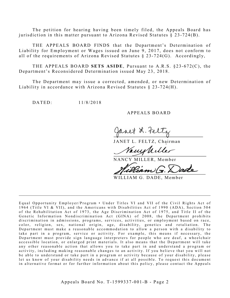The petition for hearing having been timely filed, the Appeals Board has jurisdiction in this matter pursuant to Arizona Revised Statutes § 23-724(B).

THE APPEALS BOARD FINDS that the Department's Determination of Liability for Employment or Wages issued on June 9, 2017, does not conform to all of the requirements of Arizona Revised Statutes § 23- 724(G). Accordingly,

THE APPEALS BOARD SETS ASIDE, Pursuant to A.R.S. §23-672(C), the Department's Reconsidered Determination issued May 23, 2018.

The Department may issue a corrected, amended, or new Determination of Liability in accordance with Arizona Revised Statutes  $\S 23-724(H)$ .

DATED: 11/8/2018

#### A PPEALS BOARD

Janet L. Feltz

JANET L. FELTZ, Chairman

Vacustille

NANCY MILLER, Member

Peam)

WILLIAM G. DADE, Member

Equal Opportunity Employer/Program • Under Titles VI and VII of the Civil Rights Act of 1964 (Title VI & VII), and the Americans with Disabilities Act of 1990 (ADA), Sec tion 504 of the Rehabilitation Act of 1973, the Age Discrimination Act of 1975, and Title II of the Genetic Information Nondiscrimination Act (GINA) of 2008, the Department prohibits discrimination in admissions, programs, services, activities, or employment based on race, color, religion, sex, national origin, age, disability, genetics and retaliation. The Department must make a reasonable accommodation to allow a person with a disability to take part in a program, service or activity. For example, this me ans if necessary, the Department must provide sign language interpreters for people who are deaf, a wheelchair accessible location, or enlarged print materials. It also means that the Department will take any other reasonable action that allows you to take part in and understand a program or activity, including making reasonable changes to an activity. If you believe that you will not be able to understand or take part in a program or activity because of your disability, please let us know of your disability needs in advance if at all possible. To request this document in alternative format or for further information about this policy, please contact the Appeals

 $\mathcal{L}_\mathcal{L}$  , and the contribution of the contribution of the contribution of the contribution of the contribution of the contribution of the contribution of the contribution of the contribution of the contribution of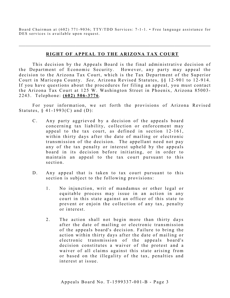Board Chairman at (602) 771-9036; TTY/TDD Services: 7-1-1. • Free language assistance for DES services is available upon request.

 $\mathcal{L}_\mathcal{L}$  , and the contribution of the contribution of the contribution of the contribution of the contribution of the contribution of the contribution of the contribution of the contribution of the contribution of

## **RIGHT OF APPEAL TO THE ARIZONA TAX COURT**

This decision by the Appeals Board is the final administrative decision of the Department of Economic Security. However, any party may appeal the decision to the Arizona Tax Court, which is the Tax Department of the Superior Court in Maricopa County. *See*, Arizona Revised Statutes, §§ 12-901 to 12-914. If you have questions about the procedures for filing an appeal, you must contact the Arizona Tax Court at 125 W. Washington Street in Phoenix, Arizona 85003-2243. Telephone: **(602) 506 - 3776** .

For your information, we set forth the provisions of Arizona Revised Statutes,  $§$  41-1993(C) and (D):

- C. Any party aggrieved by a decision of the appeals board concerning tax liability, collection or enforcement may appeal to the tax court, as defined in section 12-161, within thirty days after the date of mailing or electronic transmission of the decision. The appellant need not pay any of the tax penalty or interest upheld by the appeals board in its decision before initiating, or in order to maintain an appeal to the tax court pursuant to this section.
- D. Any appeal that is taken to tax court pursuant to this section is subject to the following provisions:
	- 1. No injunction, writ of mandamus or other legal or equitable process may issue in an action in any court in this state against an officer of this state to prevent or enjoin the collection of any tax, penalty or interest.
	- 2. The action shall not begin more than thirty days after the date of mailing or electronic transmission of the appeals board's decision. Failure to bring the action within thirty days after the date of mailing or electronic transmission of the appeals board's decision constitutes a waiver of the protest and a waiver of all claims against this state arising from or based on the illegality of the tax, penalties and interest at issue.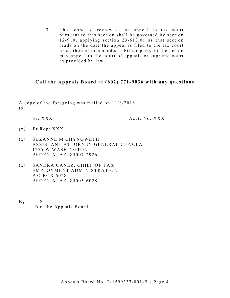3. The scope of review of an appeal to tax court pursuant to this section shall be governed by section  $12 - 910$ , applying section  $23 - 613.01$  as that section reads on the date the appeal is filed to the tax court or as thereafter amended. Either party to the action may appeal to the court of appeals or supreme court as provided by law.

## **Call the Appeals Board at (602) 771-9036 with any questions**

\_\_\_\_\_\_\_\_\_\_\_\_\_\_\_\_\_\_\_\_\_\_\_\_\_\_\_\_\_\_\_\_\_\_\_\_\_\_\_\_\_\_\_\_\_\_\_\_\_\_\_\_\_\_\_\_\_\_\_\_\_\_\_\_\_\_\_\_\_\_\_\_\_\_\_\_\_\_\_\_\_\_\_

A copy of the foregoing was mailed on 11/8/2018 to:

Er: XXX Acct. No: XXX

- $(x)$  Er Rep: XXX
- (x ) SUZANNE M CHYNOWETH ASSISTANT ATTORNEY GENERAL CFP/CLA 1275 W WASHINGTON PHOENIX, AZ 85007 -2926
- (x ) SANDRA CANEZ, CHIEF OF TAX EMPLOYMENT ADMINISTRATION P O BOX 6028 PHOENIX, AZ 85005 -6028
- $\exists \, y: \qquad \, LS$ For The Appeals Board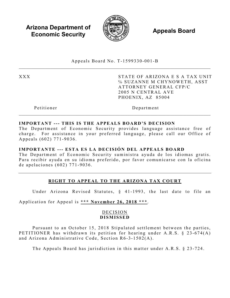**Arizona Department of Economic Security**  $\qquad \qquad \qquad \qquad$  **<b>Appeals Board** 



Appeals Board No. T - 1599330 -001 - B  $\_$ 

XXX STATE OF ARIZONA E S A TAX UNIT ℅ SUZANNE M CHYNOWETH, ASST ATTORNEY GENERAL CFP/C 2005 N CENTRAL AVE PHOENIX, AZ 85004

Petitioner Department

## **IMPORTANT --- THIS IS THE APPEALS BOARD'S DECISION**

The Department of Economic Security provides language assistance free of charge. For assistance in your preferred language, please call our Office of Appeals (602) 771 -9036 .

## **IMPORTANTE --- ESTA ES LA DECISIÓN DEL APPEALS BOARD**

The Department of Economic Security suministra ayuda de los idiomas gratis. Para recibir ayuda en su idioma preferido, por favor comunicarse con la oficina de apelaciones (602) 771 - 9036 .

## **RIGHT TO APPEAL TO THE ARIZONA TAX COURT**

Under Arizona Revised Statutes, § 41-1993, the last date to file an

Application for Appeal is **\*\*\* November 26, 2018 \*\*\*** .

## DECISION **DISMISSED**

Pursuant to an October 15, 2018 Stipulated settlement between the parties, PETITIONER has withdrawn its petition for hearing under A.R.S. § 23-674(A) and Arizona Administrative Code, Section R6 -3 -1502(A).

The Appeals Board has jurisdiction in this matter under A.R.S. § 23-724.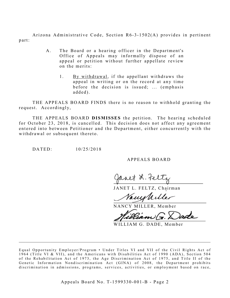Arizona Administrative Code, Section R6-3-1502(A) provides in pertinent part:

- A. The Board or a hearing officer in the Department's Office of Appeals may informally dispose of an appeal or petition without further appellate review on the merits:
	- 1. By withdrawal, if the appellant withdraws the appeal in writing or on the record at any time before the decision is issued; ... (emphasis added).

THE APPEALS BOARD FINDS there is no reason to withhold granting the request. Accordingly,

THE APPEALS BOARD **DISMISSES** the petition. The hearing scheduled for October 23, 2018, is cancelled. This decision does not affect any agreement entered into between Petitioner and the Department, either concurrently with the withdrawal or subsequent thereto.

DATED: 10/25/2018

A PPEALS BOARD

Janet L. Feltz

JANET L. FELTZ, Chairman

Vacuphiller

NANCY MILLER, Member

WILLIAM G. DADE, Member

Equal Opportunity Employer/Program • Under Titles VI and VII of the Civil Rights Act of 1964 (Title VI & VII), and the Americans with Disabilities Act of 1990 (ADA), Section 504 of the Rehabilitation Act of 1973, the Age Discrimination Act of 1975, and Title II of the Genetic Information Nondiscrimination Act (GINA) of 2008, the Department prohibits discrimination in admissions, programs, services, activities, or employment based on race,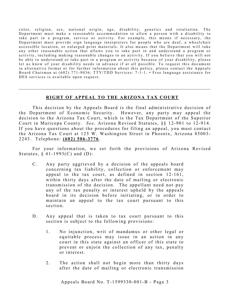color, religion, sex, national origin, age, disability, genetics and retaliation . The Department must make a reasonable accommodation to allow a person with a disability to take part in a program, service or activity. For example, this means if necessary, the Department must provide sign language interpreters for people who are deaf, a wheelchair accessible location, or enlarged print materials. It also means that the Department will take any other reasonable action that allows you to take part in and understand a program or activity, including making reasonable changes to an activity. If you believe that you will not be able to understand or take part in a program or activity because of your disability, please let us know of your disability needs in advance if at all possible. To request this document in alternative format or for further information about this policy, please contact the Appeals Board Chairman at (602) 771-9036; TTY/TDD Services: 7-1-1. • Free language assistance for DES services is available upon request.

## **RIGHT OF APPEAL TO THE ARIZONA TAX COURT**

 $\_$  , and the set of the set of the set of the set of the set of the set of the set of the set of the set of the set of the set of the set of the set of the set of the set of the set of the set of the set of the set of th

This decision by the Appeals Board is the final administrative decision of the Department of Economic Security. However, any party may appeal the decision to the Arizona Tax Court, which is the Tax Department of the Superior Court in Maricopa County. *See*, Arizona Revised Statutes, §§ 12-901 to 12-914. If you have questions about the procedures for filing an appeal, you must contact the Arizona Tax Court at 125 W. Washington Street in Phoenix, Arizona 85003-2243. Telephone: **(602) 506 - 3776** .

For your information, we set forth the provisions of Arizona Revised Statutes,  $§$  41-1993(C) and (D):

- C. Any party aggrieved by a decision of the appeals board concerning tax liability, collection or enforcement may appeal to the tax court, as defined in section 12-161, within thirty days after the date of mailing or electronic transmission of the decision. The appellant need not pay any of the tax penalty or interest upheld by the appeals board in its decision before initiating, or in order to maintain an appeal to the tax court pursuant to this section.
- D. Any appeal that is taken to tax court pursuant to this section is subject to the following provisions:
	- 1. No injunction, writ of mandamus or other legal or equitable process may issue in an action in any court in this state against an officer of this state to prevent or enjoin the collection of any tax, penalty or interest.
	- 2. The action shall not begin more than thirty days after the date of mailing or electronic transmission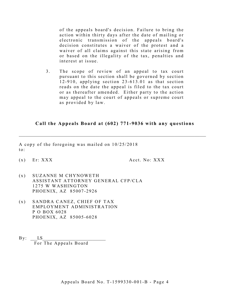of the appeals board's decision. Failure to bring the action within thirty days after the date of mailing or electronic transmission of the appeals board's decision constitutes a waiver of the protest and a waiver of all claims against this state arising from or based on the illegality of the tax, penalties and interest at issue.

3. The scope of review of an appeal to tax court pursuant to this section shall be governed by section 1 2 -910, applying section 23- 613.01 as that section reads on the date the appeal is filed to the tax court or as thereafter amended. Either party to the action may appeal to the court of appeals or supreme court as provided by law.

## **Call the Appeals Board at (602) 771-9036 with any questions**

 $\_$  , and the set of the set of the set of the set of the set of the set of the set of the set of the set of the set of the set of the set of the set of the set of the set of the set of the set of the set of the set of th

A copy of the foregoing was mailed on 10/25/2018 to:

(x) Er: XXX Acct. No: XXX

- (x ) SUZANNE M CHYNOWETH ASSISTANT ATTORNEY GENERAL CFP/CLA 1275 W WASHINGTON PHOENIX, AZ 85007 -2926
- (x ) SANDRA CANEZ, CHIEF OF TAX EMPLOYMENT ADMINISTRATION P O BOX 6028 PHOENIX, AZ 85005 -6028
- $\mathbf{By:} \qquad \mathbf{LS}$ For The Appeals Board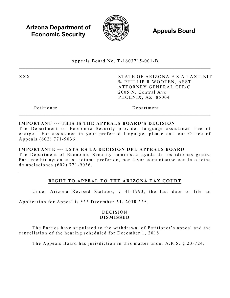**Arizona Department of Economic Security**  $\qquad \qquad \qquad \qquad$  **<b>Appeals Board** 



Appeals Board No. T - 1603715 -001 - B  $\_$ 

XXX STATE OF ARIZONA E S A TAX UNIT ℅ PHILLIP R WOOTEN, ASST ATTORNEY GENERAL CFP/C 2005 N. Central Ave PHOENIX, AZ 85004

Petitioner Department

## **IMPORTANT --- THIS IS THE APPEALS BOARD'S DECISION**

The Department of Economic Security provides language assistance free of charge. For assistance in your preferred language, please call our Office of Appeals (602) 771 -9036 .

### **IMPORTANTE --- ESTA ES LA DECISIÓN DEL APPEALS BOARD**

The Department of Economic Security suministra ayuda de los idiomas gratis. Para recibir ayuda en su idioma preferido, por favor comunicarse con la oficina de apelaciones (602) 771 - 9036 .

# **RIGHT TO APPEAL TO THE ARIZONA TAX COURT**

Under Arizona Revised Statutes, § 41-1993, the last date to file an

Application for Appeal is **\*\*\* December 31, 2018 \*\*\*** .

## DECISION **DISMISSED**

The Parties have stipulated to the withdrawal of Petitioner's appeal and the cancellation of the hearing scheduled for December 1, 2018.

The Appeals Board has jurisdiction in this matter under A.R.S. § 23 -724.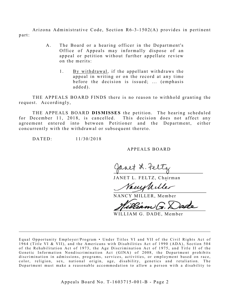Arizona Administrative Code, Section R6-3-1502(A) provides in pertinent part:

- A. The Board or a hearing officer in the Department's Office of Appeals may informally dispose of an appeal or petition without further appellate review on the merits:
	- 1. By withdrawal, if the appellant withdraws the appeal in writing or on the record at any time before the decision is issued; ... (emphasis added).

THE APPEALS BOARD FINDS there is no reason to withhold granting the request. Accordingly,

THE APPEALS BOARD **DISMISSES** the petition. The hearing scheduled for December 11, 2018, is cancelled. This decision does not affect any agreement entered into between Petitioner and the Department, either concurrently with the withdrawal or subsequent thereto.

DATED: 11/30/2018

A PPEALS BOARD

gavet L. telty

JANET L. FELTZ, Chairman

Vacustiller

NANCY MILLER, Member

WILLIAM G. DADE, Member

Equal Opportunity Employer/Program • Under Titles VI and VII of the Civil Rights Act of 1964 (Title VI & VII), and the Americans with Disabilities Act of 1990 (ADA), Section 504 of the Rehabilitation Act of 1973, the Age Discrimination Act of 1975, and Title II of the Genetic Information Nondiscrimination Act (GINA) of 2008, the Department prohibits discrimination in admissions, programs, services, activities, or employment based on race, color, religion, sex, national origin, age, disability, genetics and retaliation. The Department must make a reasonable accommodation to allow a person with a disability to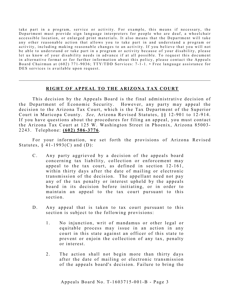take part in a program, service or activity. For example, this means if necessary, the Department must provide sign language interpreters for people who are deaf, a wheelchair accessible location, or enlarged print materials. It also means that the Department will take any other reasonable action that allows you to take part in and understand a program or activity, including making reasonable changes to an activity. If you believe that you will not be able to understand or take part in a program or activity because of your disability, please let us know of your disability needs in advance if at all possible. To request this document in alternative format or for further information about this policy, please contact the Appeals Board Chairman at (602) 771-9036; TTY/TDD Services: 7-1-1. • Free language assistance for DES services is available upon request.

#### **RIGHT OF APPEAL TO THE ARIZONA TAX COURT**

This decision by the Appeals Board is the final administrative decision of the Department of Economic Security. However, any party may appeal the decision to the Arizona Tax Court, which is the Tax Department of the Superior Court in Maricopa County. *See*, Arizona Revised Statutes, §§ 12-901 to 12-914. If you have questions about the procedures for filing an appeal, you must contact the Arizona Tax Court at 125 W. Washington Street in Phoenix, Arizona 85003-2243. Telephone: **(602) 506 - 3776** .

For your in formation, we set forth the provisions of Arizona Revised Statutes,  $§$  41-1993(C) and (D):

- C. Any party aggrieved by a decision of the appeals board concerning tax liability, collection or enforcement may appeal to the tax court, as defined in section  $12-161$ , within thirty days after the date of mailing or electronic transmission of the decision. The appellant need not pay any of the tax penalty or interest upheld by the appeals board in its decision before initiating, or in order to maintain an appeal to the tax court pursuant to this section.
- D. Any appeal that is taken to tax court pursuant to this section is subject to the following provisions:
	- 1. No injunction, writ of mandamus or other legal or equitable process may issue in an action in any court in this state against an officer of this state to prevent or enjoin the collection of any tax, penalty or interest.
	- 2. The action shall not begin more than thirty days after the date of mailing or electronic transmission of the appeals board's decision. Failure to bring the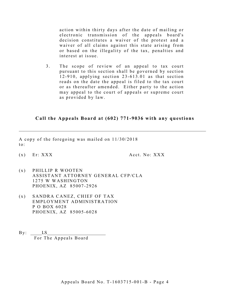action within thirty days after the date of mailing or electronic transmission of the appeals board's decision constitutes a waiver of the protest and a waiver of all claims against this state arising from or based on the illegality of the tax, penalties and interest at issue.

3. The scope of review of an appeal to tax court pursuant to this section shall be governed by section 1 2 -910, applying section 23- 613.01 as that section reads on the date the appeal is filed to the tax court or as thereafter amended. Either party to the action may appeal to the court of appeals or supreme court as provided by law.

### **Call the Appeals Board at (602) 771-9036 with any questions**

\_\_\_\_\_\_\_\_\_\_\_\_\_\_\_\_\_\_\_\_\_\_\_\_\_\_\_\_\_\_\_\_\_\_\_\_\_\_\_\_\_\_\_\_\_\_\_\_\_\_\_\_\_\_\_\_\_\_\_\_\_\_\_\_\_\_\_\_\_\_\_\_\_\_\_\_\_\_\_\_\_\_\_

A copy of the foregoing was mailed on 11/30/2018 to:

 $(x)$  Er: XXX  $Acct. No: XXX$ 

- (x ) PHILLIP R WOOTEN ASSISTANT ATTORNEY GENERAL CFP/CLA 1275 W WASHINGTON PHOENIX, AZ 85007 -2926
- (x ) SANDRA CANEZ, CHIEF OF TAX EMPLOYMENT ADMINISTRATION P O BOX 6028 PHOENIX, AZ 85005 -6028
- $By: \_\_\_\_$ For The Appeals Board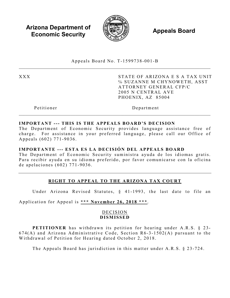**Arizona Department of Economic Security**  $\qquad \qquad \qquad \qquad$  **<b>Appeals Board** 



Appeals Board No. T - 1599738 -001 - B  $\_$ 

XXX STATE OF ARIZONA E S A TAX UNIT ℅ SUZANNE M CHYNOWETH, ASST ATTORNEY GENERAL CFP/C 2005 N CENTRAL AVE PHOENIX, AZ 85004

Petitioner Department

## **IMPORTANT --- THIS IS THE APPEALS BOARD'S DECISION**

The Department of Economic Security provides language assistance free of charge. For assistance in your preferred language, please call our Office of Appeals (602) 771 -9036 .

### **IMPORTANTE --- ESTA ES LA DECISIÓN DEL APPEALS BOARD**

The Department of Economic Security suministra ayuda de los idiomas gratis. Para recibir ayuda en su idioma preferido, por favor comunicarse con la oficina de apelaciones (602) 771 - 9036 .

# **RIGHT TO APPEAL TO THE ARIZONA TAX COURT**

Under Arizona Revised Statutes, § 41-1993, the last date to file an

Application for Appeal is **\*\*\* November 26, 2018 \*\*\*** .

## DECISION **DISMISSED**

PETITIONER has withdrawn its petition for hearing under A.R.S. § 23- $674(A)$  and Arizona Administrative Code, Section R6-3-1502(A) pursuant to the Withdrawal of Petition for Hearing dated October 2, 2018 .

The Appeals Board has jurisdiction in this matter under A.R.S. § 23-724.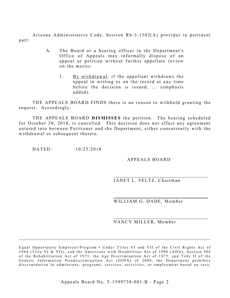Arizona Administrative Code, Section R6-3-1502(A) provides in pertinent part:

- A. The Board or a hearing officer in the Department's Office of Appeals may informally dispose of an appeal or petition without further appellate review on the merits:
	- 1. By withdrawal, if the appellant withdraws the appeal in writing or on the record at any time before the decision is issued; ... (emphasis added).

THE APPEALS BOARD FINDS there is no reason to withhold granting the request. Accordingly,

THE APPEALS BOARD **DISMISSES** the petition. The hearing scheduled for October 30, 2018, is cancelled. This decision does not affect any agreement entered into between Petitioner and the Department, either concurrently with the withdrawal or subsequent thereto.

DATED: 10/25/2018

### APPEALS BOARD

JANET L. FELTZ, Chairman

WILLIAM G. DADE, Member

#### NANCY MILLER, Member

Equal Opportunity Employer/Program • Under Titles VI and VII of the Civil Rights Act of 1964 (Title VI & VII), and the Americans with Disabilities Act of 1990 (ADA), Section 504 of the Rehabilitation Act of 1973, the Age Discrimination Act of 1975, and Title II of the Genetic Information Nondiscrimination Act (GINA) of 2008, the Department prohibits discrimination in admissions, programs, services, activities, or employment based on race,

 $\mathcal{L}_\mathcal{L}$  , and the contribution of the contribution of the contribution of the contribution of the contribution of the contribution of the contribution of the contribution of the contribution of the contribution of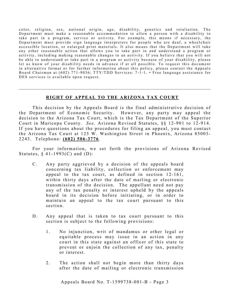color, religion, sex, national origin, age, disability, genetics and retaliation. The Department must make a reasonable accommodation to allow a person with a disability to take part in a program, service or activity. For example, this means if necessary, the Department must provide sign language interpreters for people who are deaf, a wheelchair accessible location, or enlarged print materials. It also means that the Department will take any other reasonable action that allows you to take part in and understand a program or activity, including making reasonable changes to an activity. If you believe that you will not be able to understand or take part in a program or activity because of your disability, please let us know of your disability needs in advance if at all possible. To request this document in alternative format or for further information about this policy, please contact the Appeals Board Chairman at (602) 771-9036; TTY/TDD Services: 7-1-1. • Free language assistance for DES services is available upon request.

### **R IGHT OF APPEAL TO THE ARIZONA TAX COURT**

 $\_$  , and the set of the set of the set of the set of the set of the set of the set of the set of the set of the set of the set of the set of the set of the set of the set of the set of the set of the set of the set of th

This decision by the Appeals Board is the final administrative decision of the Department of Economic Security. However, any party may appeal the decision to the Arizona Tax Court, which is the Tax Department of the Superior Court in Maricopa County. *See*, Arizona Revised Statutes, §§ 12-901 to 12-914. If you have questions about the procedures for filing an appeal, you must contact the Arizona Tax Court at 125 W. Washington Street in Phoenix, Arizona 85003-2243. Telephone: **(602) 506 - 3776** .

For your information, we set forth the provisions of Arizona Revised Statutes,  $§$  41-1993(C) and (D):

- C. Any party aggrieved by a decision of the appeals board concerning tax liability, collection or enforcement may appeal to the tax court, as defined in section 12-161, within thirty days after the date of mailing or electronic transmission of the decision. The appellant need not pay any of the tax penalty or interest upheld by the appeals board in its decision before initiating, or in order to maintain an appeal to the tax court pursuant to this section.
- D. Any appeal that is taken to tax court pursuant to this section is subject to the following provisions:
	- 1. No injunction, writ of mandamus or other legal or equitable process may issue in an action in any court in this state against an officer of this state to prevent or enjoin the collection of any tax, penalty or interest.
	- 2. The action shall not begin more than thirty days after the date of mailing or electronic transmission